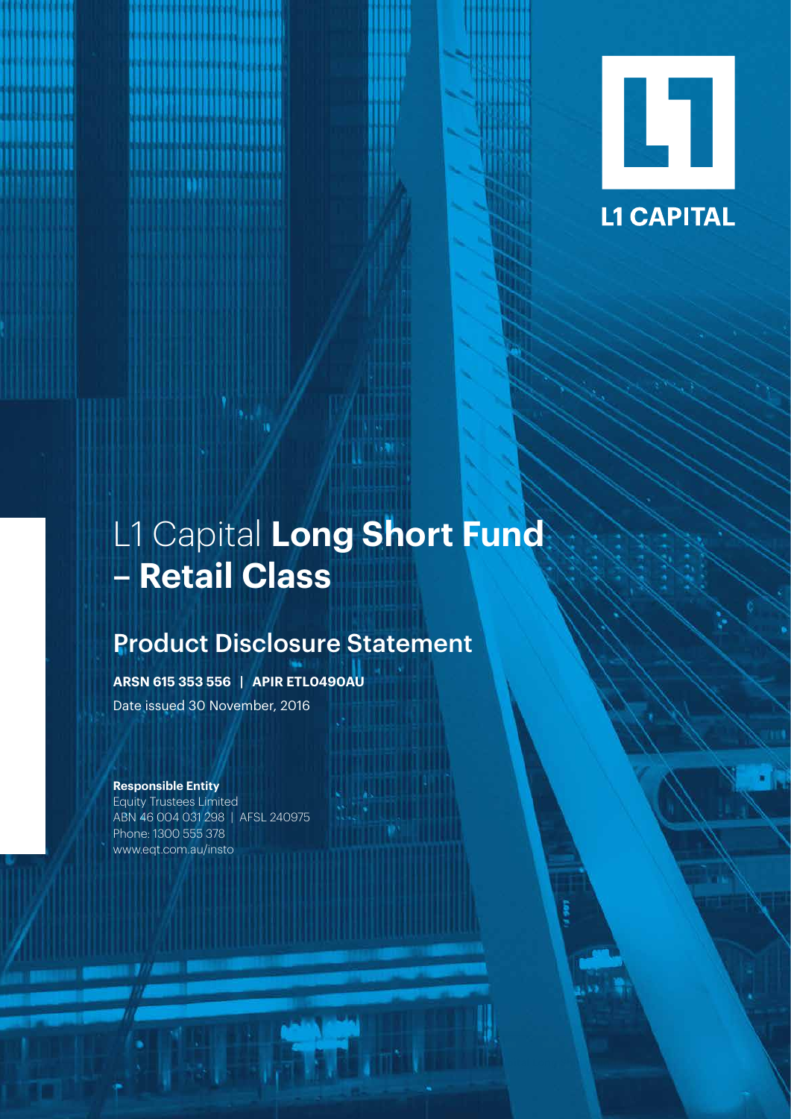

# L1 Capital **Long Short Fund – Retail Class**

Product Disclosure Statement **L1 Capital Long Short Fund – Retail Class** 1

# Product Disclosure Statement

**ARSN 615 353 556 | APIR ETL0490AU**

Date issued 30 November, 2016

# **Responsible Entity**

Equity Trustees Limited ABN 46 004 031 298 | AFSL 240975 Phone: 1300 555 378 www.eqt.com.au/insto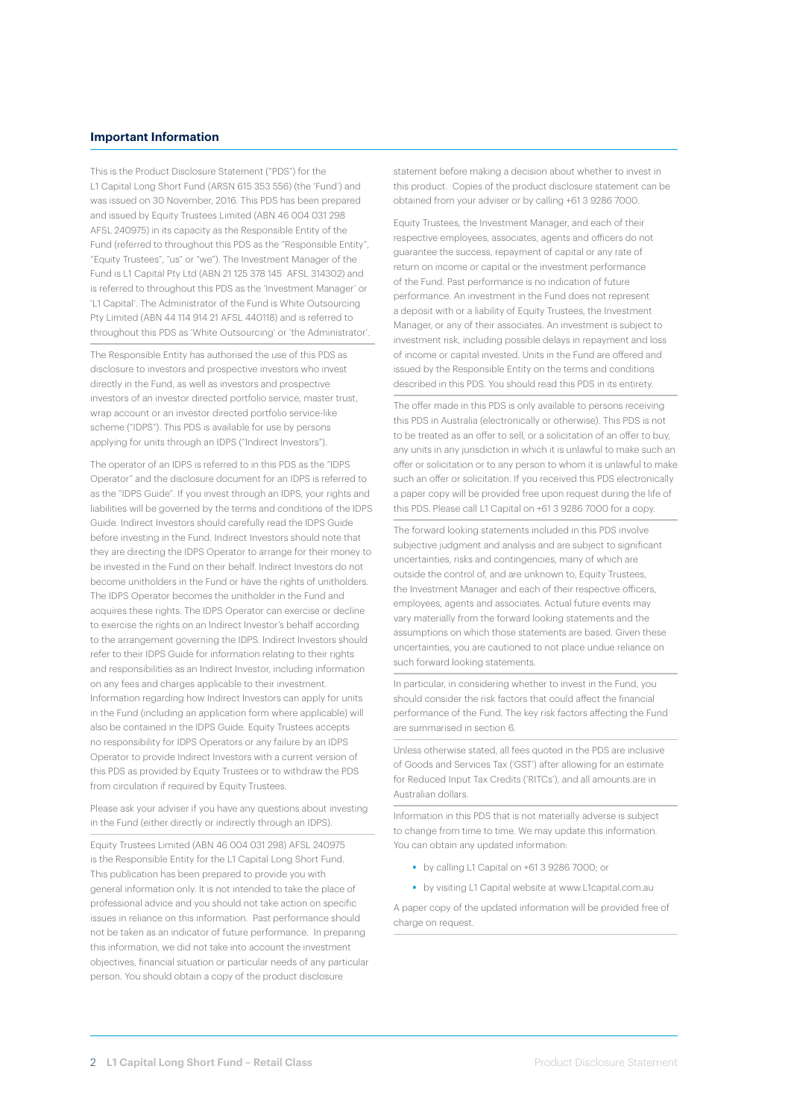#### **Important Information**

This is the Product Disclosure Statement ("PDS") for the L1 Capital Long Short Fund (ARSN 615 353 556) (the 'Fund') and was issued on 30 November, 2016. This PDS has been prepared and issued by Equity Trustees Limited (ABN 46 004 031 298 AFSL 240975) in its capacity as the Responsible Entity of the Fund (referred to throughout this PDS as the "Responsible Entity", "Equity Trustees", "us" or "we"). The Investment Manager of the Fund is L1 Capital Pty Ltd (ABN 21 125 378 145 AFSL 314302) and is referred to throughout this PDS as the 'Investment Manager' or 'L1 Capital'. The Administrator of the Fund is White Outsourcing Pty Limited (ABN 44 114 914 21 AFSL 440118) and is referred to throughout this PDS as 'White Outsourcing' or 'the Administrator'.

The Responsible Entity has authorised the use of this PDS as disclosure to investors and prospective investors who invest directly in the Fund, as well as investors and prospective investors of an investor directed portfolio service, master trust, wrap account or an investor directed portfolio service-like scheme ("IDPS"). This PDS is available for use by persons applying for units through an IDPS ("Indirect Investors").

The operator of an IDPS is referred to in this PDS as the "IDPS Operator" and the disclosure document for an IDPS is referred to as the "IDPS Guide". If you invest through an IDPS, your rights and liabilities will be governed by the terms and conditions of the IDPS Guide. Indirect Investors should carefully read the IDPS Guide before investing in the Fund. Indirect Investors should note that they are directing the IDPS Operator to arrange for their money to be invested in the Fund on their behalf. Indirect Investors do not become unitholders in the Fund or have the rights of unitholders. The IDPS Operator becomes the unitholder in the Fund and acquires these rights. The IDPS Operator can exercise or decline to exercise the rights on an Indirect Investor's behalf according to the arrangement governing the IDPS. Indirect Investors should refer to their IDPS Guide for information relating to their rights and responsibilities as an Indirect Investor, including information on any fees and charges applicable to their investment. Information regarding how Indirect Investors can apply for units in the Fund (including an application form where applicable) will also be contained in the IDPS Guide. Equity Trustees accepts no responsibility for IDPS Operators or any failure by an IDPS Operator to provide Indirect Investors with a current version of this PDS as provided by Equity Trustees or to withdraw the PDS from circulation if required by Equity Trustees.

Please ask your adviser if you have any questions about investing in the Fund (either directly or indirectly through an IDPS).

Equity Trustees Limited (ABN 46 004 031 298) AFSL 240975 is the Responsible Entity for the L1 Capital Long Short Fund. This publication has been prepared to provide you with general information only. It is not intended to take the place of professional advice and you should not take action on specific issues in reliance on this information. Past performance should not be taken as an indicator of future performance. In preparing this information, we did not take into account the investment objectives, financial situation or particular needs of any particular person. You should obtain a copy of the product disclosure

statement before making a decision about whether to invest in this product. Copies of the product disclosure statement can be obtained from your adviser or by calling +61 3 9286 7000.

Equity Trustees, the Investment Manager, and each of their respective employees, associates, agents and officers do not guarantee the success, repayment of capital or any rate of return on income or capital or the investment performance of the Fund. Past performance is no indication of future performance. An investment in the Fund does not represent a deposit with or a liability of Equity Trustees, the Investment Manager, or any of their associates. An investment is subject to investment risk, including possible delays in repayment and loss of income or capital invested. Units in the Fund are offered and issued by the Responsible Entity on the terms and conditions described in this PDS. You should read this PDS in its entirety.

The offer made in this PDS is only available to persons receiving this PDS in Australia (electronically or otherwise). This PDS is not to be treated as an offer to sell, or a solicitation of an offer to buy, any units in any jurisdiction in which it is unlawful to make such an offer or solicitation or to any person to whom it is unlawful to make such an offer or solicitation. If you received this PDS electronically a paper copy will be provided free upon request during the life of this PDS. Please call L1 Capital on +61 3 9286 7000 for a copy.

The forward looking statements included in this PDS involve subjective judgment and analysis and are subject to significant uncertainties, risks and contingencies, many of which are outside the control of, and are unknown to, Equity Trustees, the Investment Manager and each of their respective officers, employees, agents and associates. Actual future events may vary materially from the forward looking statements and the assumptions on which those statements are based. Given these uncertainties, you are cautioned to not place undue reliance on such forward looking statements.

In particular, in considering whether to invest in the Fund, you should consider the risk factors that could affect the financial performance of the Fund. The key risk factors affecting the Fund are summarised in section 6.

Unless otherwise stated, all fees quoted in the PDS are inclusive of Goods and Services Tax ('GST') after allowing for an estimate for Reduced Input Tax Credits ('RITCs'), and all amounts are in Australian dollars.

Information in this PDS that is not materially adverse is subject to change from time to time. We may update this information. You can obtain any updated information:

- by calling L1 Capital on +61 3 9286 7000; or
- by visiting L1 Capital website at www.L1capital.com.au

A paper copy of the updated information will be provided free of charge on request.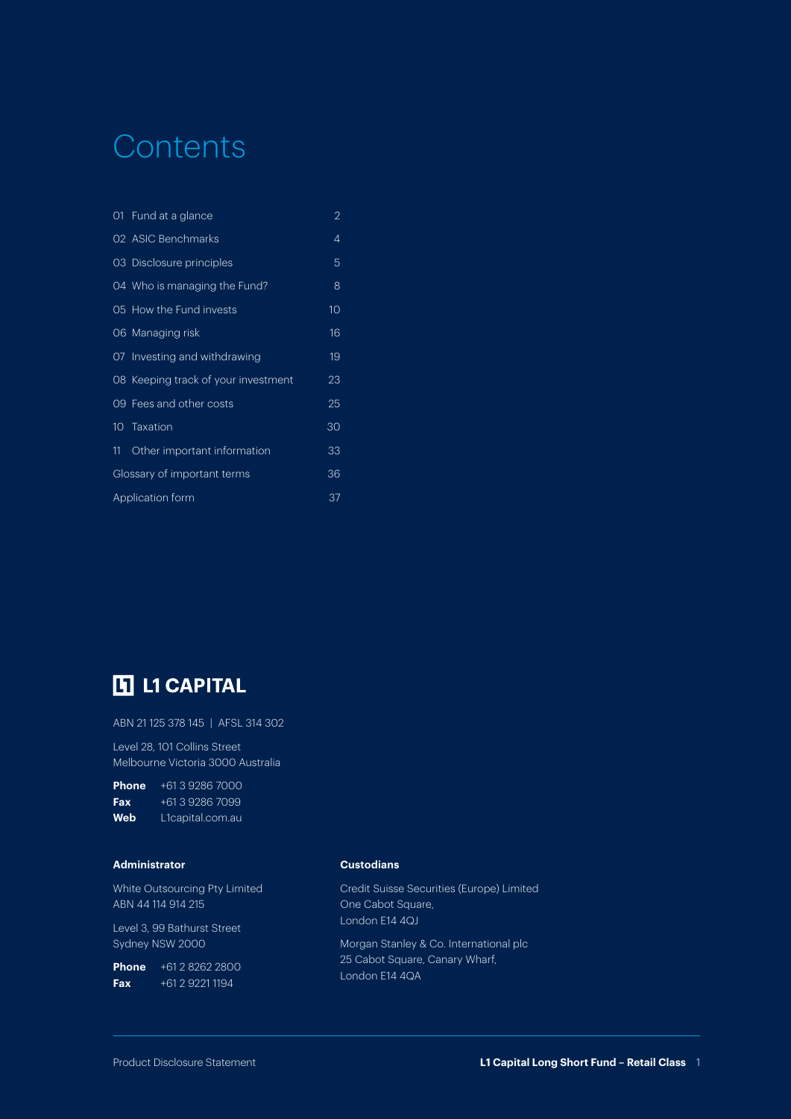# **Contents**

|                        | 01 Fund at a glance                 | 2  |
|------------------------|-------------------------------------|----|
|                        | 02 ASIC Benchmarks                  | 4  |
|                        | 03 Disclosure principles            | 5  |
|                        | 04 Who is managing the Fund?        | 8  |
|                        | 05 How the Fund invests             | 10 |
|                        | 06 Managing risk                    | 16 |
|                        | 07 Investing and withdrawing        | 19 |
|                        | 08 Keeping track of your investment | 23 |
|                        | 09 Fees and other costs             | 25 |
|                        | 10 Taxation                         | 30 |
| 11                     | Other important information         | 33 |
|                        | Glossary of important terms         | 36 |
| 37<br>Application form |                                     |    |

# **H** L1 CAPITAL

ABN 21 125 378 145 | AFSL 314 302

Level 28, 101 Collins Street Melbourne Victoria 3000 Australia

| <b>Phone</b> | +61.3.9286.7000  |
|--------------|------------------|
| Fax          | +61.3.9286.7099  |
| Web          | L1capital.com.au |

#### **Administrator**

White Outsourcing Pty Limited ABN 44 114 914 215

Level 3, 99 Bathurst Street Sydney NSW 2000

**Phone** +61 2 8262 2800 **Fax** +61 2 9221 1194

#### **Custodians**

Credit Suisse Securities (Europe) Limited One Cabot Square, London E14 4QJ

Morgan Stanley & Co. International plc 25 Cabot Square, Canary Wharf, London E14 4QA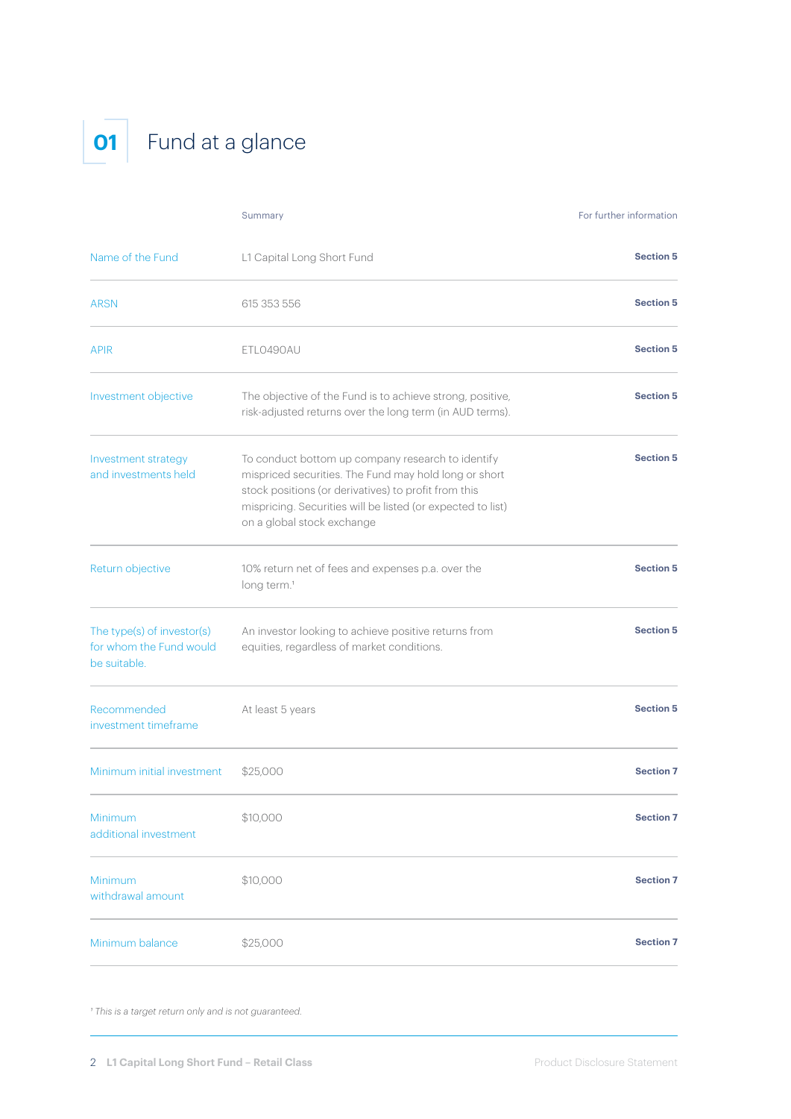# **01** Fund at a glance

|                                                                       | Summary                                                                                                                                                                                                                                                         | For further information |
|-----------------------------------------------------------------------|-----------------------------------------------------------------------------------------------------------------------------------------------------------------------------------------------------------------------------------------------------------------|-------------------------|
| Name of the Fund                                                      | L1 Capital Long Short Fund                                                                                                                                                                                                                                      | <b>Section 5</b>        |
| <b>ARSN</b>                                                           | 615 353 556                                                                                                                                                                                                                                                     | <b>Section 5</b>        |
| <b>APIR</b>                                                           | ETLO490AU                                                                                                                                                                                                                                                       | <b>Section 5</b>        |
| Investment objective                                                  | The objective of the Fund is to achieve strong, positive,<br>risk-adjusted returns over the long term (in AUD terms).                                                                                                                                           | <b>Section 5</b>        |
| Investment strategy<br>and investments held                           | To conduct bottom up company research to identify<br>mispriced securities. The Fund may hold long or short<br>stock positions (or derivatives) to profit from this<br>mispricing. Securities will be listed (or expected to list)<br>on a global stock exchange | <b>Section 5</b>        |
| Return objective                                                      | 10% return net of fees and expenses p.a. over the<br>long term. <sup>1</sup>                                                                                                                                                                                    | <b>Section 5</b>        |
| The type(s) of investor(s)<br>for whom the Fund would<br>be suitable. | An investor looking to achieve positive returns from<br>equities, regardless of market conditions.                                                                                                                                                              | <b>Section 5</b>        |
| Recommended<br>investment timeframe                                   | At least 5 years                                                                                                                                                                                                                                                | <b>Section 5</b>        |
| Minimum initial investment                                            | \$25,000                                                                                                                                                                                                                                                        | <b>Section 7</b>        |
| Minimum<br>additional investment                                      | \$10,000                                                                                                                                                                                                                                                        | <b>Section 7</b>        |
| Minimum<br>withdrawal amount                                          | \$10,000                                                                                                                                                                                                                                                        | <b>Section 7</b>        |
| Minimum balance                                                       | \$25,000                                                                                                                                                                                                                                                        | <b>Section 7</b>        |

*1 This is a target return only and is not guaranteed.*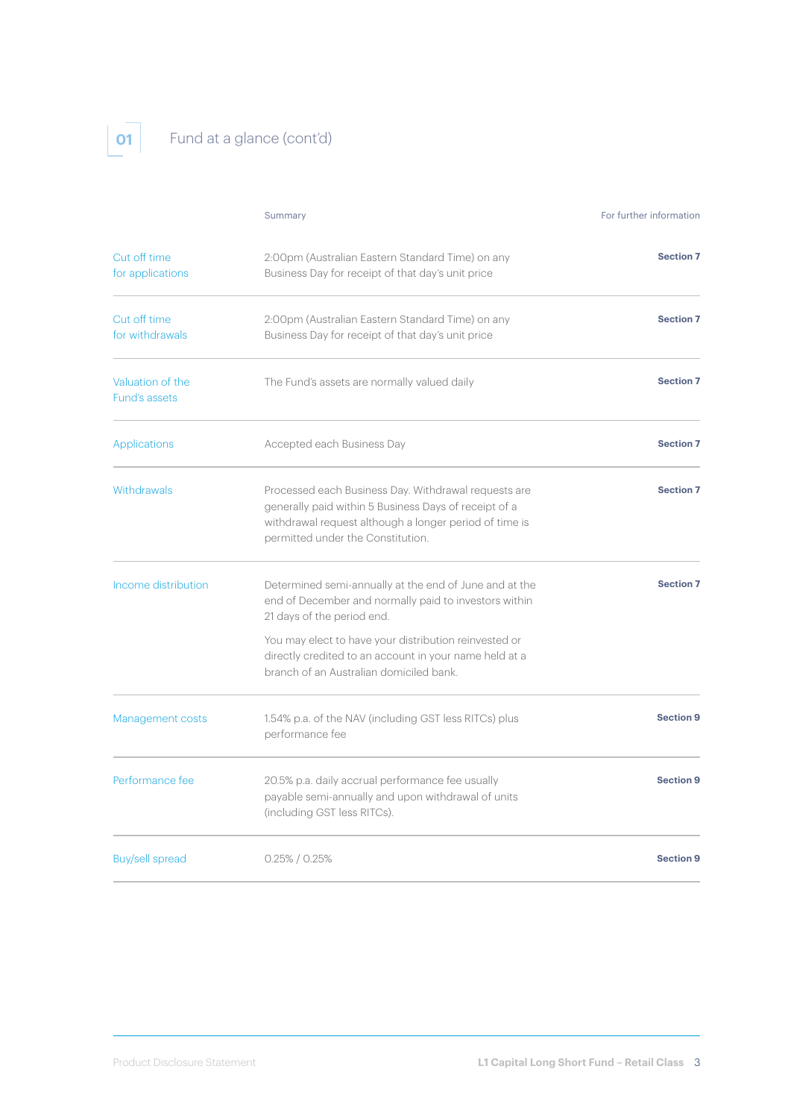# **01** Fund at a glance (cont'd)

|                                   | Summary                                                                                                                                                                                                      | For further information |
|-----------------------------------|--------------------------------------------------------------------------------------------------------------------------------------------------------------------------------------------------------------|-------------------------|
| Cut off time<br>for applications  | 2:00pm (Australian Eastern Standard Time) on any<br>Business Day for receipt of that day's unit price                                                                                                        | <b>Section 7</b>        |
| Cut off time<br>for withdrawals   | 2:00pm (Australian Eastern Standard Time) on any<br>Business Day for receipt of that day's unit price                                                                                                        | <b>Section 7</b>        |
| Valuation of the<br>Fund's assets | The Fund's assets are normally valued daily                                                                                                                                                                  | <b>Section 7</b>        |
| Applications                      | Accepted each Business Day                                                                                                                                                                                   | <b>Section 7</b>        |
| <b>Withdrawals</b>                | Processed each Business Day. Withdrawal requests are<br>generally paid within 5 Business Days of receipt of a<br>withdrawal request although a longer period of time is<br>permitted under the Constitution. | <b>Section 7</b>        |
| Income distribution               | Determined semi-annually at the end of June and at the<br>end of December and normally paid to investors within<br>21 days of the period end.                                                                | <b>Section 7</b>        |
|                                   | You may elect to have your distribution reinvested or<br>directly credited to an account in your name held at a<br>branch of an Australian domiciled bank.                                                   |                         |
| Management costs                  | 1.54% p.a. of the NAV (including GST less RITCs) plus<br>performance fee                                                                                                                                     | <b>Section 9</b>        |
| Performance fee                   | 20.5% p.a. daily accrual performance fee usually<br>payable semi-annually and upon withdrawal of units<br>(including GST less RITCs).                                                                        | <b>Section 9</b>        |
| <b>Buy/sell spread</b>            | $0.25\%$ / $0.25\%$                                                                                                                                                                                          | <b>Section 9</b>        |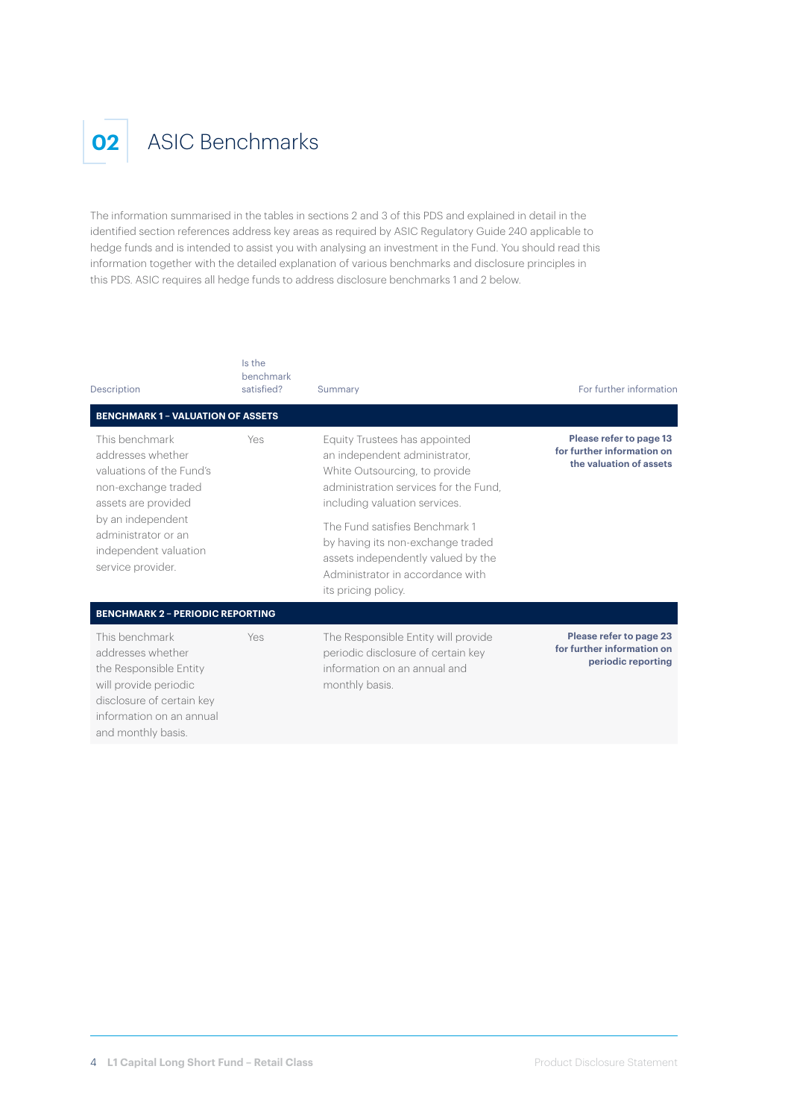

# **02** ASIC Benchmarks

The information summarised in the tables in sections 2 and 3 of this PDS and explained in detail in the identified section references address key areas as required by ASIC Regulatory Guide 240 applicable to hedge funds and is intended to assist you with analysing an investment in the Fund. You should read this information together with the detailed explanation of various benchmarks and disclosure principles in this PDS. ASIC requires all hedge funds to address disclosure benchmarks 1 and 2 below.

| Description                                                                                                                                                                    | Is the<br>benchmark<br>satisfied? | Summary                                                                                                                                                                   | For further information                                                          |
|--------------------------------------------------------------------------------------------------------------------------------------------------------------------------------|-----------------------------------|---------------------------------------------------------------------------------------------------------------------------------------------------------------------------|----------------------------------------------------------------------------------|
| <b>BENCHMARK 1 - VALUATION OF ASSETS</b><br>This benchmark<br>addresses whether<br>valuations of the Fund's<br>non-exchange traded<br>assets are provided<br>by an independent | Yes                               | Equity Trustees has appointed<br>an independent administrator,<br>White Outsourcing, to provide<br>administration services for the Fund.<br>including valuation services. | Please refer to page 13<br>for further information on<br>the valuation of assets |
| administrator or an<br>independent valuation<br>service provider.                                                                                                              |                                   | The Fund satisfies Benchmark 1<br>by having its non-exchange traded<br>assets independently valued by the<br>Administrator in accordance with<br>its pricing policy.      |                                                                                  |
| <b>BENCHMARK 2 - PERIODIC REPORTING</b>                                                                                                                                        |                                   |                                                                                                                                                                           |                                                                                  |
| This benchmark<br>addresses whether<br>the Responsible Entity<br>will provide periodic<br>disclosure of certain key<br>information on an annual<br>and monthly basis.          | Yes                               | The Responsible Entity will provide<br>periodic disclosure of certain key<br>information on an annual and<br>monthly basis.                                               | Please refer to page 23<br>for further information on<br>periodic reporting      |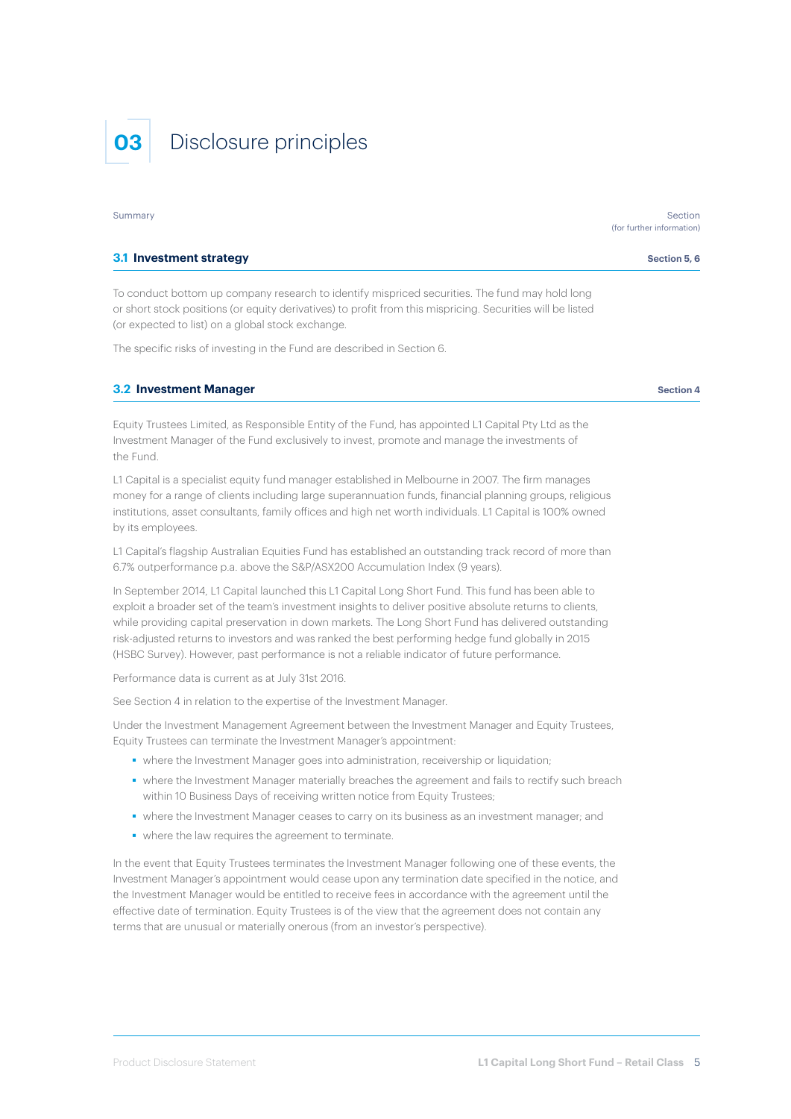# **03** Disclosure principles

#### **3.1 Investment strategy Section 5, 6 Section 5, 6 Section 5, 6 Section 5, 6 Section 5, 6 Section 5, 6**

To conduct bottom up company research to identify mispriced securities. The fund may hold long or short stock positions (or equity derivatives) to profit from this mispricing. Securities will be listed (or expected to list) on a global stock exchange.

The specific risks of investing in the Fund are described in Section 6.

#### **3.2 Investment Manager Section 4 Section 4 Section 4 Section 4 Section 4**

Equity Trustees Limited, as Responsible Entity of the Fund, has appointed L1 Capital Pty Ltd as the Investment Manager of the Fund exclusively to invest, promote and manage the investments of the Fund.

L1 Capital is a specialist equity fund manager established in Melbourne in 2007. The firm manages money for a range of clients including large superannuation funds, financial planning groups, religious institutions, asset consultants, family offices and high net worth individuals. L1 Capital is 100% owned by its employees.

L1 Capital's flagship Australian Equities Fund has established an outstanding track record of more than 6.7% outperformance p.a. above the S&P/ASX200 Accumulation Index (9 years).

In September 2014, L1 Capital launched this L1 Capital Long Short Fund. This fund has been able to exploit a broader set of the team's investment insights to deliver positive absolute returns to clients, while providing capital preservation in down markets. The Long Short Fund has delivered outstanding risk-adjusted returns to investors and was ranked the best performing hedge fund globally in 2015 (HSBC Survey). However, past performance is not a reliable indicator of future performance.

Performance data is current as at July 31st 2016.

See Section 4 in relation to the expertise of the Investment Manager.

Under the Investment Management Agreement between the Investment Manager and Equity Trustees, Equity Trustees can terminate the Investment Manager's appointment:

- where the Investment Manager goes into administration, receivership or liquidation;
- where the Investment Manager materially breaches the agreement and fails to rectify such breach within 10 Business Days of receiving written notice from Equity Trustees;
- where the Investment Manager ceases to carry on its business as an investment manager; and
- where the law requires the agreement to terminate.

In the event that Equity Trustees terminates the Investment Manager following one of these events, the Investment Manager's appointment would cease upon any termination date specified in the notice, and the Investment Manager would be entitled to receive fees in accordance with the agreement until the effective date of termination. Equity Trustees is of the view that the agreement does not contain any terms that are unusual or materially onerous (from an investor's perspective).

Summary Section (for further information)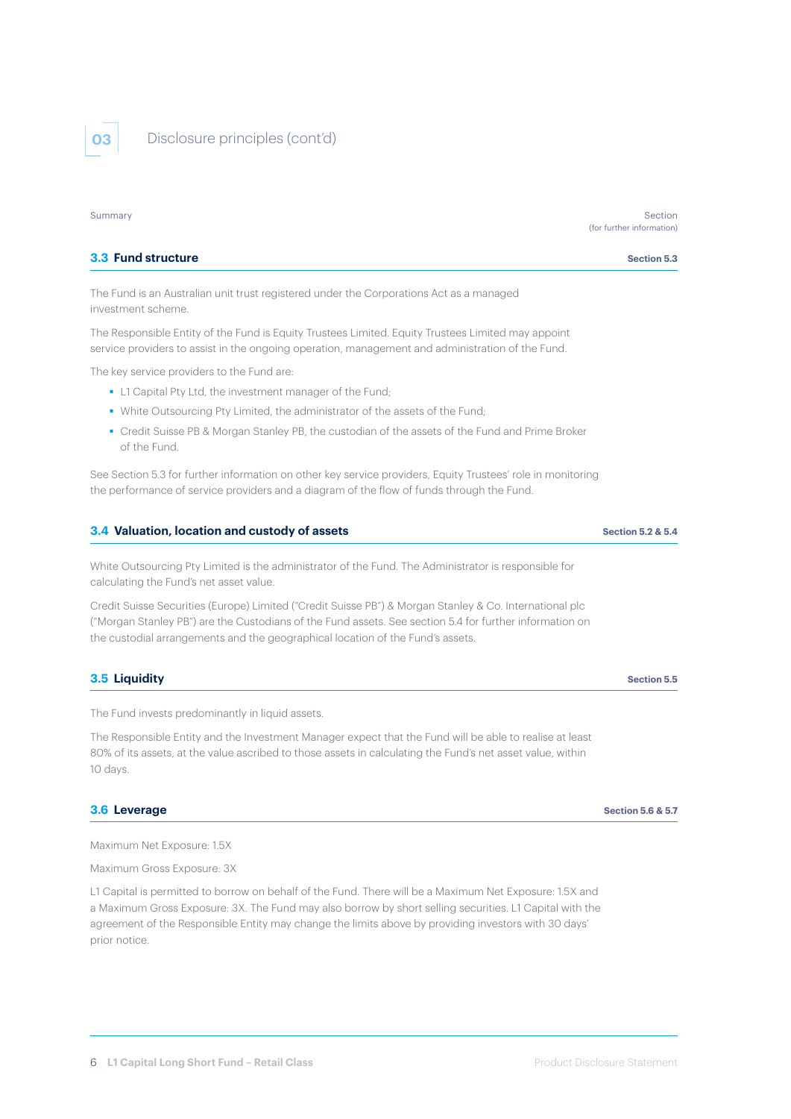

**03** Disclosure principles (cont'd)

| Summary                                                                                                                                                                                                  | Section<br>(for further information) |
|----------------------------------------------------------------------------------------------------------------------------------------------------------------------------------------------------------|--------------------------------------|
| 3.3 Fund structure                                                                                                                                                                                       | Section 5.3                          |
| The Fund is an Australian unit trust registered under the Corporations Act as a managed<br>investment scheme.                                                                                            |                                      |
| The Responsible Entity of the Fund is Equity Trustees Limited. Equity Trustees Limited may appoint<br>service providers to assist in the ongoing operation, management and administration of the Fund.   |                                      |
| The key service providers to the Fund are:                                                                                                                                                               |                                      |
| • L1 Capital Pty Ltd, the investment manager of the Fund;                                                                                                                                                |                                      |
| • White Outsourcing Pty Limited, the administrator of the assets of the Fund;                                                                                                                            |                                      |
| • Credit Suisse PB & Morgan Stanley PB, the custodian of the assets of the Fund and Prime Broker<br>of the Fund.                                                                                         |                                      |
| See Section 5.3 for further information on other key service providers, Equity Trustees' role in monitoring<br>the performance of service providers and a diagram of the flow of funds through the Fund. |                                      |
| 3.4 Valuation, location and custody of assets                                                                                                                                                            | <b>Section 5.2 &amp; 5.4</b>         |
| . Mikita Antaranais sa Bini isaitari ir tha arluaistanais ar tha Final. Tha Arluaisistanais ir sanaraisis fasc                                                                                           |                                      |

White Outsourcing Pty Limited is the administrator of the Fund. The Administrator is responsible for calculating the Fund's net asset value.

Credit Suisse Securities (Europe) Limited ("Credit Suisse PB") & Morgan Stanley & Co. International plc ("Morgan Stanley PB") are the Custodians of the Fund assets. See section 5.4 for further information on the custodial arrangements and the geographical location of the Fund's assets.

### **3.5 Liquidity Section 5.5 Section 5.5**

The Fund invests predominantly in liquid assets.

The Responsible Entity and the Investment Manager expect that the Fund will be able to realise at least 80% of its assets, at the value ascribed to those assets in calculating the Fund's net asset value, within 10 days.

#### **3.6 Leverage Section 5.6 & 5.7**

Maximum Net Exposure: 1.5X

Maximum Gross Exposure: 3X

L1 Capital is permitted to borrow on behalf of the Fund. There will be a Maximum Net Exposure: 1.5X and a Maximum Gross Exposure: 3X. The Fund may also borrow by short selling securities. L1 Capital with the agreement of the Responsible Entity may change the limits above by providing investors with 30 days' prior notice.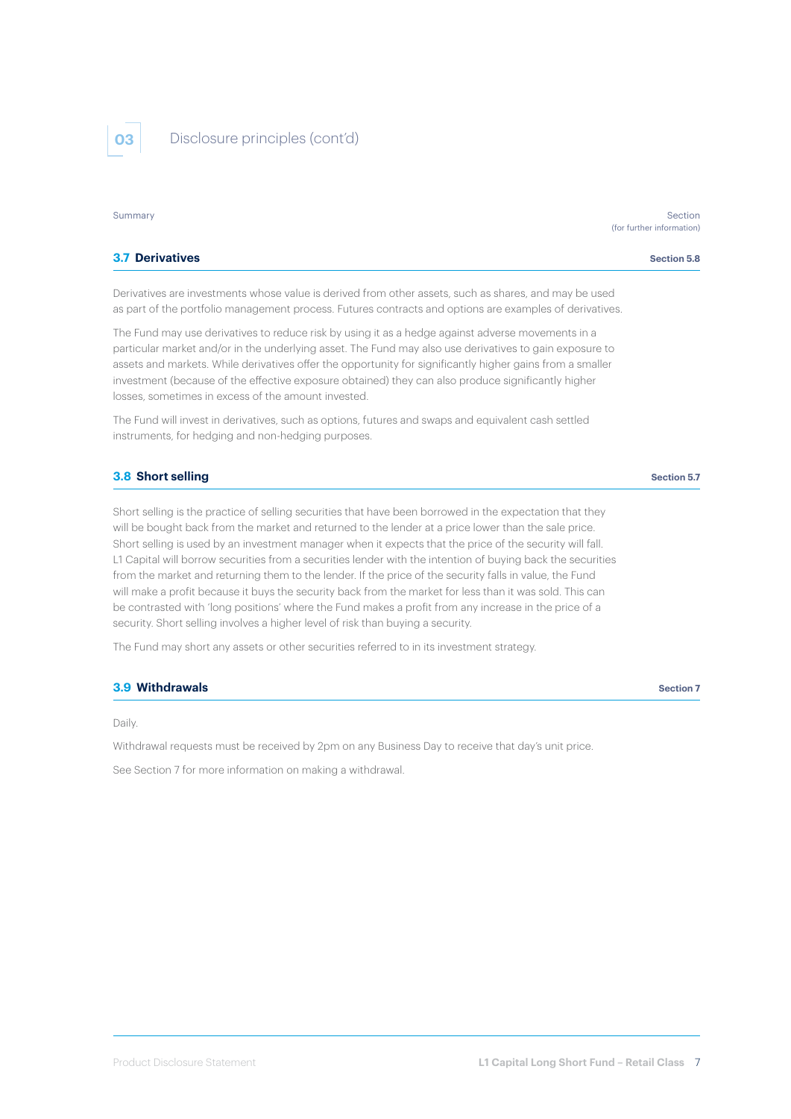

**03** Disclosure principles (cont'd)

| Summary                                                                                                                                                                                                                                                                                                                                                                                                                                                                                | Section<br>(for further information) |
|----------------------------------------------------------------------------------------------------------------------------------------------------------------------------------------------------------------------------------------------------------------------------------------------------------------------------------------------------------------------------------------------------------------------------------------------------------------------------------------|--------------------------------------|
| <b>3.7 Derivatives</b>                                                                                                                                                                                                                                                                                                                                                                                                                                                                 | <b>Section 5.8</b>                   |
| Derivatives are investments whose value is derived from other assets, such as shares, and may be used<br>as part of the portfolio management process. Futures contracts and options are examples of derivatives.                                                                                                                                                                                                                                                                       |                                      |
| The Fund may use derivatives to reduce risk by using it as a hedge against adverse movements in a<br>particular market and/or in the underlying asset. The Fund may also use derivatives to gain exposure to<br>assets and markets. While derivatives offer the opportunity for significantly higher gains from a smaller<br>investment (because of the effective exposure obtained) they can also produce significantly higher<br>losses, sometimes in excess of the amount invested. |                                      |
| The Fund will invest in derivatives, such as options, futures and swaps and equivalent cash settled<br>instruments, for hedging and non-hedging purposes.                                                                                                                                                                                                                                                                                                                              |                                      |

#### **3.8 Short selling Section 5.7** Section 5.7

Short selling is the practice of selling securities that have been borrowed in the expectation that they will be bought back from the market and returned to the lender at a price lower than the sale price. Short selling is used by an investment manager when it expects that the price of the security will fall. L1 Capital will borrow securities from a securities lender with the intention of buying back the securities from the market and returning them to the lender. If the price of the security falls in value, the Fund will make a profit because it buys the security back from the market for less than it was sold. This can be contrasted with 'long positions' where the Fund makes a profit from any increase in the price of a security. Short selling involves a higher level of risk than buying a security.

The Fund may short any assets or other securities referred to in its investment strategy.

#### **3.9 Withdrawals** Section 7 **Section 7 Section 7 Section 7 Section 7**

Daily.

Withdrawal requests must be received by 2pm on any Business Day to receive that day's unit price.

See Section 7 for more information on making a withdrawal.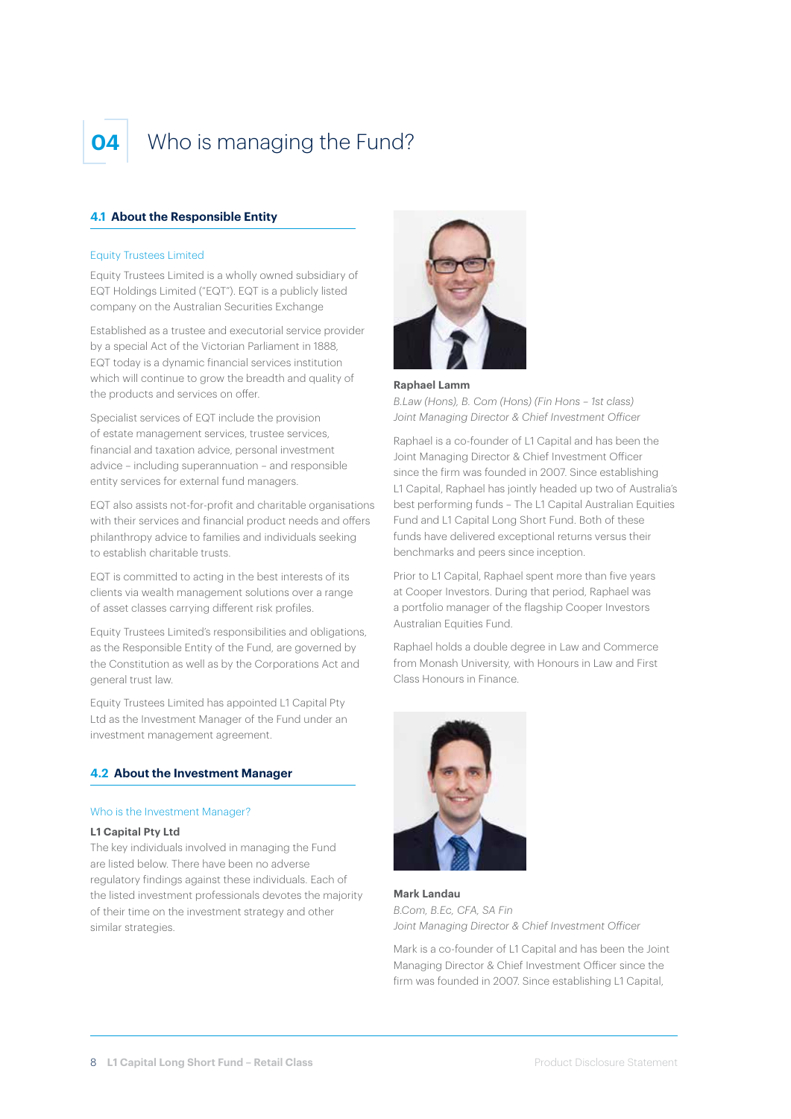

# Who is managing the Fund?

### **4.1 About the Responsible Entity**

#### Equity Trustees Limited

Equity Trustees Limited is a wholly owned subsidiary of EQT Holdings Limited ("EQT"). EQT is a publicly listed company on the Australian Securities Exchange

Established as a trustee and executorial service provider by a special Act of the Victorian Parliament in 1888, EQT today is a dynamic financial services institution which will continue to grow the breadth and quality of the products and services on offer.

Specialist services of EQT include the provision of estate management services, trustee services, financial and taxation advice, personal investment advice – including superannuation – and responsible entity services for external fund managers.

EQT also assists not-for-profit and charitable organisations with their services and financial product needs and offers philanthropy advice to families and individuals seeking to establish charitable trusts.

EQT is committed to acting in the best interests of its clients via wealth management solutions over a range of asset classes carrying different risk profiles.

Equity Trustees Limited's responsibilities and obligations, as the Responsible Entity of the Fund, are governed by the Constitution as well as by the Corporations Act and general trust law.

Equity Trustees Limited has appointed L1 Capital Pty Ltd as the Investment Manager of the Fund under an investment management agreement.

#### **4.2 About the Investment Manager**

#### Who is the Investment Manager?

#### **L1 Capital Pty Ltd**

The key individuals involved in managing the Fund are listed below. There have been no adverse regulatory findings against these individuals. Each of the listed investment professionals devotes the majority of their time on the investment strategy and other similar strategies.



#### **Raphael Lamm**

*B.Law (Hons), B. Com (Hons) (Fin Hons – 1st class) Joint Managing Director & Chief Investment Officer*

Raphael is a co-founder of L1 Capital and has been the Joint Managing Director & Chief Investment Officer since the firm was founded in 2007. Since establishing L1 Capital, Raphael has jointly headed up two of Australia's best performing funds – The L1 Capital Australian Equities Fund and L1 Capital Long Short Fund. Both of these funds have delivered exceptional returns versus their benchmarks and peers since inception.

Prior to L1 Capital, Raphael spent more than five years at Cooper Investors. During that period, Raphael was a portfolio manager of the flagship Cooper Investors Australian Equities Fund.

Raphael holds a double degree in Law and Commerce from Monash University, with Honours in Law and First Class Honours in Finance.



**Mark Landau** *B.Com, B.Ec, CFA, SA Fin Joint Managing Director & Chief Investment Officer*

Mark is a co-founder of L1 Capital and has been the Joint Managing Director & Chief Investment Officer since the firm was founded in 2007. Since establishing L1 Capital,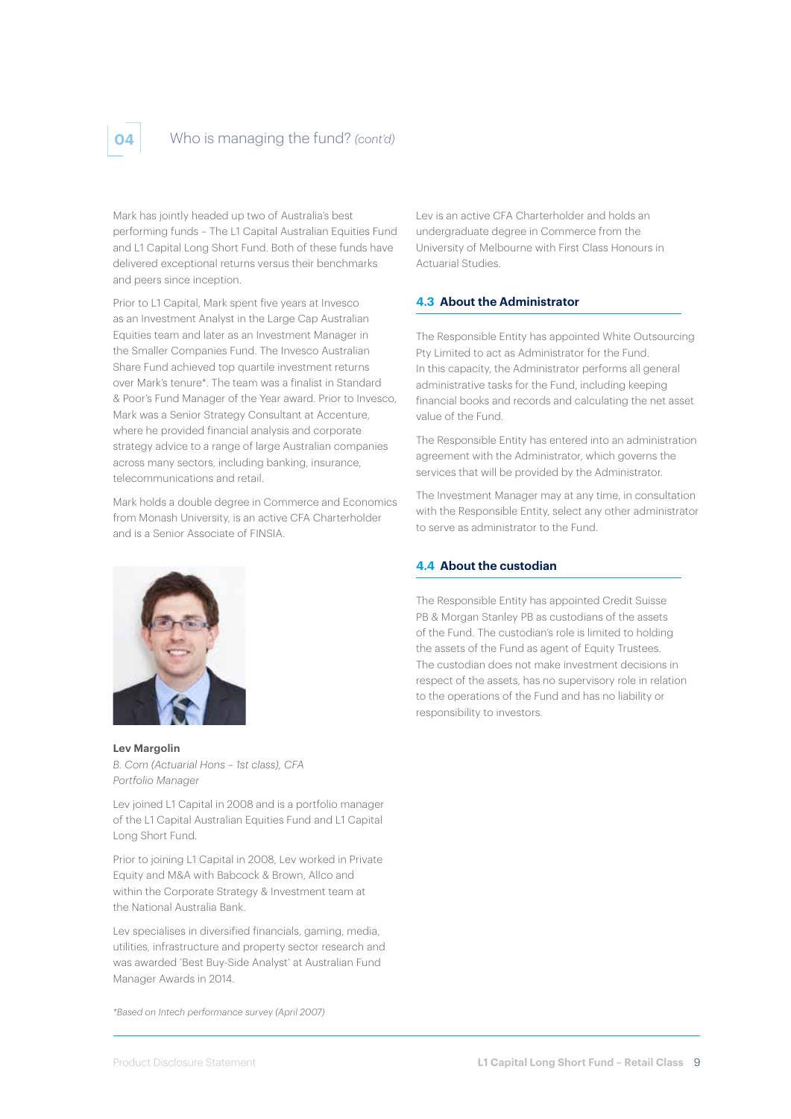# **04** Who is managing the fund? *(cont'd)*

Mark has jointly headed up two of Australia's best performing funds – The L1 Capital Australian Equities Fund and L1 Capital Long Short Fund. Both of these funds have delivered exceptional returns versus their benchmarks and peers since inception.

Prior to L1 Capital, Mark spent five years at Invesco as an Investment Analyst in the Large Cap Australian Equities team and later as an Investment Manager in the Smaller Companies Fund. The Invesco Australian Share Fund achieved top quartile investment returns over Mark's tenure\*. The team was a finalist in Standard & Poor's Fund Manager of the Year award. Prior to Invesco, Mark was a Senior Strategy Consultant at Accenture, where he provided financial analysis and corporate strategy advice to a range of large Australian companies across many sectors, including banking, insurance, telecommunications and retail.

Mark holds a double degree in Commerce and Economics from Monash University, is an active CFA Charterholder and is a Senior Associate of FINSIA.



**Lev Margolin** *B. Com (Actuarial Hons – 1st class), CFA Portfolio Manager* 

Lev joined L1 Capital in 2008 and is a portfolio manager of the L1 Capital Australian Equities Fund and L1 Capital Long Short Fund.

Prior to joining L1 Capital in 2008, Lev worked in Private Equity and M&A with Babcock & Brown, Allco and within the Corporate Strategy & Investment team at the National Australia Bank.

Lev specialises in diversified financials, gaming, media, utilities, infrastructure and property sector research and was awarded 'Best Buy-Side Analyst' at Australian Fund Manager Awards in 2014.

*\*Based on Intech performance survey (April 2007)*

Lev is an active CFA Charterholder and holds an undergraduate degree in Commerce from the University of Melbourne with First Class Honours in Actuarial Studies.

#### **4.3 About the Administrator**

The Responsible Entity has appointed White Outsourcing Pty Limited to act as Administrator for the Fund. In this capacity, the Administrator performs all general administrative tasks for the Fund, including keeping financial books and records and calculating the net asset value of the Fund.

The Responsible Entity has entered into an administration agreement with the Administrator, which governs the services that will be provided by the Administrator.

The Investment Manager may at any time, in consultation with the Responsible Entity, select any other administrator to serve as administrator to the Fund.

# **4.4 About the custodian**

The Responsible Entity has appointed Credit Suisse PB & Morgan Stanley PB as custodians of the assets of the Fund. The custodian's role is limited to holding the assets of the Fund as agent of Equity Trustees. The custodian does not make investment decisions in respect of the assets, has no supervisory role in relation to the operations of the Fund and has no liability or responsibility to investors.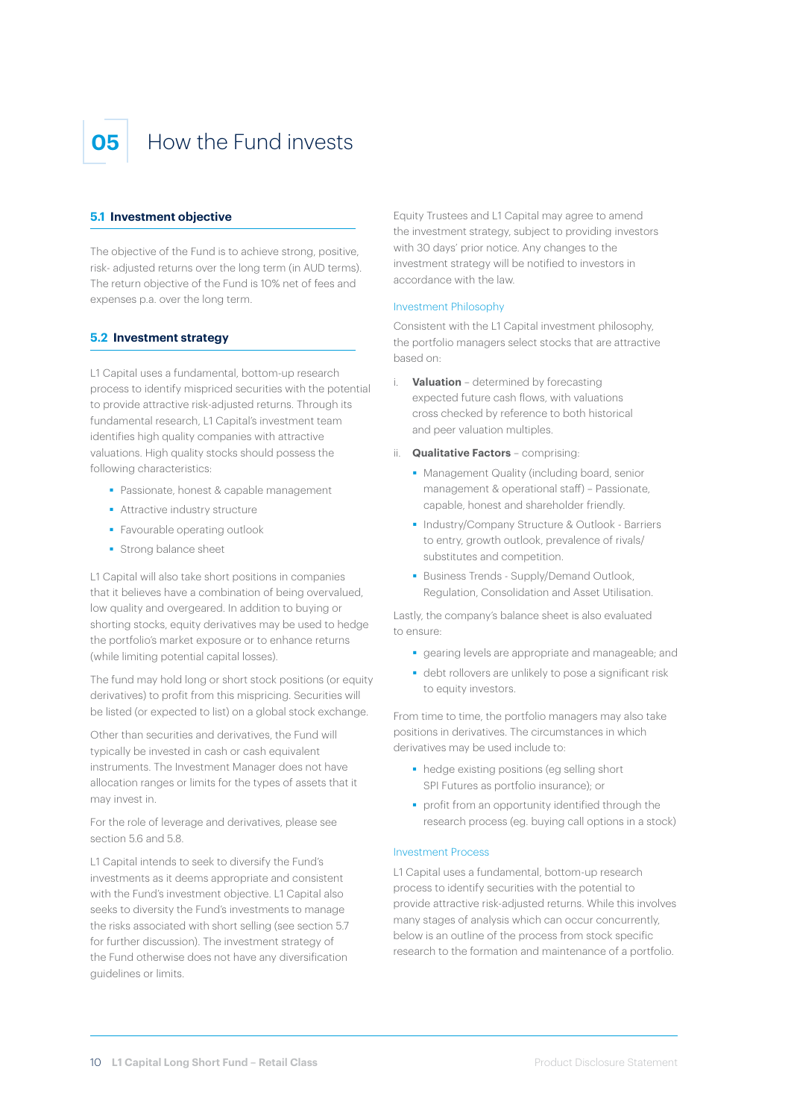

# **05** How the Fund invests

#### **5.1 Investment objective**

The objective of the Fund is to achieve strong, positive, risk- adjusted returns over the long term (in AUD terms). The return objective of the Fund is 10% net of fees and expenses p.a. over the long term.

#### **5.2 Investment strategy**

L1 Capital uses a fundamental, bottom-up research process to identify mispriced securities with the potential to provide attractive risk-adjusted returns. Through its fundamental research, L1 Capital's investment team identifies high quality companies with attractive valuations. High quality stocks should possess the following characteristics:

- **Passionate, honest & capable management**
- **Attractive industry structure**
- **Favourable operating outlook**
- **Strong balance sheet**

L1 Capital will also take short positions in companies that it believes have a combination of being overvalued, low quality and overgeared. In addition to buying or shorting stocks, equity derivatives may be used to hedge the portfolio's market exposure or to enhance returns (while limiting potential capital losses).

The fund may hold long or short stock positions (or equity derivatives) to profit from this mispricing. Securities will be listed (or expected to list) on a global stock exchange.

Other than securities and derivatives, the Fund will typically be invested in cash or cash equivalent instruments. The Investment Manager does not have allocation ranges or limits for the types of assets that it may invest in.

For the role of leverage and derivatives, please see section 5.6 and 5.8.

L1 Capital intends to seek to diversify the Fund's investments as it deems appropriate and consistent with the Fund's investment objective. L1 Capital also seeks to diversity the Fund's investments to manage the risks associated with short selling (see section 5.7 for further discussion). The investment strategy of the Fund otherwise does not have any diversification guidelines or limits.

Equity Trustees and L1 Capital may agree to amend the investment strategy, subject to providing investors with 30 days' prior notice. Any changes to the investment strategy will be notified to investors in accordance with the law.

#### Investment Philosophy

Consistent with the L1 Capital investment philosophy, the portfolio managers select stocks that are attractive based on:

- i. **Valuation** determined by forecasting expected future cash flows, with valuations cross checked by reference to both historical and peer valuation multiples.
- ii. **Qualitative Factors** comprising:
	- **Management Quality (including board, senior** management & operational staff) – Passionate, capable, honest and shareholder friendly.
	- **Industry/Company Structure & Outlook Barriers** to entry, growth outlook, prevalence of rivals/ substitutes and competition.
	- **Business Trends Supply/Demand Outlook,** Regulation, Consolidation and Asset Utilisation.

Lastly, the company's balance sheet is also evaluated to ensure:

- gearing levels are appropriate and manageable; and
- debt rollovers are unlikely to pose a significant risk to equity investors.

From time to time, the portfolio managers may also take positions in derivatives. The circumstances in which derivatives may be used include to:

- hedge existing positions (eg selling short SPI Futures as portfolio insurance); or
- **•** profit from an opportunity identified through the research process (eg. buying call options in a stock)

#### Investment Process

L1 Capital uses a fundamental, bottom-up research process to identify securities with the potential to provide attractive risk-adjusted returns. While this involves many stages of analysis which can occur concurrently, below is an outline of the process from stock specific research to the formation and maintenance of a portfolio.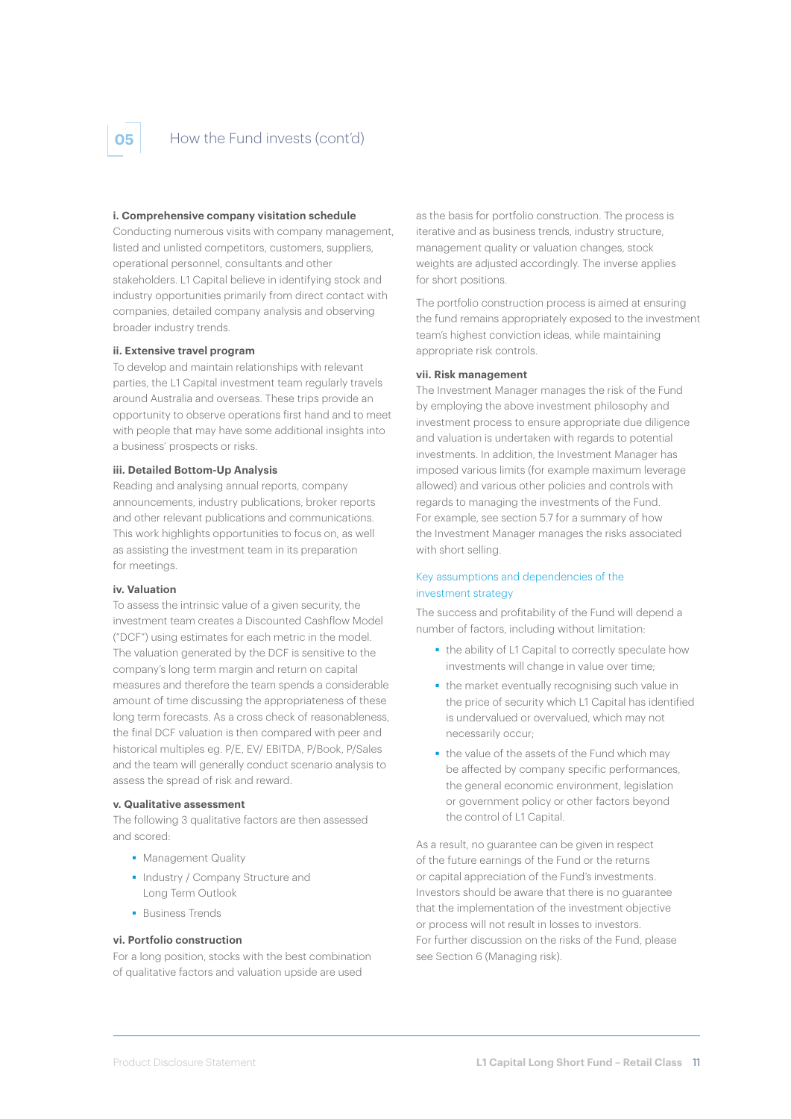# **05** How the Fund invests (cont'd)

#### **i. Comprehensive company visitation schedule**

Conducting numerous visits with company management, listed and unlisted competitors, customers, suppliers, operational personnel, consultants and other stakeholders. L1 Capital believe in identifying stock and industry opportunities primarily from direct contact with companies, detailed company analysis and observing broader industry trends.

#### **ii. Extensive travel program**

To develop and maintain relationships with relevant parties, the L1 Capital investment team regularly travels around Australia and overseas. These trips provide an opportunity to observe operations first hand and to meet with people that may have some additional insights into a business' prospects or risks.

#### **iii. Detailed Bottom-Up Analysis**

Reading and analysing annual reports, company announcements, industry publications, broker reports and other relevant publications and communications. This work highlights opportunities to focus on, as well as assisting the investment team in its preparation for meetings.

#### **iv. Valuation**

To assess the intrinsic value of a given security, the investment team creates a Discounted Cashflow Model ("DCF") using estimates for each metric in the model. The valuation generated by the DCF is sensitive to the company's long term margin and return on capital measures and therefore the team spends a considerable amount of time discussing the appropriateness of these long term forecasts. As a cross check of reasonableness, the final DCF valuation is then compared with peer and historical multiples eg. P/E, EV/ EBITDA, P/Book, P/Sales and the team will generally conduct scenario analysis to assess the spread of risk and reward.

#### **v. Qualitative assessment**

The following 3 qualitative factors are then assessed and scored:

- **Management Quality**
- **Industry / Company Structure and** Long Term Outlook
- **Business Trands**

#### **vi. Portfolio construction**

For a long position, stocks with the best combination of qualitative factors and valuation upside are used

as the basis for portfolio construction. The process is iterative and as business trends, industry structure, management quality or valuation changes, stock weights are adjusted accordingly. The inverse applies for short positions.

The portfolio construction process is aimed at ensuring the fund remains appropriately exposed to the investment team's highest conviction ideas, while maintaining appropriate risk controls.

#### **vii. Risk management**

The Investment Manager manages the risk of the Fund by employing the above investment philosophy and investment process to ensure appropriate due diligence and valuation is undertaken with regards to potential investments. In addition, the Investment Manager has imposed various limits (for example maximum leverage allowed) and various other policies and controls with regards to managing the investments of the Fund. For example, see section 5.7 for a summary of how the Investment Manager manages the risks associated with short selling.

#### Key assumptions and dependencies of the investment strategy

The success and profitability of the Fund will depend a number of factors, including without limitation:

- the ability of L1 Capital to correctly speculate how investments will change in value over time;
- the market eventually recognising such value in the price of security which L1 Capital has identified is undervalued or overvalued, which may not necessarily occur;
- the value of the assets of the Fund which may be affected by company specific performances, the general economic environment, legislation or government policy or other factors beyond the control of L1 Capital.

As a result, no guarantee can be given in respect of the future earnings of the Fund or the returns or capital appreciation of the Fund's investments. Investors should be aware that there is no guarantee that the implementation of the investment objective or process will not result in losses to investors. For further discussion on the risks of the Fund, please see Section 6 (Managing risk).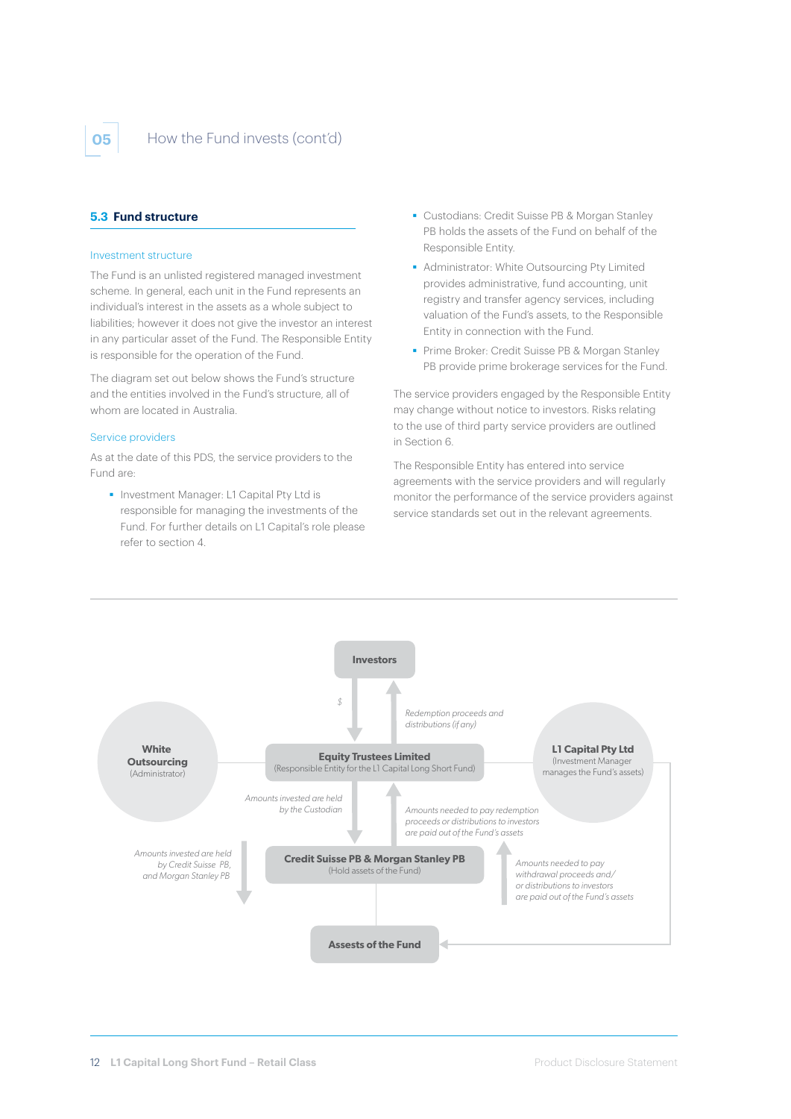

### **05** How the Fund invests (cont'd)

## **5.3 Fund structure**

#### Investment structure

The Fund is an unlisted registered managed investment scheme. In general, each unit in the Fund represents an individual's interest in the assets as a whole subject to liabilities; however it does not give the investor an interest in any particular asset of the Fund. The Responsible Entity is responsible for the operation of the Fund.

The diagram set out below shows the Fund's structure and the entities involved in the Fund's structure, all of whom are located in Australia.

#### Service providers

As at the date of this PDS, the service providers to the Fund are:

**Investment Manager: L1 Capital Pty Ltd is** responsible for managing the investments of the Fund. For further details on L1 Capital's role please refer to section 4.

- Custodians: Credit Suisse PB & Morgan Stanley PB holds the assets of the Fund on behalf of the Responsible Entity.
- Administrator: White Outsourcing Pty Limited provides administrative, fund accounting, unit registry and transfer agency services, including valuation of the Fund's assets, to the Responsible Entity in connection with the Fund.
- **Prime Broker: Credit Suisse PB & Morgan Stanley** PB provide prime brokerage services for the Fund.

The service providers engaged by the Responsible Entity may change without notice to investors. Risks relating to the use of third party service providers are outlined in Section 6.

The Responsible Entity has entered into service agreements with the service providers and will regularly monitor the performance of the service providers against service standards set out in the relevant agreements.

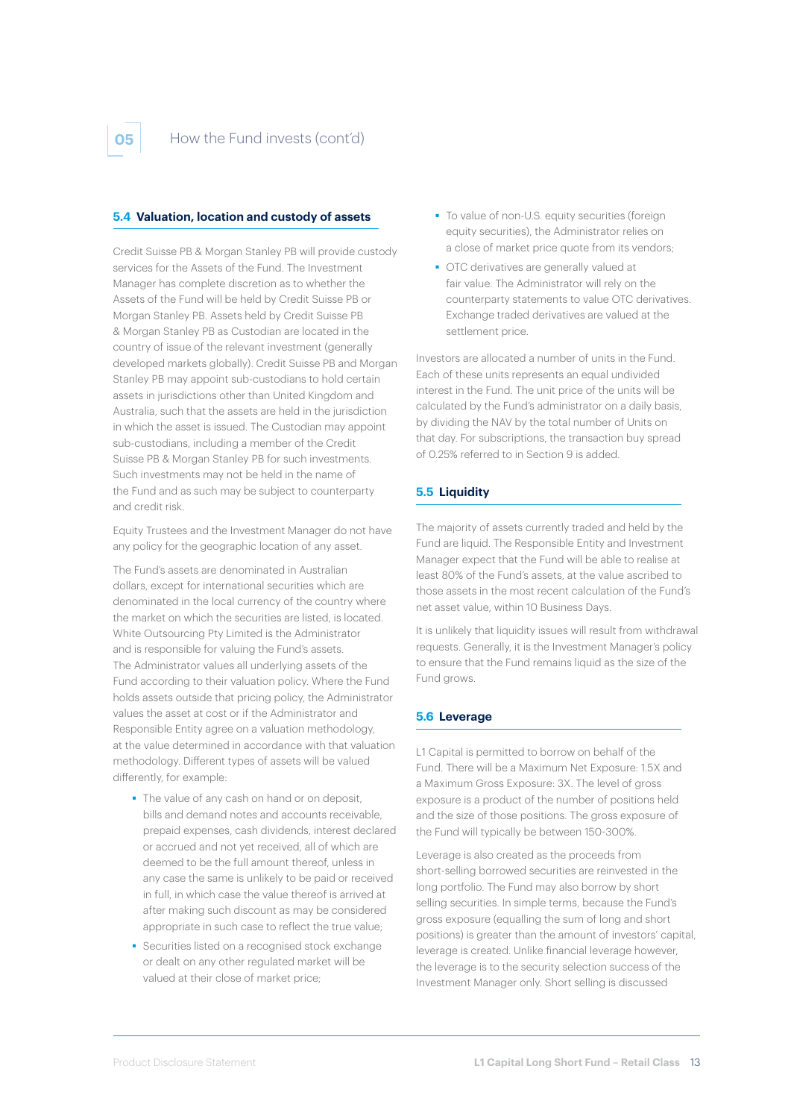#### **5.4 Valuation, location and custody of assets**

Credit Suisse PB & Morgan Stanley PB will provide custody services for the Assets of the Fund. The Investment Manager has complete discretion as to whether the Assets of the Fund will be held by Credit Suisse PB or Morgan Stanley PB. Assets held by Credit Suisse PB & Morgan Stanley PB as Custodian are located in the country of issue of the relevant investment (generally developed markets globally). Credit Suisse PB and Morgan Stanley PB may appoint sub-custodians to hold certain assets in jurisdictions other than United Kingdom and Australia, such that the assets are held in the jurisdiction in which the asset is issued. The Custodian may appoint sub-custodians, including a member of the Credit Suisse PB & Morgan Stanley PB for such investments. Such investments may not be held in the name of the Fund and as such may be subject to counterparty and credit risk.

Equity Trustees and the Investment Manager do not have any policy for the geographic location of any asset.

The Fund's assets are denominated in Australian dollars, except for international securities which are denominated in the local currency of the country where the market on which the securities are listed, is located. White Outsourcing Pty Limited is the Administrator and is responsible for valuing the Fund's assets. The Administrator values all underlying assets of the Fund according to their valuation policy. Where the Fund holds assets outside that pricing policy, the Administrator values the asset at cost or if the Administrator and Responsible Entity agree on a valuation methodology, at the value determined in accordance with that valuation methodology. Different types of assets will be valued differently, for example:

- The value of any cash on hand or on deposit. bills and demand notes and accounts receivable, prepaid expenses, cash dividends, interest declared or accrued and not yet received, all of which are deemed to be the full amount thereof, unless in any case the same is unlikely to be paid or received in full, in which case the value thereof is arrived at after making such discount as may be considered appropriate in such case to reflect the true value;
- **Securities listed on a recognised stock exchange** or dealt on any other regulated market will be valued at their close of market price;
- To value of non-U.S. equity securities (foreign equity securities), the Administrator relies on a close of market price quote from its vendors;
- OTC derivatives are generally valued at fair value. The Administrator will rely on the counterparty statements to value OTC derivatives. Exchange traded derivatives are valued at the settlement price.

Investors are allocated a number of units in the Fund. Each of these units represents an equal undivided interest in the Fund. The unit price of the units will be calculated by the Fund's administrator on a daily basis, by dividing the NAV by the total number of Units on that day. For subscriptions, the transaction buy spread of 0.25% referred to in Section 9 is added.

### **5.5 Liquidity**

The majority of assets currently traded and held by the Fund are liquid. The Responsible Entity and Investment Manager expect that the Fund will be able to realise at least 80% of the Fund's assets, at the value ascribed to those assets in the most recent calculation of the Fund's net asset value, within 10 Business Days.

It is unlikely that liquidity issues will result from withdrawal requests. Generally, it is the Investment Manager's policy to ensure that the Fund remains liquid as the size of the Fund grows.

#### **5.6 Leverage**

L1 Capital is permitted to borrow on behalf of the Fund. There will be a Maximum Net Exposure: 1.5X and a Maximum Gross Exposure: 3X. The level of gross exposure is a product of the number of positions held and the size of those positions. The gross exposure of the Fund will typically be between 150-300%.

Leverage is also created as the proceeds from short-selling borrowed securities are reinvested in the long portfolio. The Fund may also borrow by short selling securities. In simple terms, because the Fund's gross exposure (equalling the sum of long and short positions) is greater than the amount of investors' capital, leverage is created. Unlike financial leverage however, the leverage is to the security selection success of the Investment Manager only. Short selling is discussed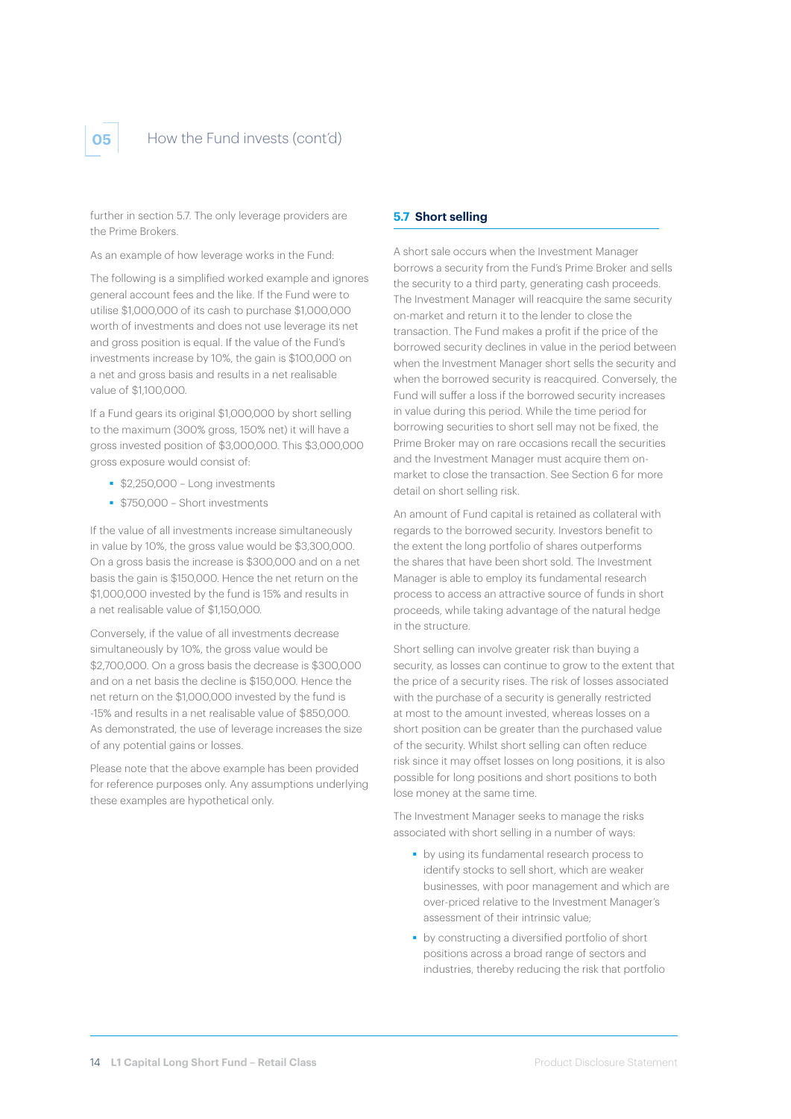

further in section 5.7. The only leverage providers are the Prime Brokers.

As an example of how leverage works in the Fund:

The following is a simplified worked example and ignores general account fees and the like. If the Fund were to utilise \$1,000,000 of its cash to purchase \$1,000,000 worth of investments and does not use leverage its net and gross position is equal. If the value of the Fund's investments increase by 10%, the gain is \$100,000 on a net and gross basis and results in a net realisable value of \$1,100,000.

If a Fund gears its original \$1,000,000 by short selling to the maximum (300% gross, 150% net) it will have a gross invested position of \$3,000,000. This \$3,000,000 gross exposure would consist of:

- **\$2,250,000 Long investments**
- **\$750,000 Short investments**

If the value of all investments increase simultaneously in value by 10%, the gross value would be \$3,300,000. On a gross basis the increase is \$300,000 and on a net basis the gain is \$150,000. Hence the net return on the \$1,000,000 invested by the fund is 15% and results in a net realisable value of \$1,150,000.

Conversely, if the value of all investments decrease simultaneously by 10%, the gross value would be \$2,700,000. On a gross basis the decrease is \$300,000 and on a net basis the decline is \$150,000. Hence the net return on the \$1,000,000 invested by the fund is -15% and results in a net realisable value of \$850,000. As demonstrated, the use of leverage increases the size of any potential gains or losses.

Please note that the above example has been provided for reference purposes only. Any assumptions underlying these examples are hypothetical only.

#### **5.7 Short selling**

A short sale occurs when the Investment Manager borrows a security from the Fund's Prime Broker and sells the security to a third party, generating cash proceeds. The Investment Manager will reacquire the same security on-market and return it to the lender to close the transaction. The Fund makes a profit if the price of the borrowed security declines in value in the period between when the Investment Manager short sells the security and when the borrowed security is reacquired. Conversely, the Fund will suffer a loss if the borrowed security increases in value during this period. While the time period for borrowing securities to short sell may not be fixed, the Prime Broker may on rare occasions recall the securities and the Investment Manager must acquire them onmarket to close the transaction. See Section 6 for more detail on short selling risk.

An amount of Fund capital is retained as collateral with regards to the borrowed security. Investors benefit to the extent the long portfolio of shares outperforms the shares that have been short sold. The Investment Manager is able to employ its fundamental research process to access an attractive source of funds in short proceeds, while taking advantage of the natural hedge in the structure.

Short selling can involve greater risk than buying a security, as losses can continue to grow to the extent that the price of a security rises. The risk of losses associated with the purchase of a security is generally restricted at most to the amount invested, whereas losses on a short position can be greater than the purchased value of the security. Whilst short selling can often reduce risk since it may offset losses on long positions, it is also possible for long positions and short positions to both lose money at the same time.

The Investment Manager seeks to manage the risks associated with short selling in a number of ways:

- **by using its fundamental research process to** identify stocks to sell short, which are weaker businesses, with poor management and which are over-priced relative to the Investment Manager's assessment of their intrinsic value;
- **by constructing a diversified portfolio of short** positions across a broad range of sectors and industries, thereby reducing the risk that portfolio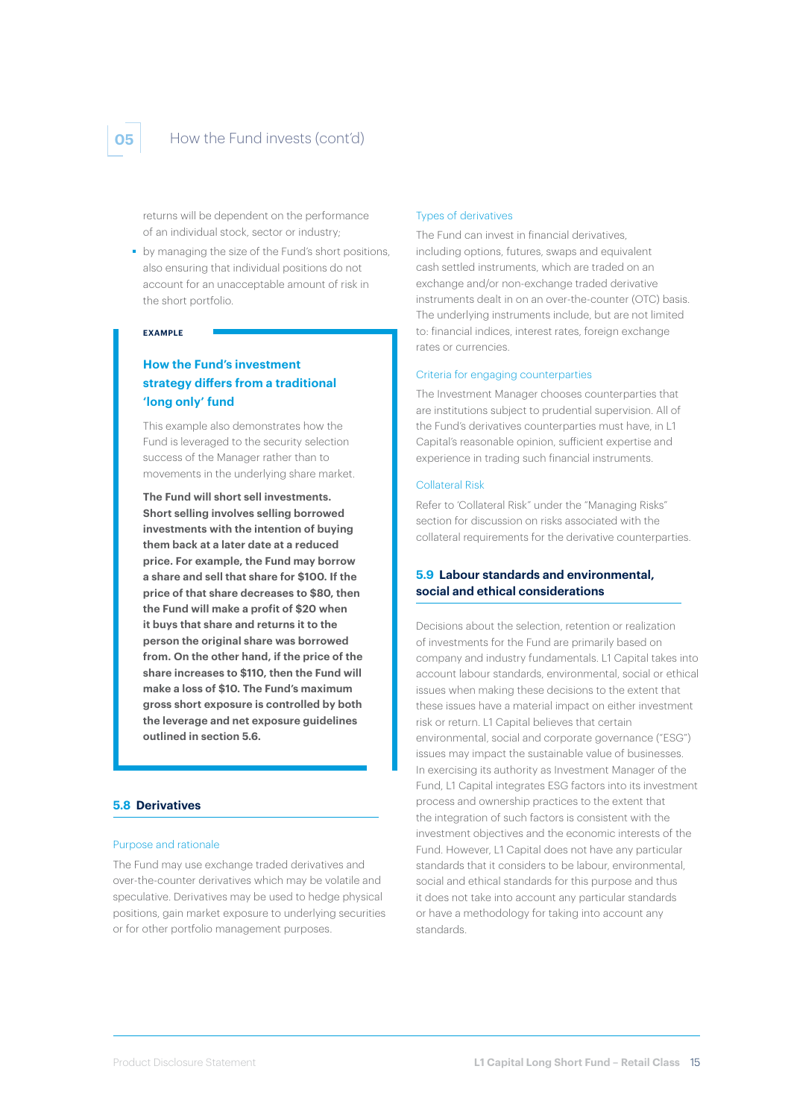# **05** How the Fund invests (cont'd)

returns will be dependent on the performance of an individual stock, sector or industry;

by managing the size of the Fund's short positions, also ensuring that individual positions do not account for an unacceptable amount of risk in the short portfolio.

#### **EXAMPLE**

# **How the Fund's investment strategy differs from a traditional 'long only' fund**

This example also demonstrates how the Fund is leveraged to the security selection success of the Manager rather than to movements in the underlying share market.

**The Fund will short sell investments. Short selling involves selling borrowed investments with the intention of buying them back at a later date at a reduced price. For example, the Fund may borrow a share and sell that share for \$100. If the price of that share decreases to \$80, then the Fund will make a profit of \$20 when it buys that share and returns it to the person the original share was borrowed from. On the other hand, if the price of the share increases to \$110, then the Fund will make a loss of \$10. The Fund's maximum gross short exposure is controlled by both the leverage and net exposure guidelines outlined in section 5.6.** 

#### **5.8 Derivatives**

#### Purpose and rationale

The Fund may use exchange traded derivatives and over-the-counter derivatives which may be volatile and speculative. Derivatives may be used to hedge physical positions, gain market exposure to underlying securities or for other portfolio management purposes.

#### Types of derivatives

The Fund can invest in financial derivatives, including options, futures, swaps and equivalent cash settled instruments, which are traded on an exchange and/or non-exchange traded derivative instruments dealt in on an over-the-counter (OTC) basis. The underlying instruments include, but are not limited to: financial indices, interest rates, foreign exchange rates or currencies.

#### Criteria for engaging counterparties

The Investment Manager chooses counterparties that are institutions subject to prudential supervision. All of the Fund's derivatives counterparties must have, in L1 Capital's reasonable opinion, sufficient expertise and experience in trading such financial instruments.

#### Collateral Risk

Refer to 'Collateral Risk" under the "Managing Risks" section for discussion on risks associated with the collateral requirements for the derivative counterparties.

### **5.9 Labour standards and environmental, social and ethical considerations**

Decisions about the selection, retention or realization of investments for the Fund are primarily based on company and industry fundamentals. L1 Capital takes into account labour standards, environmental, social or ethical issues when making these decisions to the extent that these issues have a material impact on either investment risk or return. L1 Capital believes that certain environmental, social and corporate governance ("ESG") issues may impact the sustainable value of businesses. In exercising its authority as Investment Manager of the Fund, L1 Capital integrates ESG factors into its investment process and ownership practices to the extent that the integration of such factors is consistent with the investment objectives and the economic interests of the Fund. However, L1 Capital does not have any particular standards that it considers to be labour, environmental, social and ethical standards for this purpose and thus it does not take into account any particular standards or have a methodology for taking into account any standards.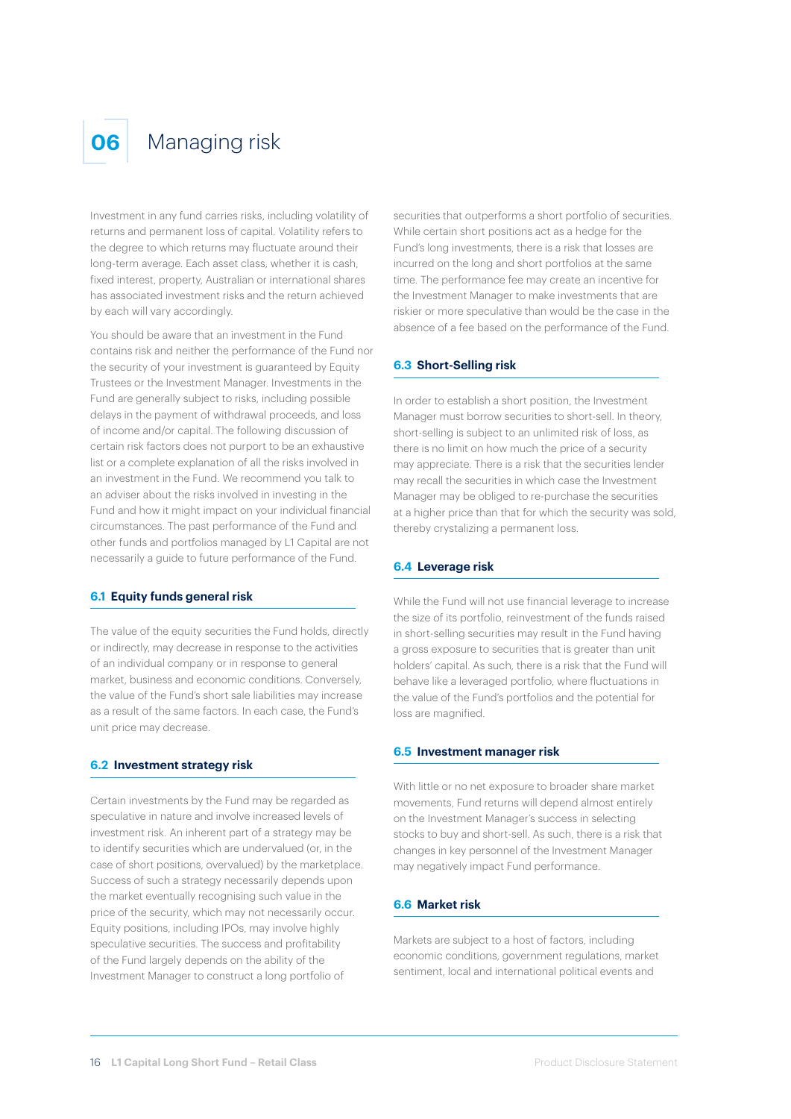

# **06** Managing risk

Investment in any fund carries risks, including volatility of returns and permanent loss of capital. Volatility refers to the degree to which returns may fluctuate around their long-term average. Each asset class, whether it is cash, fixed interest, property, Australian or international shares has associated investment risks and the return achieved by each will vary accordingly.

You should be aware that an investment in the Fund contains risk and neither the performance of the Fund nor the security of your investment is guaranteed by Equity Trustees or the Investment Manager. Investments in the Fund are generally subject to risks, including possible delays in the payment of withdrawal proceeds, and loss of income and/or capital. The following discussion of certain risk factors does not purport to be an exhaustive list or a complete explanation of all the risks involved in an investment in the Fund. We recommend you talk to an adviser about the risks involved in investing in the Fund and how it might impact on your individual financial circumstances. The past performance of the Fund and other funds and portfolios managed by L1 Capital are not necessarily a guide to future performance of the Fund.

#### **6.1 Equity funds general risk**

The value of the equity securities the Fund holds, directly or indirectly, may decrease in response to the activities of an individual company or in response to general market, business and economic conditions. Conversely, the value of the Fund's short sale liabilities may increase as a result of the same factors. In each case, the Fund's unit price may decrease.

#### **6.2 Investment strategy risk**

Certain investments by the Fund may be regarded as speculative in nature and involve increased levels of investment risk. An inherent part of a strategy may be to identify securities which are undervalued (or, in the case of short positions, overvalued) by the marketplace. Success of such a strategy necessarily depends upon the market eventually recognising such value in the price of the security, which may not necessarily occur. Equity positions, including IPOs, may involve highly speculative securities. The success and profitability of the Fund largely depends on the ability of the Investment Manager to construct a long portfolio of

securities that outperforms a short portfolio of securities. While certain short positions act as a hedge for the Fund's long investments, there is a risk that losses are incurred on the long and short portfolios at the same time. The performance fee may create an incentive for the Investment Manager to make investments that are riskier or more speculative than would be the case in the absence of a fee based on the performance of the Fund.

#### **6.3 Short-Selling risk**

In order to establish a short position, the Investment Manager must borrow securities to short-sell. In theory, short-selling is subject to an unlimited risk of loss, as there is no limit on how much the price of a security may appreciate. There is a risk that the securities lender may recall the securities in which case the Investment Manager may be obliged to re-purchase the securities at a higher price than that for which the security was sold, thereby crystalizing a permanent loss.

#### **6.4 Leverage risk**

While the Fund will not use financial leverage to increase the size of its portfolio, reinvestment of the funds raised in short-selling securities may result in the Fund having a gross exposure to securities that is greater than unit holders' capital. As such, there is a risk that the Fund will behave like a leveraged portfolio, where fluctuations in the value of the Fund's portfolios and the potential for loss are magnified.

#### **6.5 Investment manager risk**

With little or no net exposure to broader share market movements, Fund returns will depend almost entirely on the Investment Manager's success in selecting stocks to buy and short-sell. As such, there is a risk that changes in key personnel of the Investment Manager may negatively impact Fund performance.

#### **6.6 Market risk**

Markets are subject to a host of factors, including economic conditions, government regulations, market sentiment, local and international political events and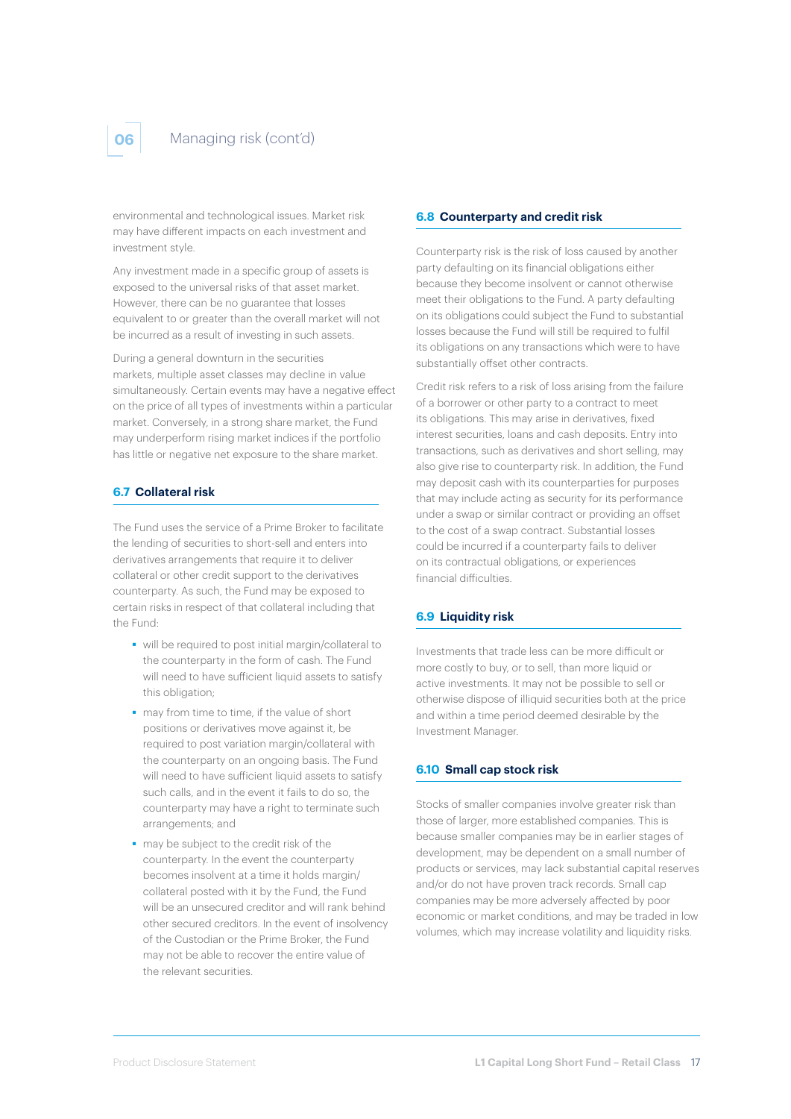environmental and technological issues. Market risk may have different impacts on each investment and investment style.

Any investment made in a specific group of assets is exposed to the universal risks of that asset market. However, there can be no guarantee that losses equivalent to or greater than the overall market will not be incurred as a result of investing in such assets.

During a general downturn in the securities markets, multiple asset classes may decline in value simultaneously. Certain events may have a negative effect on the price of all types of investments within a particular market. Conversely, in a strong share market, the Fund may underperform rising market indices if the portfolio has little or negative net exposure to the share market.

# **6.7 Collateral risk**

The Fund uses the service of a Prime Broker to facilitate the lending of securities to short-sell and enters into derivatives arrangements that require it to deliver collateral or other credit support to the derivatives counterparty. As such, the Fund may be exposed to certain risks in respect of that collateral including that the Fund:

- will be required to post initial margin/collateral to the counterparty in the form of cash. The Fund will need to have sufficient liquid assets to satisfy this obligation;
- may from time to time, if the value of short positions or derivatives move against it, be required to post variation margin/collateral with the counterparty on an ongoing basis. The Fund will need to have sufficient liquid assets to satisfy such calls, and in the event it fails to do so, the counterparty may have a right to terminate such arrangements; and
- may be subject to the credit risk of the counterparty. In the event the counterparty becomes insolvent at a time it holds margin/ collateral posted with it by the Fund, the Fund will be an unsecured creditor and will rank behind other secured creditors. In the event of insolvency of the Custodian or the Prime Broker, the Fund may not be able to recover the entire value of the relevant securities.

### **6.8 Counterparty and credit risk**

Counterparty risk is the risk of loss caused by another party defaulting on its financial obligations either because they become insolvent or cannot otherwise meet their obligations to the Fund. A party defaulting on its obligations could subject the Fund to substantial losses because the Fund will still be required to fulfil its obligations on any transactions which were to have substantially offset other contracts.

Credit risk refers to a risk of loss arising from the failure of a borrower or other party to a contract to meet its obligations. This may arise in derivatives, fixed interest securities, loans and cash deposits. Entry into transactions, such as derivatives and short selling, may also give rise to counterparty risk. In addition, the Fund may deposit cash with its counterparties for purposes that may include acting as security for its performance under a swap or similar contract or providing an offset to the cost of a swap contract. Substantial losses could be incurred if a counterparty fails to deliver on its contractual obligations, or experiences financial difficulties.

#### **6.9 Liquidity risk**

Investments that trade less can be more difficult or more costly to buy, or to sell, than more liquid or active investments. It may not be possible to sell or otherwise dispose of illiquid securities both at the price and within a time period deemed desirable by the Investment Manager.

#### **6.10 Small cap stock risk**

Stocks of smaller companies involve greater risk than those of larger, more established companies. This is because smaller companies may be in earlier stages of development, may be dependent on a small number of products or services, may lack substantial capital reserves and/or do not have proven track records. Small cap companies may be more adversely affected by poor economic or market conditions, and may be traded in low volumes, which may increase volatility and liquidity risks.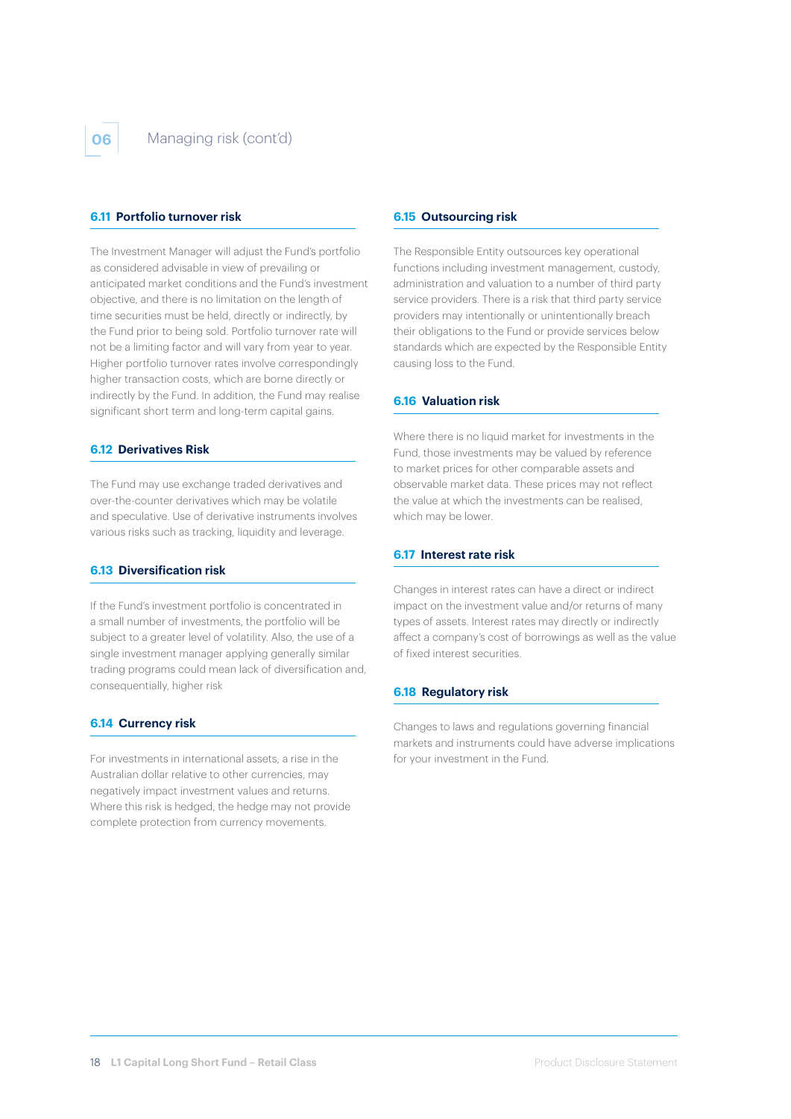#### **6.11 Portfolio turnover risk**

The Investment Manager will adjust the Fund's portfolio as considered advisable in view of prevailing or anticipated market conditions and the Fund's investment objective, and there is no limitation on the length of time securities must be held, directly or indirectly, by the Fund prior to being sold. Portfolio turnover rate will not be a limiting factor and will vary from year to year. Higher portfolio turnover rates involve correspondingly higher transaction costs, which are borne directly or indirectly by the Fund. In addition, the Fund may realise significant short term and long-term capital gains.

#### **6.12 Derivatives Risk**

The Fund may use exchange traded derivatives and over-the-counter derivatives which may be volatile and speculative. Use of derivative instruments involves various risks such as tracking, liquidity and leverage.

#### **6.13 Diversification risk**

If the Fund's investment portfolio is concentrated in a small number of investments, the portfolio will be subject to a greater level of volatility. Also, the use of a single investment manager applying generally similar trading programs could mean lack of diversification and, consequentially, higher risk

#### **6.14 Currency risk**

For investments in international assets, a rise in the Australian dollar relative to other currencies, may negatively impact investment values and returns. Where this risk is hedged, the hedge may not provide complete protection from currency movements.

#### **6.15 Outsourcing risk**

The Responsible Entity outsources key operational functions including investment management, custody, administration and valuation to a number of third party service providers. There is a risk that third party service providers may intentionally or unintentionally breach their obligations to the Fund or provide services below standards which are expected by the Responsible Entity causing loss to the Fund.

#### **6.16 Valuation risk**

Where there is no liquid market for investments in the Fund, those investments may be valued by reference to market prices for other comparable assets and observable market data. These prices may not reflect the value at which the investments can be realised, which may be lower.

#### **6.17 Interest rate risk**

Changes in interest rates can have a direct or indirect impact on the investment value and/or returns of many types of assets. Interest rates may directly or indirectly affect a company's cost of borrowings as well as the value of fixed interest securities.

#### **6.18 Regulatory risk**

Changes to laws and regulations governing financial markets and instruments could have adverse implications for your investment in the Fund.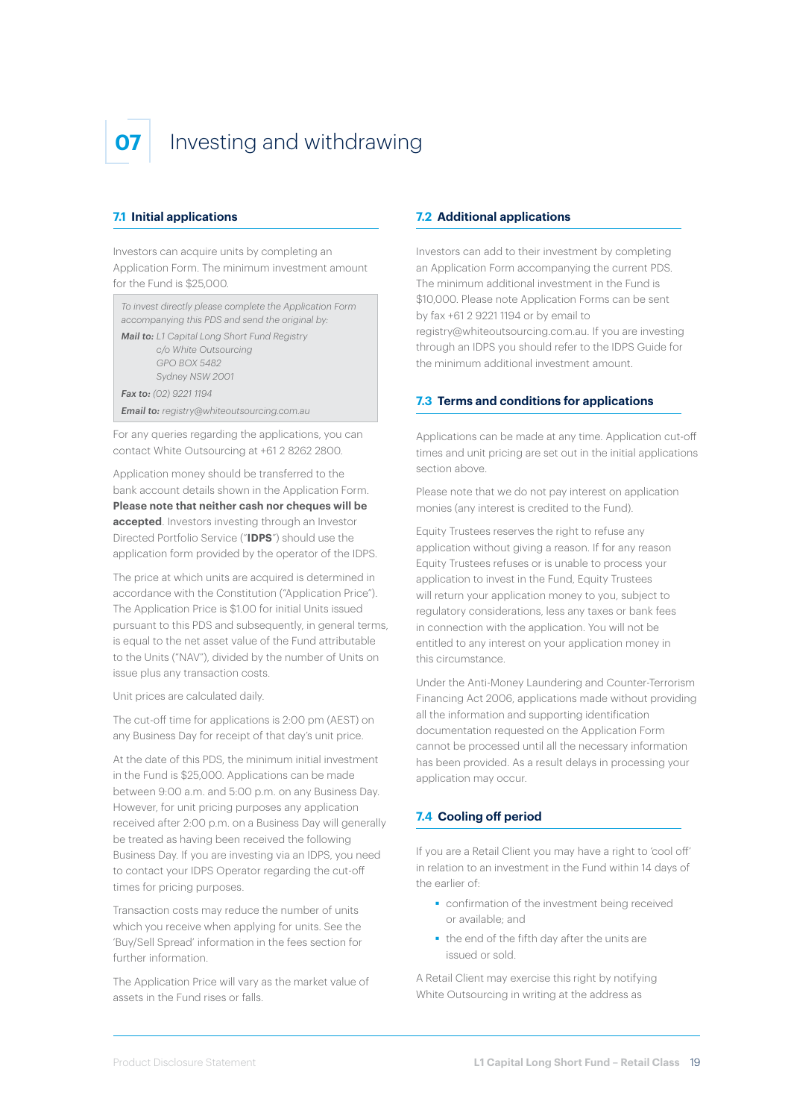# **07** Investing and withdrawing

#### **7.1 Initial applications**

Investors can acquire units by completing an Application Form. The minimum investment amount for the Fund is \$25,000.

*To invest directly please complete the Application Form accompanying this PDS and send the original by:*

*Mail to: L1 Capital Long Short Fund Registry c/o White Outsourcing GPO BOX 5482 Sydney NSW 2001*

*Fax to: (02) 9221 1194*

*Email to: registry@whiteoutsourcing.com.au* 

For any queries regarding the applications, you can contact White Outsourcing at +61 2 8262 2800.

Application money should be transferred to the bank account details shown in the Application Form. **Please note that neither cash nor cheques will be accepted**. Investors investing through an Investor Directed Portfolio Service ("**IDPS**") should use the application form provided by the operator of the IDPS.

The price at which units are acquired is determined in accordance with the Constitution ("Application Price"). The Application Price is \$1.00 for initial Units issued pursuant to this PDS and subsequently, in general terms, is equal to the net asset value of the Fund attributable to the Units ("NAV"), divided by the number of Units on issue plus any transaction costs.

Unit prices are calculated daily.

The cut-off time for applications is 2:00 pm (AEST) on any Business Day for receipt of that day's unit price.

At the date of this PDS, the minimum initial investment in the Fund is \$25,000. Applications can be made between 9:00 a.m. and 5:00 p.m. on any Business Day. However, for unit pricing purposes any application received after 2:00 p.m. on a Business Day will generally be treated as having been received the following Business Day. If you are investing via an IDPS, you need to contact your IDPS Operator regarding the cut-off times for pricing purposes.

Transaction costs may reduce the number of units which you receive when applying for units. See the 'Buy/Sell Spread' information in the fees section for further information.

The Application Price will vary as the market value of assets in the Fund rises or falls.

### **7.2 Additional applications**

Investors can add to their investment by completing an Application Form accompanying the current PDS. The minimum additional investment in the Fund is \$10,000. Please note Application Forms can be sent by fax +61 2 9221 1194 or by email to registry@whiteoutsourcing.com.au. If you are investing through an IDPS you should refer to the IDPS Guide for the minimum additional investment amount.

#### **7.3 Terms and conditions for applications**

Applications can be made at any time. Application cut-off times and unit pricing are set out in the initial applications section above.

Please note that we do not pay interest on application monies (any interest is credited to the Fund).

Equity Trustees reserves the right to refuse any application without giving a reason. If for any reason Equity Trustees refuses or is unable to process your application to invest in the Fund, Equity Trustees will return your application money to you, subject to regulatory considerations, less any taxes or bank fees in connection with the application. You will not be entitled to any interest on your application money in this circumstance.

Under the Anti-Money Laundering and Counter-Terrorism Financing Act 2006, applications made without providing all the information and supporting identification documentation requested on the Application Form cannot be processed until all the necessary information has been provided. As a result delays in processing your application may occur.

# **7.4 Cooling off period**

If you are a Retail Client you may have a right to 'cool off' in relation to an investment in the Fund within 14 days of the earlier of:

- **confirmation of the investment being received** or available; and
- the end of the fifth day after the units are issued or sold.

A Retail Client may exercise this right by notifying White Outsourcing in writing at the address as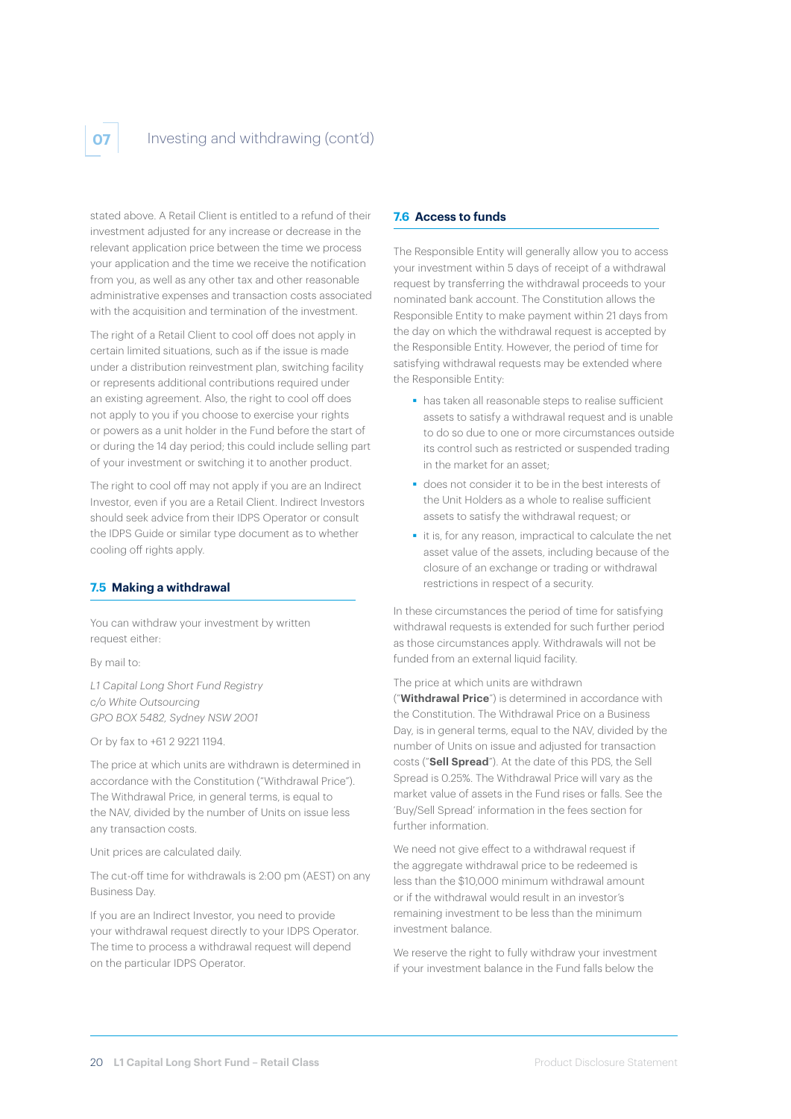

stated above. A Retail Client is entitled to a refund of their investment adjusted for any increase or decrease in the relevant application price between the time we process your application and the time we receive the notification from you, as well as any other tax and other reasonable administrative expenses and transaction costs associated with the acquisition and termination of the investment.

The right of a Retail Client to cool off does not apply in certain limited situations, such as if the issue is made under a distribution reinvestment plan, switching facility or represents additional contributions required under an existing agreement. Also, the right to cool off does not apply to you if you choose to exercise your rights or powers as a unit holder in the Fund before the start of or during the 14 day period; this could include selling part of your investment or switching it to another product.

The right to cool off may not apply if you are an Indirect Investor, even if you are a Retail Client. Indirect Investors should seek advice from their IDPS Operator or consult the IDPS Guide or similar type document as to whether cooling off rights apply.

### **7.5 Making a withdrawal**

You can withdraw your investment by written request either:

By mail to:

*L1 Capital Long Short Fund Registry c/o White Outsourcing GPO BOX 5482, Sydney NSW 2001* 

Or by fax to +61 2 9221 1194.

The price at which units are withdrawn is determined in accordance with the Constitution ("Withdrawal Price"). The Withdrawal Price, in general terms, is equal to the NAV, divided by the number of Units on issue less any transaction costs.

Unit prices are calculated daily.

The cut-off time for withdrawals is 2:00 pm (AEST) on any Business Day.

If you are an Indirect Investor, you need to provide your withdrawal request directly to your IDPS Operator. The time to process a withdrawal request will depend on the particular IDPS Operator.

### **7.6 Access to funds**

The Responsible Entity will generally allow you to access your investment within 5 days of receipt of a withdrawal request by transferring the withdrawal proceeds to your nominated bank account. The Constitution allows the Responsible Entity to make payment within 21 days from the day on which the withdrawal request is accepted by the Responsible Entity. However, the period of time for satisfying withdrawal requests may be extended where the Responsible Entity:

- has taken all reasonable steps to realise sufficient assets to satisfy a withdrawal request and is unable to do so due to one or more circumstances outside its control such as restricted or suspended trading in the market for an asset-
- does not consider it to be in the best interests of the Unit Holders as a whole to realise sufficient assets to satisfy the withdrawal request; or
- it is, for any reason, impractical to calculate the net asset value of the assets, including because of the closure of an exchange or trading or withdrawal restrictions in respect of a security.

In these circumstances the period of time for satisfying withdrawal requests is extended for such further period as those circumstances apply. Withdrawals will not be funded from an external liquid facility.

The price at which units are withdrawn

("**Withdrawal Price**") is determined in accordance with the Constitution. The Withdrawal Price on a Business Day, is in general terms, equal to the NAV, divided by the number of Units on issue and adjusted for transaction costs ("**Sell Spread**"). At the date of this PDS, the Sell Spread is 0.25%. The Withdrawal Price will vary as the market value of assets in the Fund rises or falls. See the 'Buy/Sell Spread' information in the fees section for further information.

We need not give effect to a withdrawal request if the aggregate withdrawal price to be redeemed is less than the \$10,000 minimum withdrawal amount or if the withdrawal would result in an investor's remaining investment to be less than the minimum investment balance.

We reserve the right to fully withdraw your investment if your investment balance in the Fund falls below the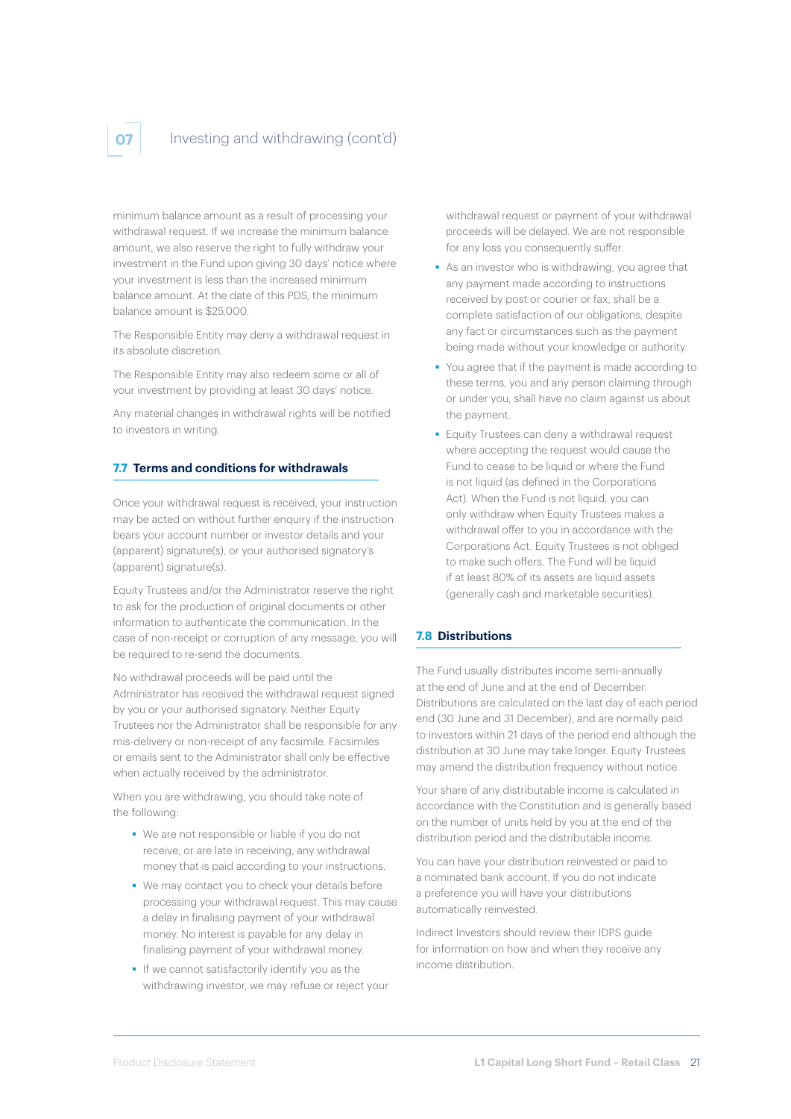# Investing and withdrawing (cont'd)

minimum balance amount as a result of processing your withdrawal request. If we increase the minimum balance amount, we also reserve the right to fully withdraw your investment in the Fund upon giving 30 days' notice where your investment is less than the increased minimum balance amount. At the date of this PDS, the minimum balance amount is \$25,000.

The Responsible Entity may deny a withdrawal request in its absolute discretion.

The Responsible Entity may also redeem some or all of your investment by providing at least 30 days' notice.

Any material changes in withdrawal rights will be notified to investors in writing.

### **7.7 Terms and conditions for withdrawals**

Once your withdrawal request is received, your instruction may be acted on without further enquiry if the instruction bears your account number or investor details and your (apparent) signature(s), or your authorised signatory's (apparent) signature(s).

Equity Trustees and/or the Administrator reserve the right to ask for the production of original documents or other information to authenticate the communication. In the case of non-receipt or corruption of any message, you will be required to re-send the documents.

No withdrawal proceeds will be paid until the Administrator has received the withdrawal request signed by you or your authorised signatory. Neither Equity Trustees nor the Administrator shall be responsible for any mis-delivery or non-receipt of any facsimile. Facsimiles or emails sent to the Administrator shall only be effective when actually received by the administrator.

When you are withdrawing, you should take note of the following:

- We are not responsible or liable if you do not receive, or are late in receiving, any withdrawal money that is paid according to your instructions.
- We may contact you to check your details before processing your withdrawal request. This may cause a delay in finalising payment of your withdrawal money. No interest is payable for any delay in finalising payment of your withdrawal money.
- If we cannot satisfactorily identify you as the withdrawing investor, we may refuse or reject your

withdrawal request or payment of your withdrawal proceeds will be delayed. We are not responsible for any loss you consequently suffer.

- As an investor who is withdrawing, you agree that any payment made according to instructions received by post or courier or fax, shall be a complete satisfaction of our obligations, despite any fact or circumstances such as the payment being made without your knowledge or authority.
- You agree that if the payment is made according to these terms, you and any person claiming through or under you, shall have no claim against us about the payment.
- **Equity Trustees can deny a withdrawal request** where accepting the request would cause the Fund to cease to be liquid or where the Fund is not liquid (as defined in the Corporations Act). When the Fund is not liquid, you can only withdraw when Equity Trustees makes a withdrawal offer to you in accordance with the Corporations Act. Equity Trustees is not obliged to make such offers. The Fund will be liquid if at least 80% of its assets are liquid assets (generally cash and marketable securities).

#### **7.8 Distributions**

The Fund usually distributes income semi-annually at the end of June and at the end of December. Distributions are calculated on the last day of each period end (30 June and 31 December), and are normally paid to investors within 21 days of the period end although the distribution at 30 June may take longer. Equity Trustees may amend the distribution frequency without notice.

Your share of any distributable income is calculated in accordance with the Constitution and is generally based on the number of units held by you at the end of the distribution period and the distributable income.

You can have your distribution reinvested or paid to a nominated bank account. If you do not indicate a preference you will have your distributions automatically reinvested.

Indirect Investors should review their IDPS guide for information on how and when they receive any income distribution.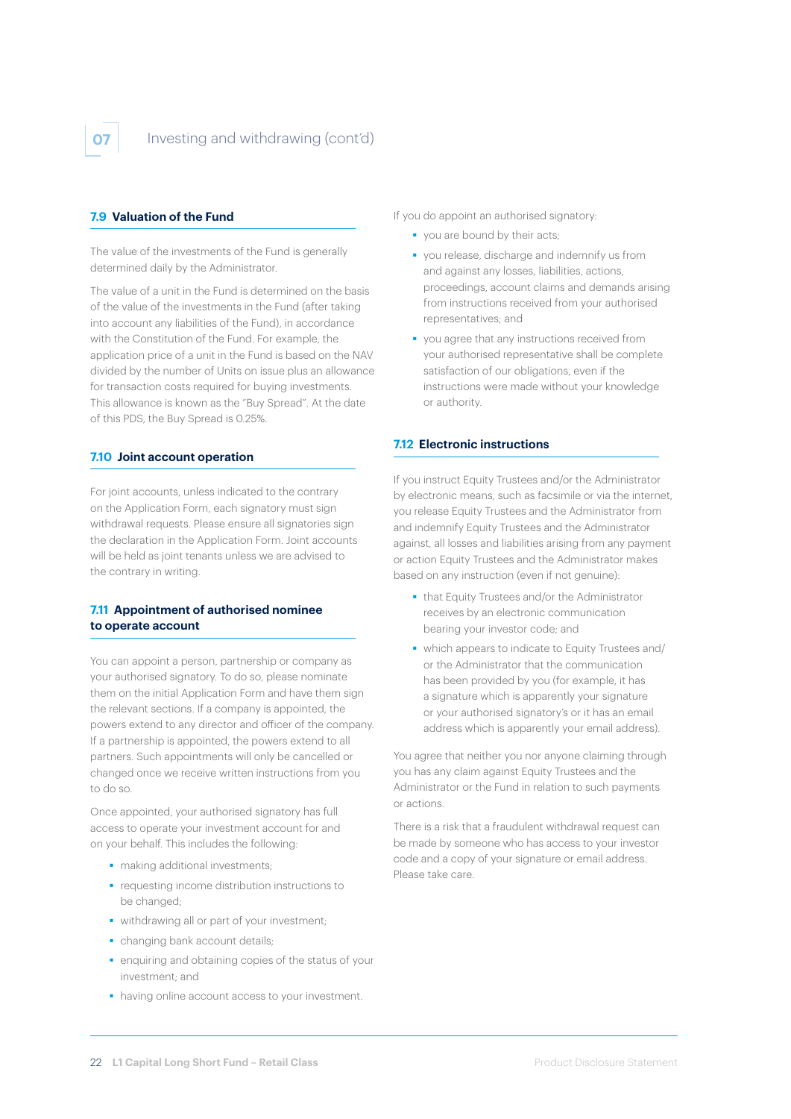

### **7.9 Valuation of the Fund**

The value of the investments of the Fund is generally determined daily by the Administrator.

The value of a unit in the Fund is determined on the basis of the value of the investments in the Fund (after taking into account any liabilities of the Fund), in accordance with the Constitution of the Fund. For example, the application price of a unit in the Fund is based on the NAV divided by the number of Units on issue plus an allowance for transaction costs required for buying investments. This allowance is known as the "Buy Spread". At the date of this PDS, the Buy Spread is 0.25%.

#### **7.10 Joint account operation**

For joint accounts, unless indicated to the contrary on the Application Form, each signatory must sign withdrawal requests. Please ensure all signatories sign the declaration in the Application Form. Joint accounts will be held as joint tenants unless we are advised to the contrary in writing.

#### **7.11 Appointment of authorised nominee to operate account**

You can appoint a person, partnership or company as your authorised signatory. To do so, please nominate them on the initial Application Form and have them sign the relevant sections. If a company is appointed, the powers extend to any director and officer of the company. If a partnership is appointed, the powers extend to all partners. Such appointments will only be cancelled or changed once we receive written instructions from you to do so.

Once appointed, your authorised signatory has full access to operate your investment account for and on your behalf. This includes the following:

- making additional investments;
- **•** requesting income distribution instructions to be changed;
- withdrawing all or part of your investment;
- changing bank account details:
- **e** enquiring and obtaining copies of the status of your investment; and
- having online account access to your investment.

If you do appoint an authorised signatory:

- vou are bound by their acts:
- you release, discharge and indemnify us from and against any losses, liabilities, actions, proceedings, account claims and demands arising from instructions received from your authorised representatives; and
- vou agree that any instructions received from your authorised representative shall be complete satisfaction of our obligations, even if the instructions were made without your knowledge or authority.

#### **7.12 Electronic instructions**

If you instruct Equity Trustees and/or the Administrator by electronic means, such as facsimile or via the internet, you release Equity Trustees and the Administrator from and indemnify Equity Trustees and the Administrator against, all losses and liabilities arising from any payment or action Equity Trustees and the Administrator makes based on any instruction (even if not genuine):

- that Equity Trustees and/or the Administrator receives by an electronic communication bearing your investor code; and
- which appears to indicate to Equity Trustees and/ or the Administrator that the communication has been provided by you (for example, it has a signature which is apparently your signature or your authorised signatory's or it has an email address which is apparently your email address).

You agree that neither you nor anyone claiming through you has any claim against Equity Trustees and the Administrator or the Fund in relation to such payments or actions.

There is a risk that a fraudulent withdrawal request can be made by someone who has access to your investor code and a copy of your signature or email address. Please take care.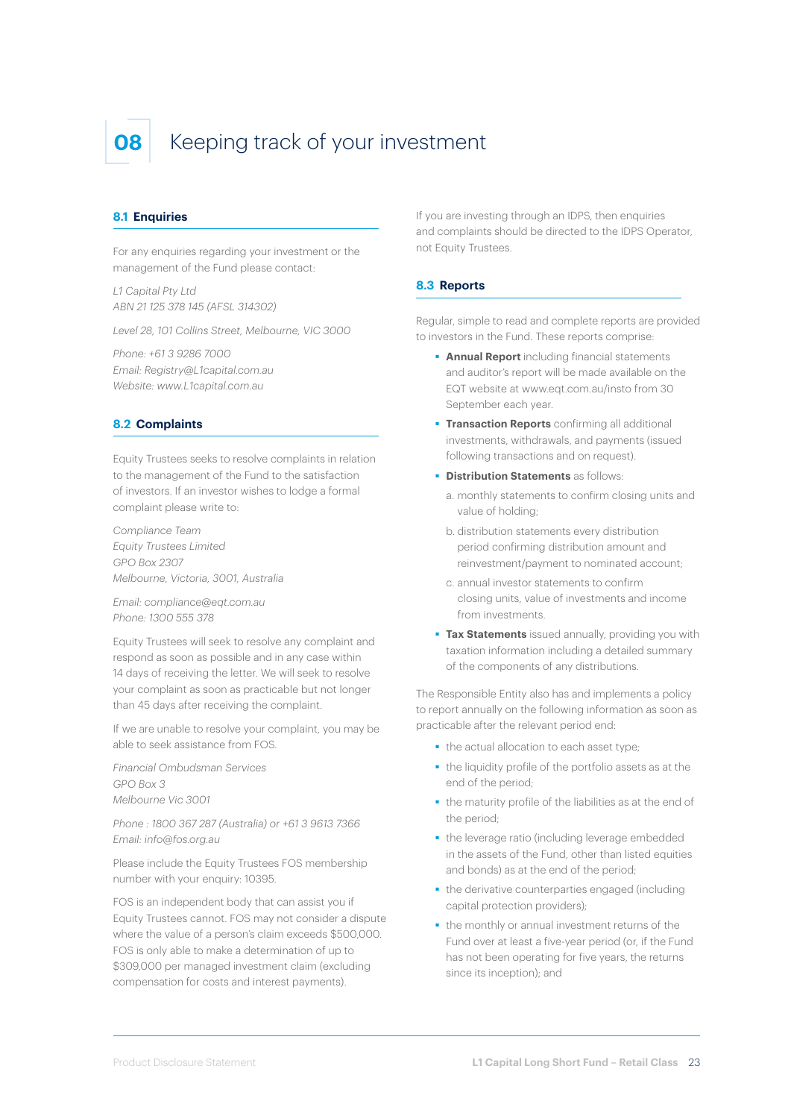# **08** Keeping track of your investment

#### **8.1 Enquiries**

For any enquiries regarding your investment or the management of the Fund please contact:

*L1 Capital Pty Ltd ABN 21 125 378 145 (AFSL 314302)*

*Level 28, 101 Collins Street, Melbourne, VIC 3000*

*Phone: +61 3 9286 7000 Email: Registry@L1capital.com.au Website: www.L1capital.com.au* 

#### **8.2 Complaints**

Equity Trustees seeks to resolve complaints in relation to the management of the Fund to the satisfaction of investors. If an investor wishes to lodge a formal complaint please write to:

*Compliance Team Equity Trustees Limited GPO Box 2307 Melbourne, Victoria, 3001, Australia*

*Email: compliance@eqt.com.au Phone: 1300 555 378*

Equity Trustees will seek to resolve any complaint and respond as soon as possible and in any case within 14 days of receiving the letter. We will seek to resolve your complaint as soon as practicable but not longer than 45 days after receiving the complaint.

If we are unable to resolve your complaint, you may be able to seek assistance from FOS.

*Financial Ombudsman Services GPO Box 3 Melbourne Vic 3001*

*Phone : 1800 367 287 (Australia) or +61 3 9613 7366 Email: info@fos.org.au*

Please include the Equity Trustees FOS membership number with your enquiry: 10395.

FOS is an independent body that can assist you if Equity Trustees cannot. FOS may not consider a dispute where the value of a person's claim exceeds \$500,000. FOS is only able to make a determination of up to \$309,000 per managed investment claim (excluding compensation for costs and interest payments).

If you are investing through an IDPS, then enquiries and complaints should be directed to the IDPS Operator, not Equity Trustees.

### **8.3 Reports**

Regular, simple to read and complete reports are provided to investors in the Fund. These reports comprise:

- **Annual Report** including financial statements and auditor's report will be made available on the EQT website at www.eqt.com.au/insto from 30 September each year.
- **Transaction Reports** confirming all additional investments, withdrawals, and payments (issued following transactions and on request).
- **Distribution Statements** as follows:
	- a. monthly statements to confirm closing units and value of holding;
	- b. distribution statements every distribution period confirming distribution amount and reinvestment/payment to nominated account;
	- c. annual investor statements to confirm closing units, value of investments and income from investments.
- **Tax Statements** issued annually, providing you with taxation information including a detailed summary of the components of any distributions.

The Responsible Entity also has and implements a policy to report annually on the following information as soon as practicable after the relevant period end:

- the actual allocation to each asset type;
- the liquidity profile of the portfolio assets as at the end of the period;
- the maturity profile of the liabilities as at the end of the period;
- the leverage ratio (including leverage embedded in the assets of the Fund, other than listed equities and bonds) as at the end of the period;
- the derivative counterparties engaged (including capital protection providers);
- **the monthly or annual investment returns of the** Fund over at least a five-year period (or, if the Fund has not been operating for five years, the returns since its inception); and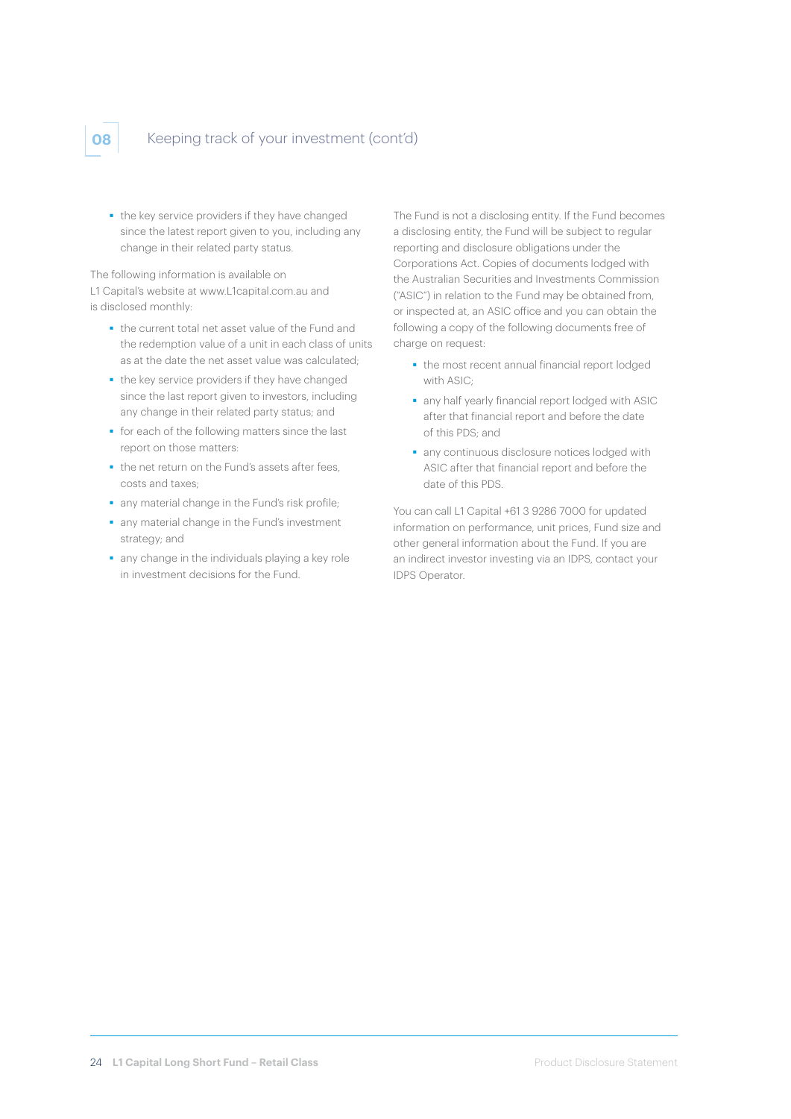# **08** Keeping track of your investment (cont'd)

the key service providers if they have changed since the latest report given to you, including any change in their related party status.

The following information is available on L1 Capital's website at www.L1capital.com.au and is disclosed monthly:

- the current total net asset value of the Fund and the redemption value of a unit in each class of units as at the date the net asset value was calculated;
- the key service providers if they have changed since the last report given to investors, including any change in their related party status; and
- for each of the following matters since the last report on those matters:
- the net return on the Fund's assets after fees. costs and taxes;
- any material change in the Fund's risk profile;
- any material change in the Fund's investment strategy; and
- any change in the individuals playing a key role in investment decisions for the Fund.

The Fund is not a disclosing entity. If the Fund becomes a disclosing entity, the Fund will be subject to regular reporting and disclosure obligations under the Corporations Act. Copies of documents lodged with the Australian Securities and Investments Commission ("ASIC") in relation to the Fund may be obtained from, or inspected at, an ASIC office and you can obtain the following a copy of the following documents free of charge on request:

- the most recent annual financial report lodged with ASIC;
- any half yearly financial report lodged with ASIC after that financial report and before the date of this PDS; and
- any continuous disclosure notices lodged with ASIC after that financial report and before the date of this PDS.

You can call L1 Capital +61 3 9286 7000 for updated information on performance, unit prices, Fund size and other general information about the Fund. If you are an indirect investor investing via an IDPS, contact your IDPS Operator.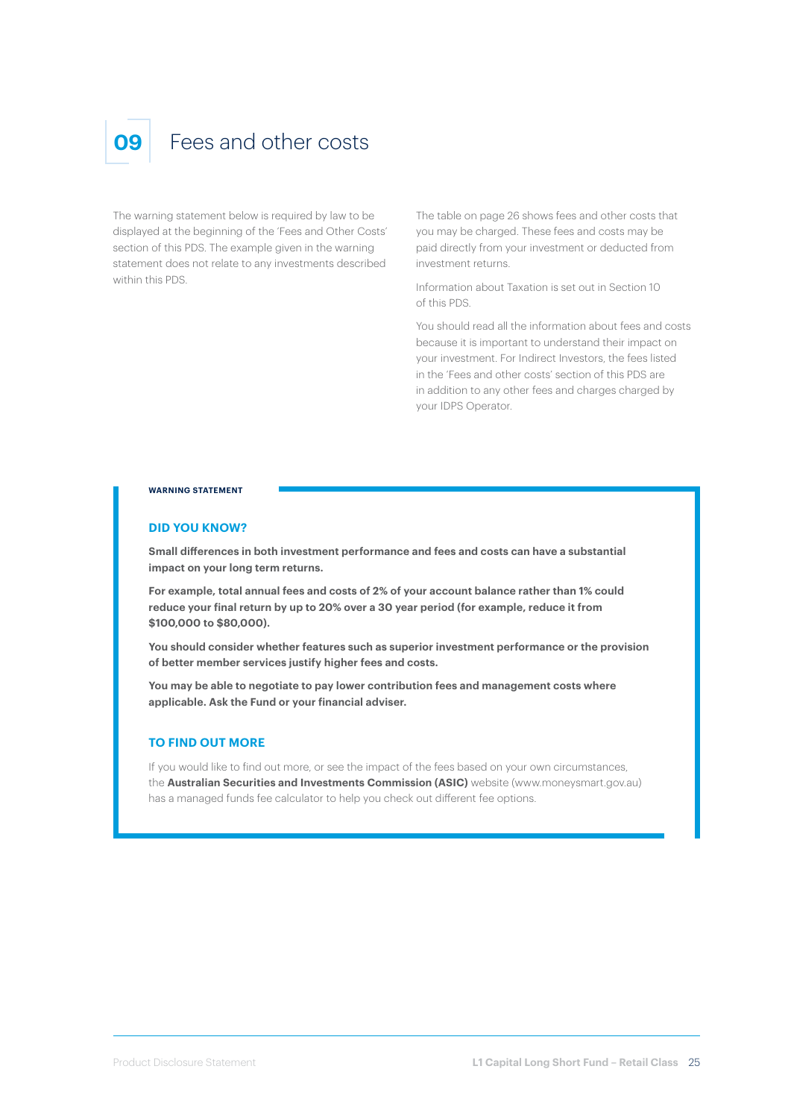# Fees and other costs

The warning statement below is required by law to be displayed at the beginning of the 'Fees and Other Costs' section of this PDS. The example given in the warning statement does not relate to any investments described within this PDS.

The table on page 26 shows fees and other costs that you may be charged. These fees and costs may be paid directly from your investment or deducted from investment returns.

Information about Taxation is set out in Section 10 of this PDS.

You should read all the information about fees and costs because it is important to understand their impact on your investment. For Indirect Investors, the fees listed in the 'Fees and other costs' section of this PDS are in addition to any other fees and charges charged by your IDPS Operator.

#### **WARNING STATEMENT**

#### **DID YOU KNOW?**

**Small differences in both investment performance and fees and costs can have a substantial impact on your long term returns.**

**For example, total annual fees and costs of 2% of your account balance rather than 1% could reduce your final return by up to 20% over a 30 year period (for example, reduce it from \$100,000 to \$80,000).**

**You should consider whether features such as superior investment performance or the provision of better member services justify higher fees and costs.**

**You may be able to negotiate to pay lower contribution fees and management costs where applicable. Ask the Fund or your financial adviser.**

#### **TO FIND OUT MORE**

If you would like to find out more, or see the impact of the fees based on your own circumstances, the **Australian Securities and Investments Commission (ASIC)** website (www.moneysmart.gov.au) has a managed funds fee calculator to help you check out different fee options.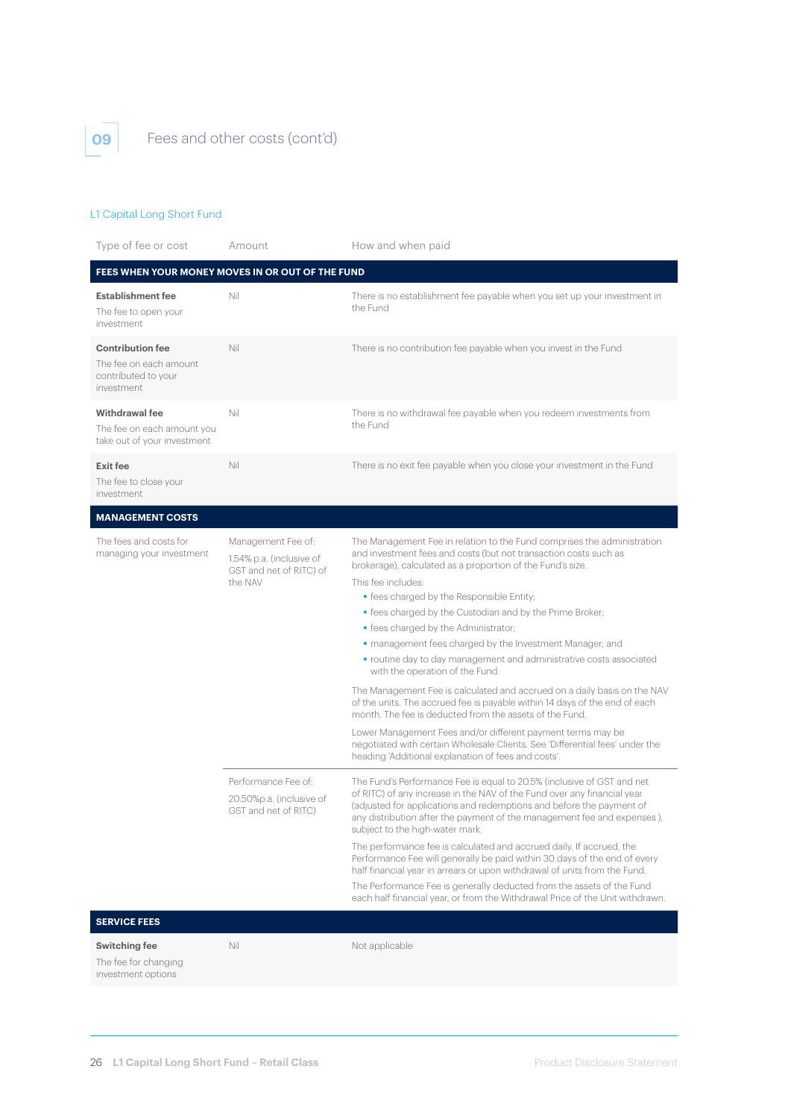

# **09** Fees and other costs (cont'd)

## L1 Capital Long Short Fund

| Type of fee or cost                                                                    | Amount                                                                    | How and when paid                                                                                                                                                                                                                                                                                                                       |
|----------------------------------------------------------------------------------------|---------------------------------------------------------------------------|-----------------------------------------------------------------------------------------------------------------------------------------------------------------------------------------------------------------------------------------------------------------------------------------------------------------------------------------|
| FEES WHEN YOUR MONEY MOVES IN OR OUT OF THE FUND                                       |                                                                           |                                                                                                                                                                                                                                                                                                                                         |
| <b>Establishment fee</b><br>The fee to open your<br>investment                         | Nil                                                                       | There is no establishment fee payable when you set up your investment in<br>the Fund                                                                                                                                                                                                                                                    |
| <b>Contribution fee</b><br>The fee on each amount<br>contributed to your<br>investment | Nil                                                                       | There is no contribution fee payable when you invest in the Fund                                                                                                                                                                                                                                                                        |
| <b>Withdrawal fee</b><br>The fee on each amount you<br>take out of your investment     | Nil                                                                       | There is no withdrawal fee payable when you redeem investments from<br>the Fund                                                                                                                                                                                                                                                         |
| <b>Exit fee</b><br>The fee to close your<br>investment                                 | Nil                                                                       | There is no exit fee payable when you close your investment in the Fund                                                                                                                                                                                                                                                                 |
| <b>MANAGEMENT COSTS</b>                                                                |                                                                           |                                                                                                                                                                                                                                                                                                                                         |
| The fees and costs for<br>managing your investment                                     | Management Fee of:<br>1.54% p.a. (inclusive of<br>GST and net of RITC) of | The Management Fee in relation to the Fund comprises the administration<br>and investment fees and costs (but not transaction costs such as<br>brokerage), calculated as a proportion of the Fund's size.                                                                                                                               |
|                                                                                        | the NAV                                                                   | This fee includes:                                                                                                                                                                                                                                                                                                                      |
|                                                                                        |                                                                           | • fees charged by the Responsible Entity;<br>· fees charged by the Custodian and by the Prime Broker;                                                                                                                                                                                                                                   |
|                                                                                        |                                                                           | · fees charged by the Administrator;                                                                                                                                                                                                                                                                                                    |
|                                                                                        |                                                                           | • management fees charged by the Investment Manager; and                                                                                                                                                                                                                                                                                |
|                                                                                        |                                                                           | • routine day to day management and administrative costs associated<br>with the operation of the Fund.                                                                                                                                                                                                                                  |
|                                                                                        |                                                                           | The Management Fee is calculated and accrued on a daily basis on the NAV<br>of the units. The accrued fee is payable within 14 days of the end of each<br>month. The fee is deducted from the assets of the Fund.                                                                                                                       |
|                                                                                        |                                                                           | Lower Management Fees and/or different payment terms may be<br>negotiated with certain Wholesale Clients. See 'Differential fees' under the<br>heading 'Additional explanation of fees and costs'.                                                                                                                                      |
|                                                                                        | Performance Fee of:<br>20.50%p.a. (inclusive of<br>GST and net of RITC)   | The Fund's Performance Fee is equal to 20.5% (inclusive of GST and net<br>of RITC) of any increase in the NAV of the Fund over any financial year<br>(adjusted for applications and redemptions and before the payment of<br>any distribution after the payment of the management fee and expenses),<br>subject to the high-water mark. |
|                                                                                        |                                                                           | The performance fee is calculated and accrued daily. If accrued, the<br>Performance Fee will generally be paid within 30 days of the end of every<br>half financial year in arrears or upon withdrawal of units from the Fund.<br>The Performance Fee is generally deducted from the assets of the Fund                                 |
|                                                                                        |                                                                           | each half financial year, or from the Withdrawal Price of the Unit withdrawn.                                                                                                                                                                                                                                                           |
| <b>SERVICE FEES</b>                                                                    |                                                                           |                                                                                                                                                                                                                                                                                                                                         |
| <b>Switching fee</b><br>The fee for changing<br>investment options                     | Nil                                                                       | Not applicable                                                                                                                                                                                                                                                                                                                          |
|                                                                                        |                                                                           |                                                                                                                                                                                                                                                                                                                                         |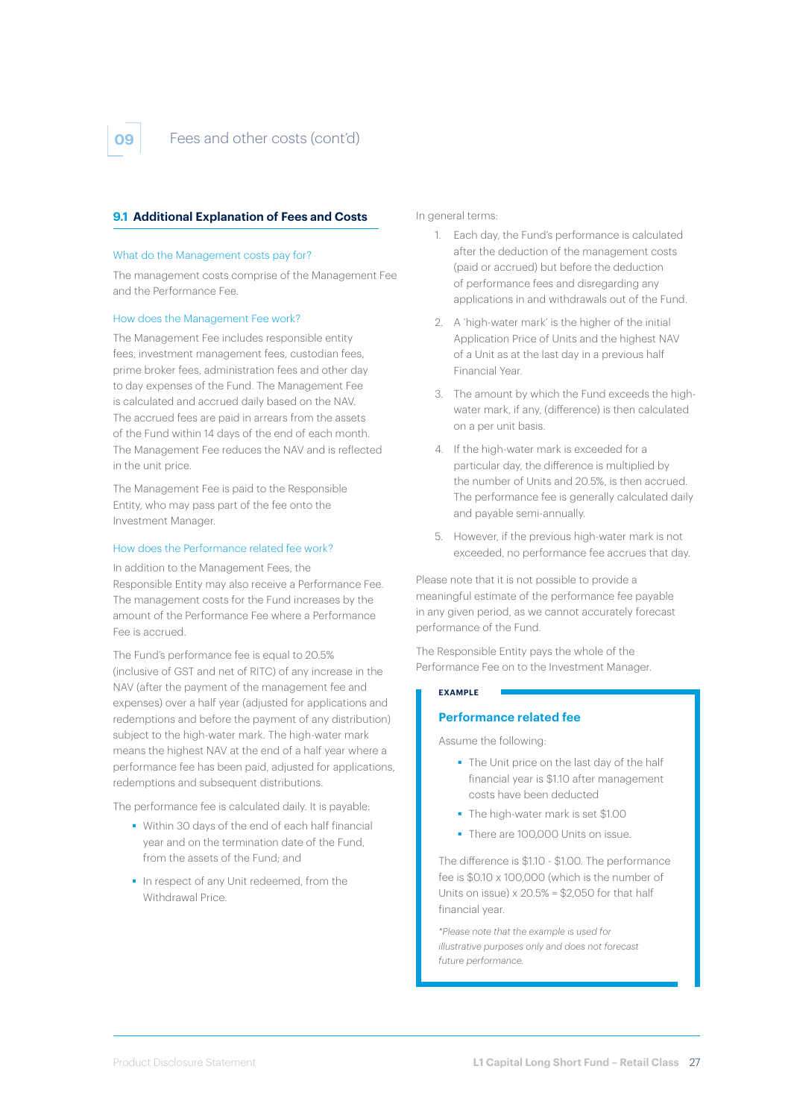## **9.1 Additional Explanation of Fees and Costs**

#### What do the Management costs pay for?

The management costs comprise of the Management Fee and the Performance Fee.

#### How does the Management Fee work?

The Management Fee includes responsible entity fees, investment management fees, custodian fees, prime broker fees, administration fees and other day to day expenses of the Fund. The Management Fee is calculated and accrued daily based on the NAV. The accrued fees are paid in arrears from the assets of the Fund within 14 days of the end of each month. The Management Fee reduces the NAV and is reflected in the unit price.

The Management Fee is paid to the Responsible Entity, who may pass part of the fee onto the Investment Manager.

#### How does the Performance related fee work?

In addition to the Management Fees, the Responsible Entity may also receive a Performance Fee. The management costs for the Fund increases by the amount of the Performance Fee where a Performance Fee is accrued.

The Fund's performance fee is equal to 20.5% (inclusive of GST and net of RITC) of any increase in the NAV (after the payment of the management fee and expenses) over a half year (adjusted for applications and redemptions and before the payment of any distribution) subject to the high-water mark. The high-water mark means the highest NAV at the end of a half year where a performance fee has been paid, adjusted for applications, redemptions and subsequent distributions.

The performance fee is calculated daily. It is payable:

- Within 30 days of the end of each half financial year and on the termination date of the Fund, from the assets of the Fund; and
- In respect of any Unit redeemed, from the Withdrawal Price.

In general terms:

- 1. Each day, the Fund's performance is calculated after the deduction of the management costs (paid or accrued) but before the deduction of performance fees and disregarding any applications in and withdrawals out of the Fund.
- 2. A 'high-water mark' is the higher of the initial Application Price of Units and the highest NAV of a Unit as at the last day in a previous half Financial Year.
- 3. The amount by which the Fund exceeds the highwater mark, if any, (difference) is then calculated on a per unit basis.
- 4. If the high-water mark is exceeded for a particular day, the difference is multiplied by the number of Units and 20.5%, is then accrued. The performance fee is generally calculated daily and payable semi-annually.
- 5. However, if the previous high-water mark is not exceeded, no performance fee accrues that day.

Please note that it is not possible to provide a meaningful estimate of the performance fee payable in any given period, as we cannot accurately forecast performance of the Fund.

The Responsible Entity pays the whole of the Performance Fee on to the Investment Manager.

#### **EXAMPLE**

#### **Performance related fee**

Assume the following:

- The Unit price on the last day of the half financial year is \$1.10 after management costs have been deducted
- The high-water mark is set \$1.00
- There are 100,000 Units on issue.

The difference is \$1.10 - \$1.00. The performance fee is \$0.10 x 100,000 (which is the number of Units on issue)  $\times$  20.5% = \$2,050 for that half financial year.

*\*Please note that the example is used for illustrative purposes only and does not forecast future performance.*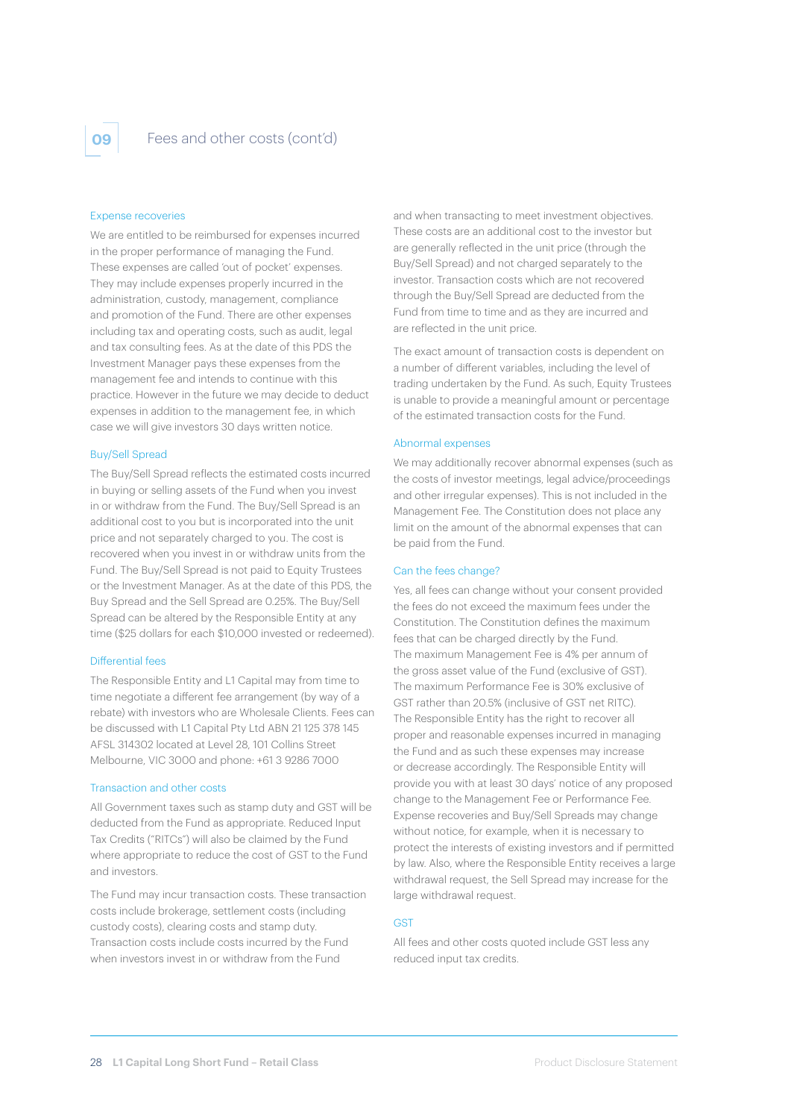

#### Expense recoveries

We are entitled to be reimbursed for expenses incurred in the proper performance of managing the Fund. These expenses are called 'out of pocket' expenses. They may include expenses properly incurred in the administration, custody, management, compliance and promotion of the Fund. There are other expenses including tax and operating costs, such as audit, legal and tax consulting fees. As at the date of this PDS the Investment Manager pays these expenses from the management fee and intends to continue with this practice. However in the future we may decide to deduct expenses in addition to the management fee, in which case we will give investors 30 days written notice.

#### Buy/Sell Spread

The Buy/Sell Spread reflects the estimated costs incurred in buying or selling assets of the Fund when you invest in or withdraw from the Fund. The Buy/Sell Spread is an additional cost to you but is incorporated into the unit price and not separately charged to you. The cost is recovered when you invest in or withdraw units from the Fund. The Buy/Sell Spread is not paid to Equity Trustees or the Investment Manager. As at the date of this PDS, the Buy Spread and the Sell Spread are 0.25%. The Buy/Sell Spread can be altered by the Responsible Entity at any time (\$25 dollars for each \$10,000 invested or redeemed).

#### Differential fees

The Responsible Entity and L1 Capital may from time to time negotiate a different fee arrangement (by way of a rebate) with investors who are Wholesale Clients. Fees can be discussed with L1 Capital Pty Ltd ABN 21 125 378 145 AFSL 314302 located at Level 28, 101 Collins Street Melbourne, VIC 3000 and phone: +61 3 9286 7000

#### Transaction and other costs

All Government taxes such as stamp duty and GST will be deducted from the Fund as appropriate. Reduced Input Tax Credits ("RITCs") will also be claimed by the Fund where appropriate to reduce the cost of GST to the Fund and investors.

The Fund may incur transaction costs. These transaction costs include brokerage, settlement costs (including custody costs), clearing costs and stamp duty. Transaction costs include costs incurred by the Fund when investors invest in or withdraw from the Fund

and when transacting to meet investment objectives. These costs are an additional cost to the investor but are generally reflected in the unit price (through the Buy/Sell Spread) and not charged separately to the investor. Transaction costs which are not recovered through the Buy/Sell Spread are deducted from the Fund from time to time and as they are incurred and are reflected in the unit price.

The exact amount of transaction costs is dependent on a number of different variables, including the level of trading undertaken by the Fund. As such, Equity Trustees is unable to provide a meaningful amount or percentage of the estimated transaction costs for the Fund.

#### Abnormal expenses

We may additionally recover abnormal expenses (such as the costs of investor meetings, legal advice/proceedings and other irregular expenses). This is not included in the Management Fee. The Constitution does not place any limit on the amount of the abnormal expenses that can be paid from the Fund.

#### Can the fees change?

Yes, all fees can change without your consent provided the fees do not exceed the maximum fees under the Constitution. The Constitution defines the maximum fees that can be charged directly by the Fund. The maximum Management Fee is 4% per annum of the gross asset value of the Fund (exclusive of GST). The maximum Performance Fee is 30% exclusive of GST rather than 20.5% (inclusive of GST net RITC). The Responsible Entity has the right to recover all proper and reasonable expenses incurred in managing the Fund and as such these expenses may increase or decrease accordingly. The Responsible Entity will provide you with at least 30 days' notice of any proposed change to the Management Fee or Performance Fee. Expense recoveries and Buy/Sell Spreads may change without notice, for example, when it is necessary to protect the interests of existing investors and if permitted by law. Also, where the Responsible Entity receives a large withdrawal request, the Sell Spread may increase for the large withdrawal request.

#### **GST**

All fees and other costs quoted include GST less any reduced input tax credits.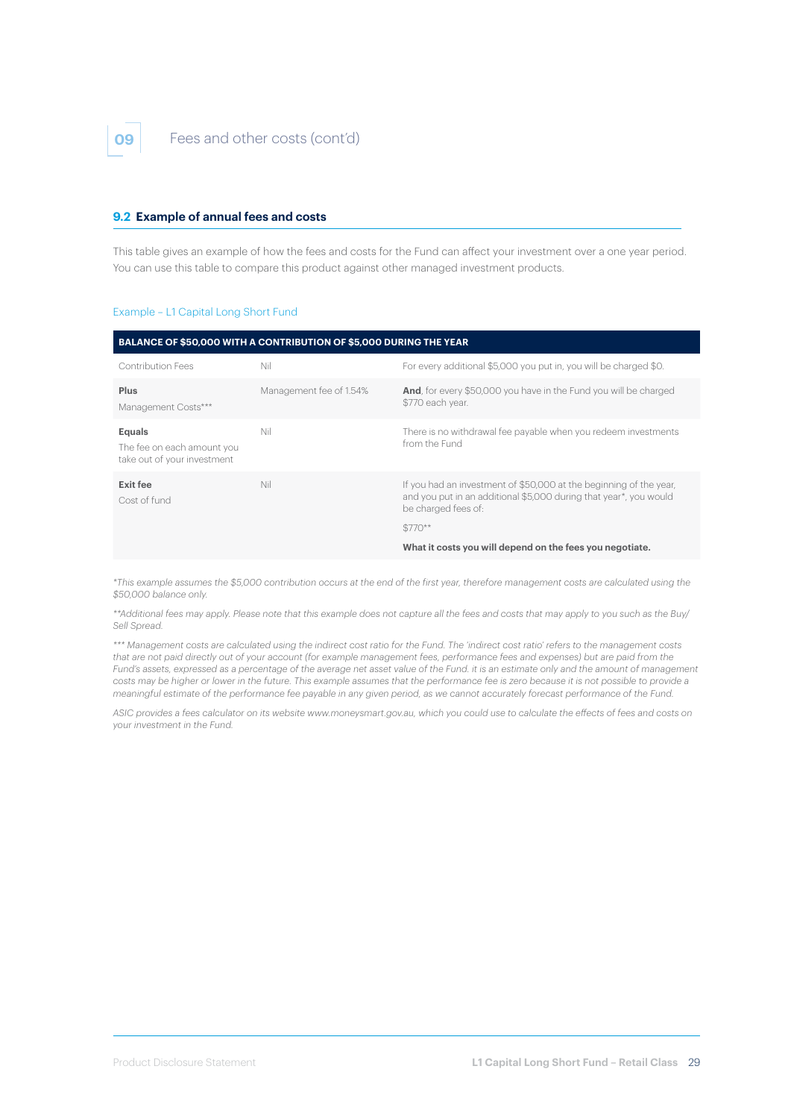#### **9.2 Example of annual fees and costs**

This table gives an example of how the fees and costs for the Fund can affect your investment over a one year period. You can use this table to compare this product against other managed investment products.

#### Example – L1 Capital Long Short Fund

|                                                                     | BALANCE OF \$50,000 WITH A CONTRIBUTION OF \$5,000 DURING THE YEAR |                                                                                                                                                                |
|---------------------------------------------------------------------|--------------------------------------------------------------------|----------------------------------------------------------------------------------------------------------------------------------------------------------------|
| <b>Contribution Fees</b>                                            | Nil                                                                | For every additional \$5,000 you put in, you will be charged \$0.                                                                                              |
| Plus<br>Management Costs***                                         | Management fee of 1.54%                                            | And, for every \$50,000 you have in the Fund you will be charged<br>\$770 each year.                                                                           |
| Equals<br>The fee on each amount you<br>take out of your investment | Nil                                                                | There is no withdrawal fee payable when you redeem investments<br>from the Fund                                                                                |
| Exit fee<br>Cost of fund                                            | Nil                                                                | If you had an investment of \$50,000 at the beginning of the year,<br>and you put in an additional \$5,000 during that year*, you would<br>be charged fees of: |
|                                                                     |                                                                    | $$770**$                                                                                                                                                       |
|                                                                     |                                                                    | What it costs you will depend on the fees you negotiate.                                                                                                       |

*\*This example assumes the \$5,000 contribution occurs at the end of the first year, therefore management costs are calculated using the \$50,000 balance only.*

*\*\*Additional fees may apply. Please note that this example does not capture all the fees and costs that may apply to you such as the Buy/ Sell Spread.* 

*\*\*\* Management costs are calculated using the indirect cost ratio for the Fund. The 'indirect cost ratio' refers to the management costs that are not paid directly out of your account (for example management fees, performance fees and expenses) but are paid from the Fund's assets, expressed as a percentage of the average net asset value of the Fund. it is an estimate only and the amount of management costs may be higher or lower in the future. This example assumes that the performance fee is zero because it is not possible to provide a meaningful estimate of the performance fee payable in any given period, as we cannot accurately forecast performance of the Fund.*

*ASIC provides a fees calculator on its website www.moneysmart.gov.au, which you could use to calculate the effects of fees and costs on your investment in the Fund.*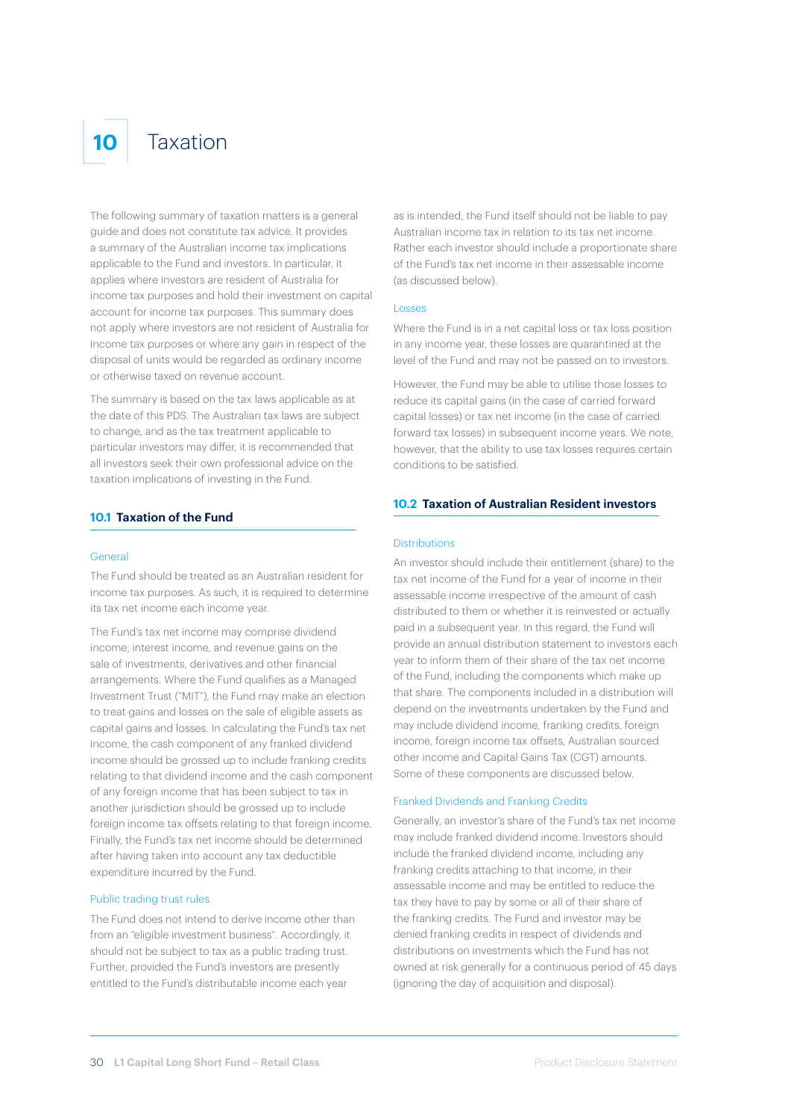# **10** Taxation

The following summary of taxation matters is a general guide and does not constitute tax advice. It provides a summary of the Australian income tax implications applicable to the Fund and investors. In particular, it applies where investors are resident of Australia for income tax purposes and hold their investment on capital account for income tax purposes. This summary does not apply where investors are not resident of Australia for income tax purposes or where any gain in respect of the disposal of units would be regarded as ordinary income or otherwise taxed on revenue account.

The summary is based on the tax laws applicable as at the date of this PDS. The Australian tax laws are subject to change, and as the tax treatment applicable to particular investors may differ, it is recommended that all investors seek their own professional advice on the taxation implications of investing in the Fund.

#### **10.1 Taxation of the Fund**

#### General

The Fund should be treated as an Australian resident for income tax purposes. As such, it is required to determine its tax net income each income year.

The Fund's tax net income may comprise dividend income, interest income, and revenue gains on the sale of investments, derivatives and other financial arrangements. Where the Fund qualifies as a Managed Investment Trust ("MIT"), the Fund may make an election to treat gains and losses on the sale of eligible assets as capital gains and losses. In calculating the Fund's tax net income, the cash component of any franked dividend income should be grossed up to include franking credits relating to that dividend income and the cash component of any foreign income that has been subject to tax in another jurisdiction should be grossed up to include foreign income tax offsets relating to that foreign income. Finally, the Fund's tax net income should be determined after having taken into account any tax deductible expenditure incurred by the Fund.

#### Public trading trust rules

The Fund does not intend to derive income other than from an "eligible investment business". Accordingly, it should not be subject to tax as a public trading trust. Further, provided the Fund's investors are presently entitled to the Fund's distributable income each year

as is intended, the Fund itself should not be liable to pay Australian income tax in relation to its tax net income. Rather each investor should include a proportionate share of the Fund's tax net income in their assessable income (as discussed below).

#### Losses

Where the Fund is in a net capital loss or tax loss position in any income year, these losses are quarantined at the level of the Fund and may not be passed on to investors.

However, the Fund may be able to utilise those losses to reduce its capital gains (in the case of carried forward capital losses) or tax net income (in the case of carried forward tax losses) in subsequent income years. We note, however, that the ability to use tax losses requires certain conditions to be satisfied.

### **10.2 Taxation of Australian Resident investors**

#### Distributions

An investor should include their entitlement (share) to the tax net income of the Fund for a year of income in their assessable income irrespective of the amount of cash distributed to them or whether it is reinvested or actually paid in a subsequent year. In this regard, the Fund will provide an annual distribution statement to investors each year to inform them of their share of the tax net income of the Fund, including the components which make up that share. The components included in a distribution will depend on the investments undertaken by the Fund and may include dividend income, franking credits, foreign income, foreign income tax offsets, Australian sourced other income and Capital Gains Tax (CGT) amounts. Some of these components are discussed below.

#### Franked Dividends and Franking Credits

Generally, an investor's share of the Fund's tax net income may include franked dividend income. Investors should include the franked dividend income, including any franking credits attaching to that income, in their assessable income and may be entitled to reduce the tax they have to pay by some or all of their share of the franking credits. The Fund and investor may be denied franking credits in respect of dividends and distributions on investments which the Fund has not owned at risk generally for a continuous period of 45 days (ignoring the day of acquisition and disposal).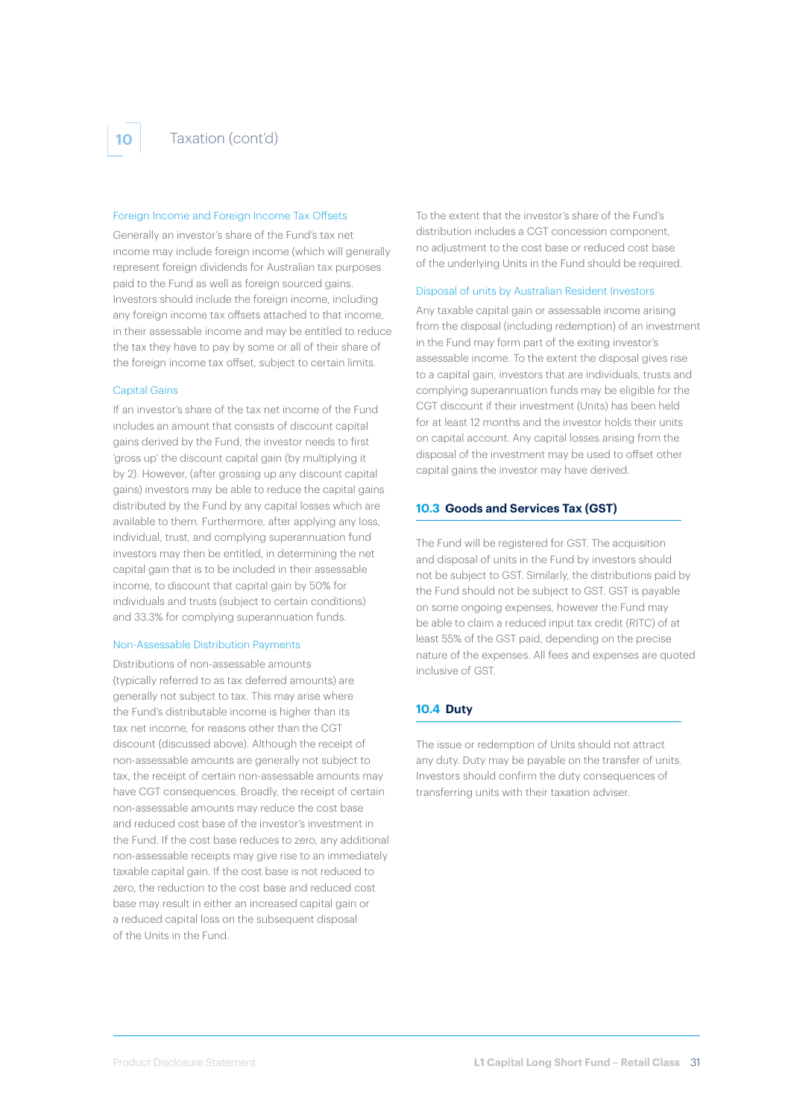#### Foreign Income and Foreign Income Tax Offsets

Generally an investor's share of the Fund's tax net income may include foreign income (which will generally represent foreign dividends for Australian tax purposes paid to the Fund as well as foreign sourced gains. Investors should include the foreign income, including any foreign income tax offsets attached to that income, in their assessable income and may be entitled to reduce the tax they have to pay by some or all of their share of the foreign income tax offset, subject to certain limits.

#### Capital Gains

If an investor's share of the tax net income of the Fund includes an amount that consists of discount capital gains derived by the Fund, the investor needs to first 'gross up' the discount capital gain (by multiplying it by 2). However, (after grossing up any discount capital gains) investors may be able to reduce the capital gains distributed by the Fund by any capital losses which are available to them. Furthermore, after applying any loss, individual, trust, and complying superannuation fund investors may then be entitled, in determining the net capital gain that is to be included in their assessable income, to discount that capital gain by 50% for individuals and trusts (subject to certain conditions) and 33.3% for complying superannuation funds.

#### Non-Assessable Distribution Payments

Distributions of non-assessable amounts (typically referred to as tax deferred amounts) are generally not subject to tax. This may arise where the Fund's distributable income is higher than its tax net income, for reasons other than the CGT discount (discussed above). Although the receipt of non-assessable amounts are generally not subject to tax, the receipt of certain non-assessable amounts may have CGT consequences. Broadly, the receipt of certain non-assessable amounts may reduce the cost base and reduced cost base of the investor's investment in the Fund. If the cost base reduces to zero, any additional non-assessable receipts may give rise to an immediately taxable capital gain. If the cost base is not reduced to zero, the reduction to the cost base and reduced cost base may result in either an increased capital gain or a reduced capital loss on the subsequent disposal of the Units in the Fund.

To the extent that the investor's share of the Fund's distribution includes a CGT concession component no adjustment to the cost base or reduced cost base of the underlying Units in the Fund should be required.

#### Disposal of units by Australian Resident Investors

Any taxable capital gain or assessable income arising from the disposal (including redemption) of an investment in the Fund may form part of the exiting investor's assessable income. To the extent the disposal gives rise to a capital gain, investors that are individuals, trusts and complying superannuation funds may be eligible for the CGT discount if their investment (Units) has been held for at least 12 months and the investor holds their units on capital account. Any capital losses arising from the disposal of the investment may be used to offset other capital gains the investor may have derived.

#### **10.3 Goods and Services Tax (GST)**

The Fund will be registered for GST. The acquisition and disposal of units in the Fund by investors should not be subject to GST. Similarly, the distributions paid by the Fund should not be subject to GST. GST is payable on some ongoing expenses, however the Fund may be able to claim a reduced input tax credit (RITC) of at least 55% of the GST paid, depending on the precise nature of the expenses. All fees and expenses are quoted inclusive of GST.

#### **10.4 Duty**

The issue or redemption of Units should not attract any duty. Duty may be payable on the transfer of units. Investors should confirm the duty consequences of transferring units with their taxation adviser.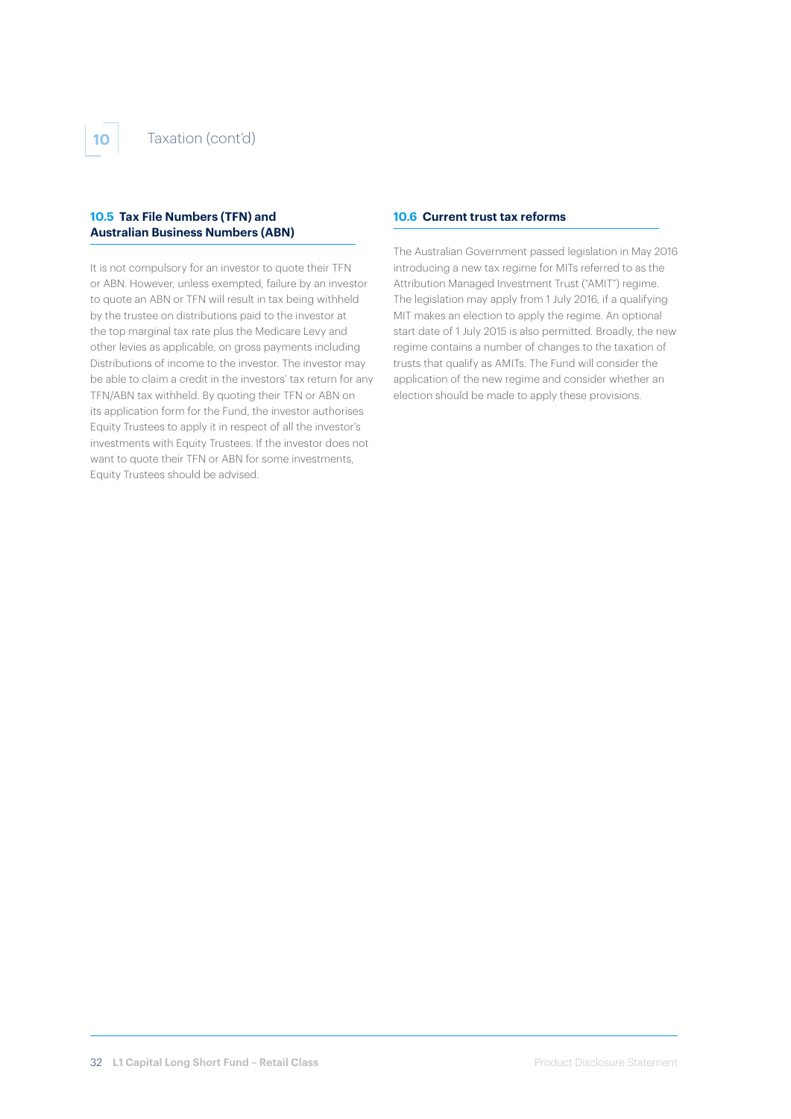### **10.5 Tax File Numbers (TFN) and Australian Business Numbers (ABN)**

It is not compulsory for an investor to quote their TFN or ABN. However, unless exempted, failure by an investor to quote an ABN or TFN will result in tax being withheld by the trustee on distributions paid to the investor at the top marginal tax rate plus the Medicare Levy and other levies as applicable, on gross payments including Distributions of income to the investor. The investor may be able to claim a credit in the investors' tax return for any TFN/ABN tax withheld. By quoting their TFN or ABN on its application form for the Fund, the investor authorises Equity Trustees to apply it in respect of all the investor's investments with Equity Trustees. If the investor does not want to quote their TFN or ABN for some investments, Equity Trustees should be advised.

#### **10.6 Current trust tax reforms**

The Australian Government passed legislation in May 2016 introducing a new tax regime for MITs referred to as the Attribution Managed Investment Trust ("AMIT") regime. The legislation may apply from 1 July 2016, if a qualifying MIT makes an election to apply the regime. An optional start date of 1 July 2015 is also permitted. Broadly, the new regime contains a number of changes to the taxation of trusts that qualify as AMITs. The Fund will consider the application of the new regime and consider whether an election should be made to apply these provisions.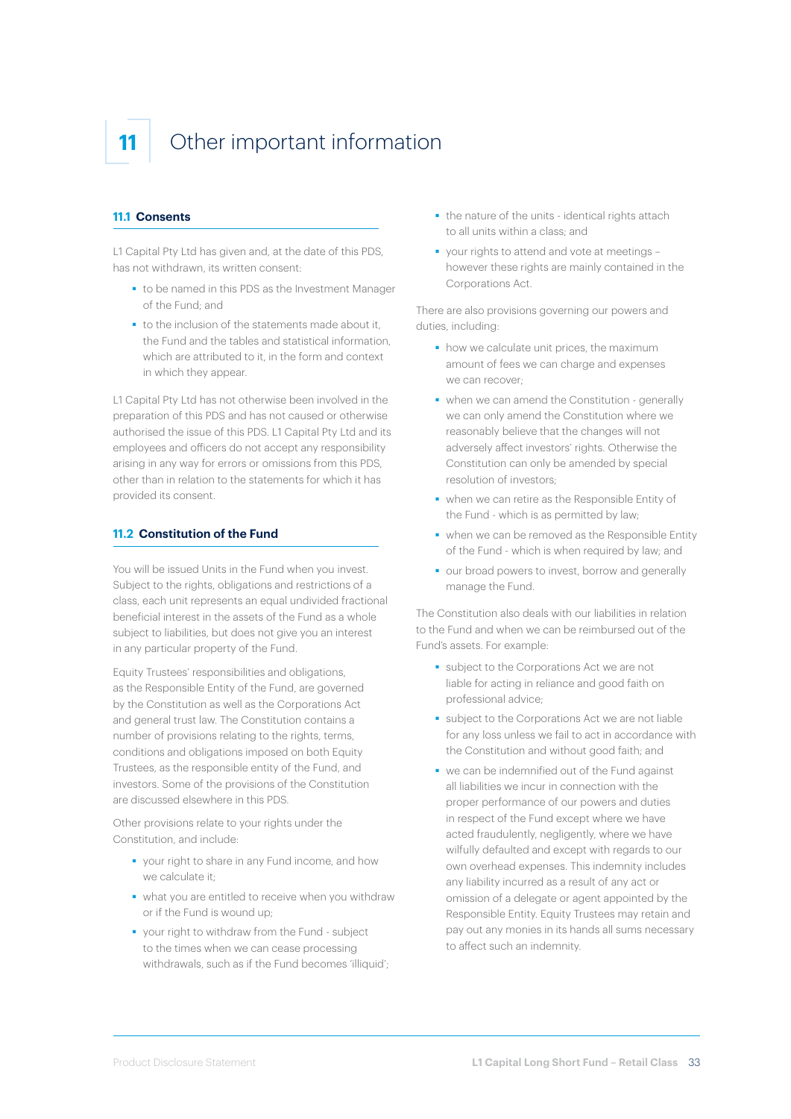# **11** Other important information

#### **11.1 Consents**

L1 Capital Pty Ltd has given and, at the date of this PDS, has not withdrawn, its written consent:

- to be named in this PDS as the Investment Manager of the Fund; and
- to the inclusion of the statements made about it, the Fund and the tables and statistical information, which are attributed to it, in the form and context in which they appear.

L1 Capital Pty Ltd has not otherwise been involved in the preparation of this PDS and has not caused or otherwise authorised the issue of this PDS. L1 Capital Pty Ltd and its employees and officers do not accept any responsibility arising in any way for errors or omissions from this PDS, other than in relation to the statements for which it has provided its consent.

### **11.2 Constitution of the Fund**

You will be issued Units in the Fund when you invest. Subject to the rights, obligations and restrictions of a class, each unit represents an equal undivided fractional beneficial interest in the assets of the Fund as a whole subject to liabilities, but does not give you an interest in any particular property of the Fund.

Equity Trustees' responsibilities and obligations, as the Responsible Entity of the Fund, are governed by the Constitution as well as the Corporations Act and general trust law. The Constitution contains a number of provisions relating to the rights, terms, conditions and obligations imposed on both Equity Trustees, as the responsible entity of the Fund, and investors. Some of the provisions of the Constitution are discussed elsewhere in this PDS.

Other provisions relate to your rights under the Constitution, and include:

- vour right to share in any Fund income, and how we calculate it;
- what you are entitled to receive when you withdraw or if the Fund is wound up;
- vour right to withdraw from the Fund subject to the times when we can cease processing withdrawals, such as if the Fund becomes 'illiquid';
- the nature of the units identical rights attach to all units within a class; and
- vour rights to attend and vote at meetings however these rights are mainly contained in the Corporations Act.

There are also provisions governing our powers and duties, including:

- how we calculate unit prices, the maximum amount of fees we can charge and expenses we can recover;
- when we can amend the Constitution generally we can only amend the Constitution where we reasonably believe that the changes will not adversely affect investors' rights. Otherwise the Constitution can only be amended by special resolution of investors;
- when we can retire as the Responsible Entity of the Fund - which is as permitted by law;
- when we can be removed as the Responsible Entity of the Fund - which is when required by law; and
- our broad powers to invest, borrow and generally manage the Fund.

The Constitution also deals with our liabilities in relation to the Fund and when we can be reimbursed out of the Fund's assets. For example:

- subject to the Corporations Act we are not liable for acting in reliance and good faith on professional advice;
- subject to the Corporations Act we are not liable for any loss unless we fail to act in accordance with the Constitution and without good faith; and
- we can be indemnified out of the Fund against all liabilities we incur in connection with the proper performance of our powers and duties in respect of the Fund except where we have acted fraudulently, negligently, where we have wilfully defaulted and except with regards to our own overhead expenses. This indemnity includes any liability incurred as a result of any act or omission of a delegate or agent appointed by the Responsible Entity. Equity Trustees may retain and pay out any monies in its hands all sums necessary to affect such an indemnity.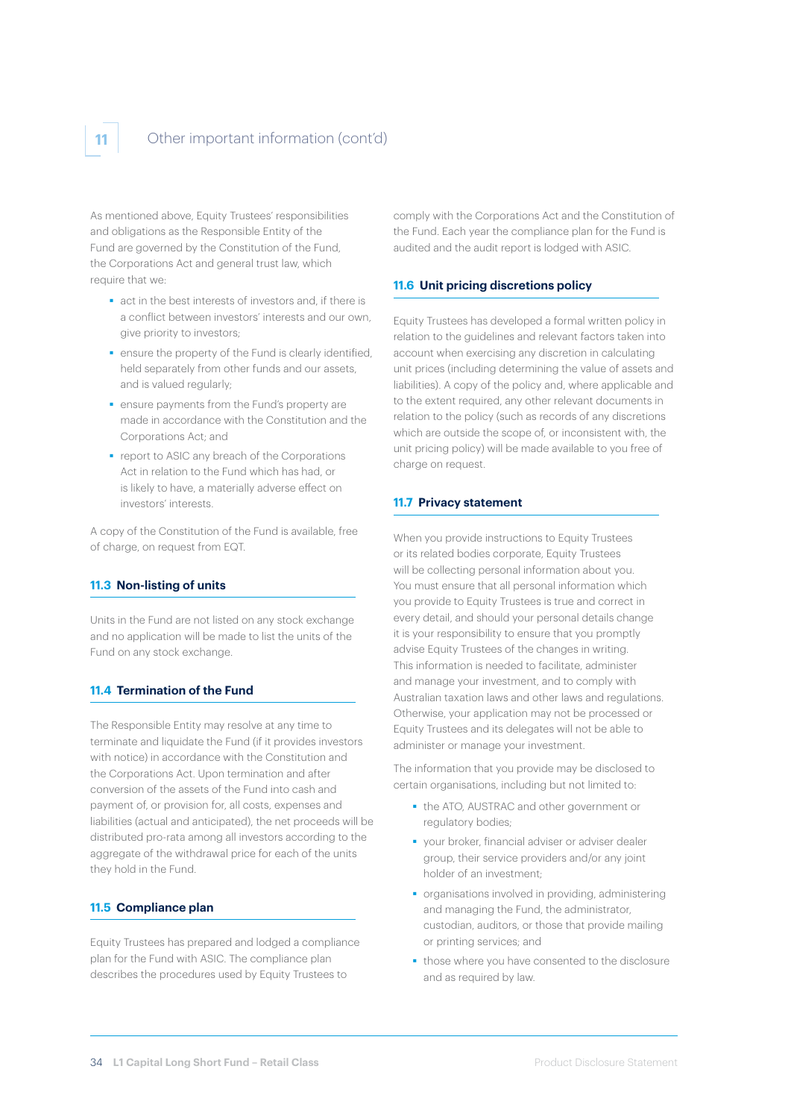

As mentioned above, Equity Trustees' responsibilities and obligations as the Responsible Entity of the Fund are governed by the Constitution of the Fund, the Corporations Act and general trust law, which require that we:

- act in the best interests of investors and, if there is a conflict between investors' interests and our own, give priority to investors;
- **EX ENSURE**  cnsure the property of the Fund is clearly identified, held separately from other funds and our assets, and is valued regularly;
- ensure payments from the Fund's property are made in accordance with the Constitution and the Corporations Act; and
- **•** report to ASIC any breach of the Corporations Act in relation to the Fund which has had, or is likely to have, a materially adverse effect on investors' interests.

A copy of the Constitution of the Fund is available, free of charge, on request from EQT.

#### **11.3 Non-listing of units**

Units in the Fund are not listed on any stock exchange and no application will be made to list the units of the Fund on any stock exchange.

### **11.4 Termination of the Fund**

The Responsible Entity may resolve at any time to terminate and liquidate the Fund (if it provides investors with notice) in accordance with the Constitution and the Corporations Act. Upon termination and after conversion of the assets of the Fund into cash and payment of, or provision for, all costs, expenses and liabilities (actual and anticipated), the net proceeds will be distributed pro-rata among all investors according to the aggregate of the withdrawal price for each of the units they hold in the Fund.

## **11.5 Compliance plan**

Equity Trustees has prepared and lodged a compliance plan for the Fund with ASIC. The compliance plan describes the procedures used by Equity Trustees to

comply with the Corporations Act and the Constitution of the Fund. Each year the compliance plan for the Fund is audited and the audit report is lodged with ASIC.

## **11.6 Unit pricing discretions policy**

Equity Trustees has developed a formal written policy in relation to the guidelines and relevant factors taken into account when exercising any discretion in calculating unit prices (including determining the value of assets and liabilities). A copy of the policy and, where applicable and to the extent required, any other relevant documents in relation to the policy (such as records of any discretions which are outside the scope of, or inconsistent with, the unit pricing policy) will be made available to you free of charge on request.

#### **11.7 Privacy statement**

When you provide instructions to Faulty Trustees or its related bodies corporate, Equity Trustees will be collecting personal information about you. You must ensure that all personal information which you provide to Equity Trustees is true and correct in every detail, and should your personal details change it is your responsibility to ensure that you promptly advise Equity Trustees of the changes in writing. This information is needed to facilitate, administer and manage your investment, and to comply with Australian taxation laws and other laws and regulations. Otherwise, your application may not be processed or Equity Trustees and its delegates will not be able to administer or manage your investment.

The information that you provide may be disclosed to certain organisations, including but not limited to:

- the ATO, AUSTRAC and other government or regulatory bodies;
- vour broker, financial adviser or adviser dealer group, their service providers and/or any joint holder of an investment;
- organisations involved in providing, administering and managing the Fund, the administrator, custodian, auditors, or those that provide mailing or printing services; and
- those where you have consented to the disclosure and as required by law.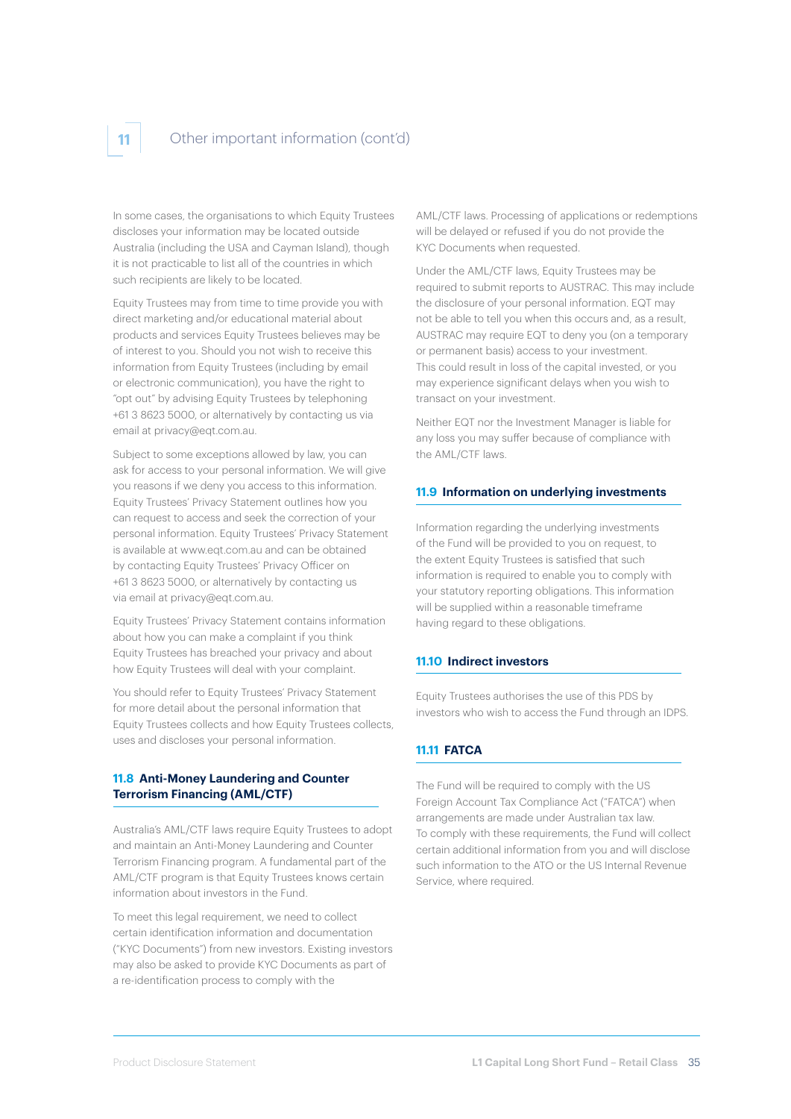# **11** Other important information (cont'd)

In some cases, the organisations to which Equity Trustees discloses your information may be located outside Australia (including the USA and Cayman Island), though it is not practicable to list all of the countries in which such recipients are likely to be located.

Equity Trustees may from time to time provide you with direct marketing and/or educational material about products and services Equity Trustees believes may be of interest to you. Should you not wish to receive this information from Equity Trustees (including by email or electronic communication), you have the right to "opt out" by advising Equity Trustees by telephoning +61 3 8623 5000, or alternatively by contacting us via email at privacy@eqt.com.au.

Subject to some exceptions allowed by law, you can ask for access to your personal information. We will give you reasons if we deny you access to this information. Equity Trustees' Privacy Statement outlines how you can request to access and seek the correction of your personal information. Equity Trustees' Privacy Statement is available at www.eqt.com.au and can be obtained by contacting Equity Trustees' Privacy Officer on +61 3 8623 5000, or alternatively by contacting us via email at privacy@eqt.com.au.

Equity Trustees' Privacy Statement contains information about how you can make a complaint if you think Equity Trustees has breached your privacy and about how Equity Trustees will deal with your complaint.

You should refer to Equity Trustees' Privacy Statement for more detail about the personal information that Equity Trustees collects and how Equity Trustees collects, uses and discloses your personal information.

### **11.8 Anti-Money Laundering and Counter Terrorism Financing (AML/CTF)**

Australia's AML/CTF laws require Equity Trustees to adopt and maintain an Anti-Money Laundering and Counter Terrorism Financing program. A fundamental part of the AML/CTF program is that Equity Trustees knows certain information about investors in the Fund.

To meet this legal requirement, we need to collect certain identification information and documentation ("KYC Documents") from new investors. Existing investors may also be asked to provide KYC Documents as part of a re-identification process to comply with the

AML/CTF laws. Processing of applications or redemptions will be delayed or refused if you do not provide the KYC Documents when requested.

Under the AML/CTF laws, Equity Trustees may be required to submit reports to AUSTRAC. This may include the disclosure of your personal information. EQT may not be able to tell you when this occurs and, as a result, AUSTRAC may require EQT to deny you (on a temporary or permanent basis) access to your investment. This could result in loss of the capital invested, or you may experience significant delays when you wish to transact on your investment.

Neither EQT nor the Investment Manager is liable for any loss you may suffer because of compliance with the AML/CTF laws.

#### **11.9 Information on underlying investments**

Information regarding the underlying investments of the Fund will be provided to you on request, to the extent Equity Trustees is satisfied that such information is required to enable you to comply with your statutory reporting obligations. This information will be supplied within a reasonable timeframe having regard to these obligations.

#### **11.10 Indirect investors**

Equity Trustees authorises the use of this PDS by investors who wish to access the Fund through an IDPS.

### **11.11 FATCA**

The Fund will be required to comply with the US Foreign Account Tax Compliance Act ("FATCA") when arrangements are made under Australian tax law. To comply with these requirements, the Fund will collect certain additional information from you and will disclose such information to the ATO or the US Internal Revenue Service, where required.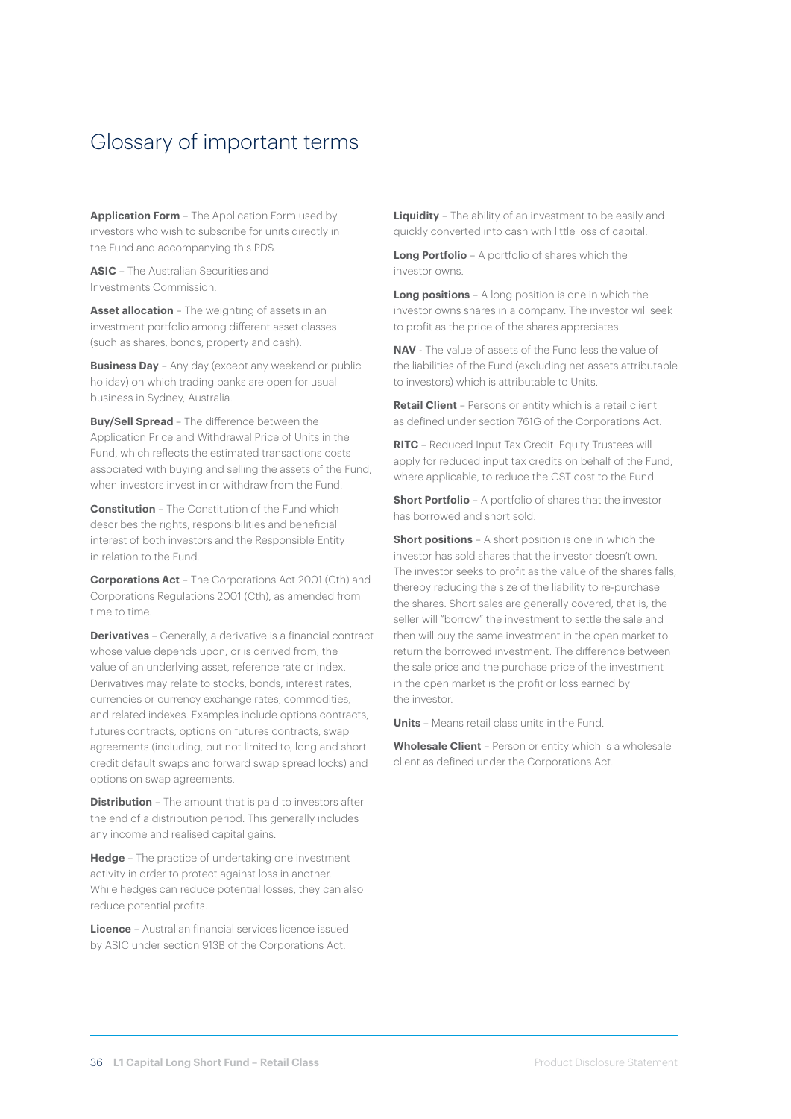# Glossary of important terms

**Application Form** – The Application Form used by investors who wish to subscribe for units directly in the Fund and accompanying this PDS.

**ASIC** – The Australian Securities and Investments Commission.

**Asset allocation** – The weighting of assets in an investment portfolio among different asset classes (such as shares, bonds, property and cash).

**Business Day** – Any day (except any weekend or public holiday) on which trading banks are open for usual business in Sydney, Australia.

**Buy/Sell Spread** – The difference between the Application Price and Withdrawal Price of Units in the Fund, which reflects the estimated transactions costs associated with buying and selling the assets of the Fund, when investors invest in or withdraw from the Fund.

**Constitution** – The Constitution of the Fund which describes the rights, responsibilities and beneficial interest of both investors and the Responsible Entity in relation to the Fund.

**Corporations Act** – The Corporations Act 2001 (Cth) and Corporations Regulations 2001 (Cth), as amended from time to time.

**Derivatives** – Generally, a derivative is a financial contract whose value depends upon, or is derived from, the value of an underlying asset, reference rate or index. Derivatives may relate to stocks, bonds, interest rates, currencies or currency exchange rates, commodities, and related indexes. Examples include options contracts, futures contracts, options on futures contracts, swap agreements (including, but not limited to, long and short credit default swaps and forward swap spread locks) and options on swap agreements.

**Distribution** – The amount that is paid to investors after the end of a distribution period. This generally includes any income and realised capital gains.

**Hedge** – The practice of undertaking one investment activity in order to protect against loss in another. While hedges can reduce potential losses, they can also reduce potential profits.

**Licence** – Australian financial services licence issued by ASIC under section 913B of the Corporations Act.

**Liquidity** – The ability of an investment to be easily and quickly converted into cash with little loss of capital.

**Long Portfolio** – A portfolio of shares which the investor owns.

**Long positions** – A long position is one in which the investor owns shares in a company. The investor will seek to profit as the price of the shares appreciates.

**NAV** - The value of assets of the Fund less the value of the liabilities of the Fund (excluding net assets attributable to investors) which is attributable to Units.

**Retail Client** – Persons or entity which is a retail client as defined under section 761G of the Corporations Act.

**RITC** – Reduced Input Tax Credit. Equity Trustees will apply for reduced input tax credits on behalf of the Fund, where applicable, to reduce the GST cost to the Fund.

**Short Portfolio** – A portfolio of shares that the investor has borrowed and short sold.

**Short positions** – A short position is one in which the investor has sold shares that the investor doesn't own. The investor seeks to profit as the value of the shares falls, thereby reducing the size of the liability to re-purchase the shares. Short sales are generally covered, that is, the seller will "borrow" the investment to settle the sale and then will buy the same investment in the open market to return the borrowed investment. The difference between the sale price and the purchase price of the investment in the open market is the profit or loss earned by the investor.

**Units** – Means retail class units in the Fund.

**Wholesale Client** – Person or entity which is a wholesale client as defined under the Corporations Act.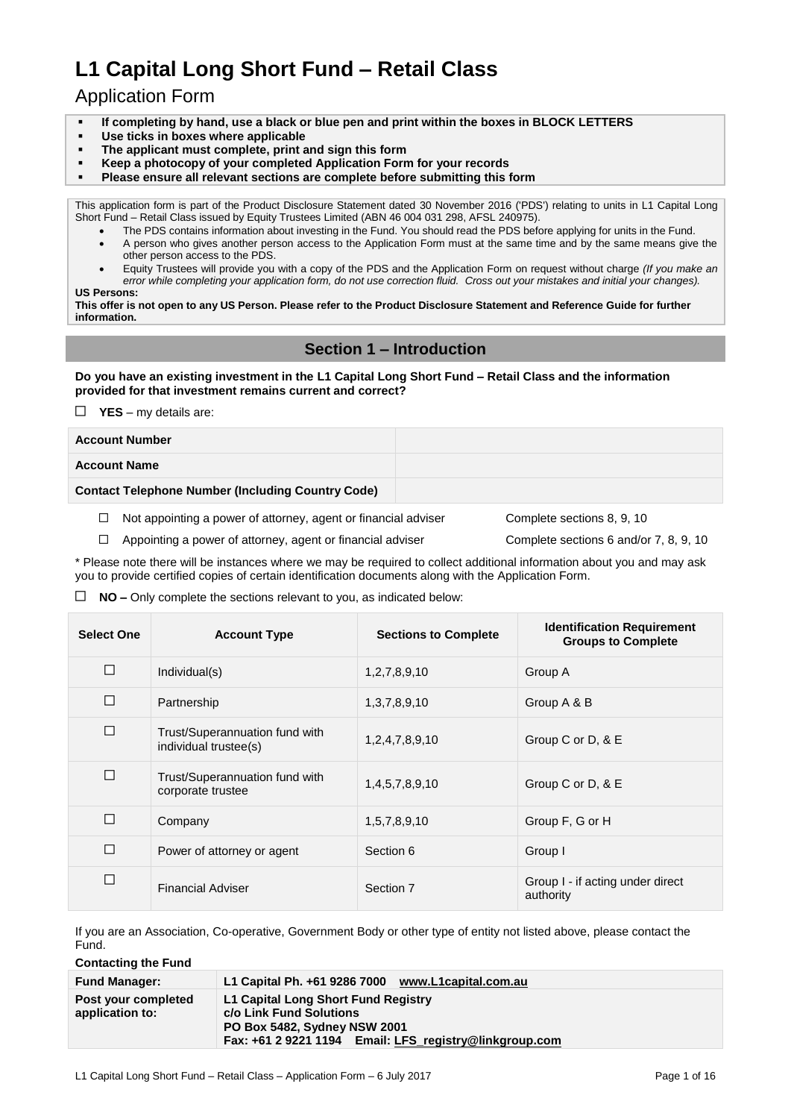# **L1 Capital Long Short Fund – Retail Class**

# Application Form

- **If completing by hand, use a black or blue pen and print within the boxes in BLOCK LETTERS**
- **Use ticks in boxes where applicable**
- **The applicant must complete, print and sign this form**
- **Keep a photocopy of your completed Application Form for your records**
- **Please ensure all relevant sections are complete before submitting this form**

This application form is part of the Product Disclosure Statement dated 30 November 2016 ('PDS') relating to units in L1 Capital Long Short Fund – Retail Class issued by Equity Trustees Limited (ABN 46 004 031 298, AFSL 240975).

- The PDS contains information about investing in the Fund. You should read the PDS before applying for units in the Fund. A person who gives another person access to the Application Form must at the same time and by the same means give the
- other person access to the PDS. Equity Trustees will provide you with a copy of the PDS and the Application Form on request without charge *(If you make an*
- *error while completing your application form, do not use correction fluid. Cross out your mistakes and initial your changes).*

**US Persons:**

**This offer is not open to any US Person. Please refer to the Product Disclosure Statement and Reference Guide for further information.**

# **Section 1 – Introduction**

**Do you have an existing investment in the L1 Capital Long Short Fund – Retail Class and the information provided for that investment remains current and correct?**

 $\Box$  **YES** – my details are:

| <b>Account Number</b>                                    |  |
|----------------------------------------------------------|--|
| <b>Account Name</b>                                      |  |
| <b>Contact Telephone Number (Including Country Code)</b> |  |

 $\Box$  Not appointing a power of attorney, agent or financial adviser Complete sections 8, 9, 10

□ Appointing a power of attorney, agent or financial adviser Complete sections 6 and/or 7, 8, 9, 10

\* Please note there will be instances where we may be required to collect additional information about you and may ask you to provide certified copies of certain identification documents along with the Application Form.

#### $\Box$  **NO** – Only complete the sections relevant to you, as indicated below:

| <b>Select One</b> | <b>Account Type</b>                                     | <b>Sections to Complete</b> | <b>Identification Requirement</b><br><b>Groups to Complete</b> |
|-------------------|---------------------------------------------------------|-----------------------------|----------------------------------------------------------------|
| □                 | Individual(s)                                           | 1,2,7,8,9,10                | Group A                                                        |
| П                 | Partnership                                             | 1, 3, 7, 8, 9, 10           | Group A & B                                                    |
| □                 | Trust/Superannuation fund with<br>individual trustee(s) | 1,2,4,7,8,9,10              | Group C or D, & E                                              |
| □                 | Trust/Superannuation fund with<br>corporate trustee     | 1,4,5,7,8,9,10              | Group C or D, & E                                              |
| П                 | Company                                                 | 1,5,7,8,9,10                | Group F, G or H                                                |
| П                 | Power of attorney or agent                              | Section 6                   | Group I                                                        |
| □                 | <b>Financial Adviser</b>                                | Section 7                   | Group I - if acting under direct<br>authority                  |

If you are an Association, Co-operative, Government Body or other type of entity not listed above, please contact the Fund.

**Contacting the Fund**

| <b>Fund Manager:</b>                   | L1 Capital Ph. +61 9286 7000<br>www.L1capital.com.au                                                                                                            |
|----------------------------------------|-----------------------------------------------------------------------------------------------------------------------------------------------------------------|
| Post your completed<br>application to: | L1 Capital Long Short Fund Registry<br>c/o Link Fund Solutions<br><b>PO Box 5482, Sydney NSW 2001</b><br>Fax: +61 2 9221 1194 Email: LFS registry@linkgroup.com |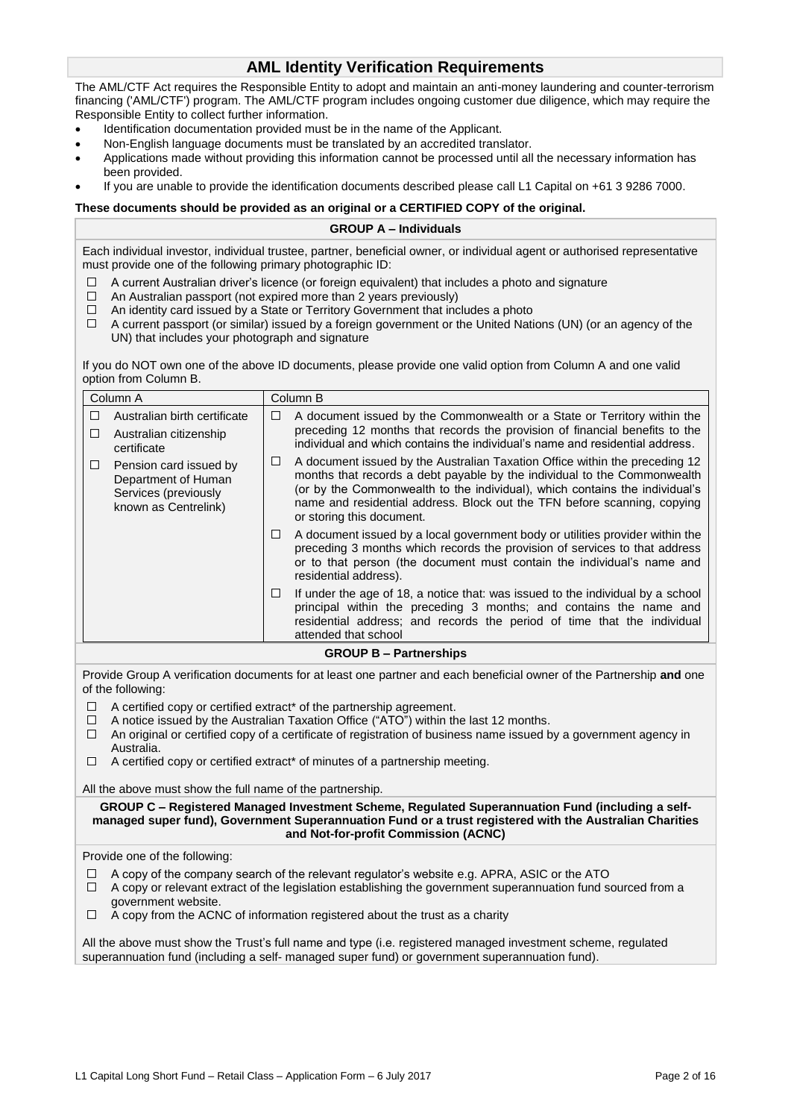# **AML Identity Verification Requirements**

The AML/CTF Act requires the Responsible Entity to adopt and maintain an anti-money laundering and counter-terrorism financing ('AML/CTF') program. The AML/CTF program includes ongoing customer due diligence, which may require the Responsible Entity to collect further information.

- Identification documentation provided must be in the name of the Applicant.
- Non-English language documents must be translated by an accredited translator.
- Applications made without providing this information cannot be processed until all the necessary information has been provided.
- If you are unable to provide the identification documents described please call L1 Capital on +61 3 9286 7000.

#### **These documents should be provided as an original or a CERTIFIED COPY of the original.**

#### **GROUP A – Individuals**

Each individual investor, individual trustee, partner, beneficial owner, or individual agent or authorised representative must provide one of the following primary photographic ID:

- $\Box$  A current Australian driver's licence (or foreign equivalent) that includes a photo and signature
- $\Box$ An Australian passport (not expired more than 2 years previously)
- An identity card issued by a State or Territory Government that includes a photo  $\Box$
- $\Box$ A current passport (or similar) issued by a foreign government or the United Nations (UN) (or an agency of the UN) that includes your photograph and signature

If you do NOT own one of the above ID documents, please provide one valid option from Column A and one valid option from Column B.

|                                                                                                                                                 | Column A                                                                                                                                                                                                                                                                                                                                                                      | Column B                                                                                                                                                                                                                                                                                                                                             |                                                                                                                                                                                                                                                                |  |
|-------------------------------------------------------------------------------------------------------------------------------------------------|-------------------------------------------------------------------------------------------------------------------------------------------------------------------------------------------------------------------------------------------------------------------------------------------------------------------------------------------------------------------------------|------------------------------------------------------------------------------------------------------------------------------------------------------------------------------------------------------------------------------------------------------------------------------------------------------------------------------------------------------|----------------------------------------------------------------------------------------------------------------------------------------------------------------------------------------------------------------------------------------------------------------|--|
| □<br>□                                                                                                                                          | Australian birth certificate<br>Australian citizenship                                                                                                                                                                                                                                                                                                                        | п                                                                                                                                                                                                                                                                                                                                                    | A document issued by the Commonwealth or a State or Territory within the<br>preceding 12 months that records the provision of financial benefits to the<br>individual and which contains the individual's name and residential address.                        |  |
| □                                                                                                                                               | certificate<br>Pension card issued by<br>Department of Human<br>Services (previously<br>known as Centrelink)                                                                                                                                                                                                                                                                  | A document issued by the Australian Taxation Office within the preceding 12<br>□<br>months that records a debt payable by the individual to the Commonwealth<br>(or by the Commonwealth to the individual), which contains the individual's<br>name and residential address. Block out the TFN before scanning, copying<br>or storing this document. |                                                                                                                                                                                                                                                                |  |
|                                                                                                                                                 |                                                                                                                                                                                                                                                                                                                                                                               | □                                                                                                                                                                                                                                                                                                                                                    | A document issued by a local government body or utilities provider within the<br>preceding 3 months which records the provision of services to that address<br>or to that person (the document must contain the individual's name and<br>residential address). |  |
|                                                                                                                                                 |                                                                                                                                                                                                                                                                                                                                                                               | □                                                                                                                                                                                                                                                                                                                                                    | If under the age of 18, a notice that: was issued to the individual by a school<br>principal within the preceding 3 months; and contains the name and<br>residential address; and records the period of time that the individual<br>attended that school       |  |
|                                                                                                                                                 |                                                                                                                                                                                                                                                                                                                                                                               |                                                                                                                                                                                                                                                                                                                                                      | <b>GROUP B - Partnerships</b>                                                                                                                                                                                                                                  |  |
|                                                                                                                                                 | of the following:                                                                                                                                                                                                                                                                                                                                                             |                                                                                                                                                                                                                                                                                                                                                      | Provide Group A verification documents for at least one partner and each beneficial owner of the Partnership and one                                                                                                                                           |  |
| ⊔<br>□<br>□<br>⊔                                                                                                                                | A certified copy or certified extract* of the partnership agreement.<br>A notice issued by the Australian Taxation Office ("ATO") within the last 12 months.<br>An original or certified copy of a certificate of registration of business name issued by a government agency in<br>Australia.<br>A certified copy or certified extract* of minutes of a partnership meeting. |                                                                                                                                                                                                                                                                                                                                                      |                                                                                                                                                                                                                                                                |  |
|                                                                                                                                                 |                                                                                                                                                                                                                                                                                                                                                                               |                                                                                                                                                                                                                                                                                                                                                      |                                                                                                                                                                                                                                                                |  |
|                                                                                                                                                 | All the above must show the full name of the partnership.                                                                                                                                                                                                                                                                                                                     |                                                                                                                                                                                                                                                                                                                                                      | GROUP C - Registered Managed Investment Scheme, Regulated Superannuation Fund (including a self-                                                                                                                                                               |  |
| managed super fund), Government Superannuation Fund or a trust registered with the Australian Charities<br>and Not-for-profit Commission (ACNC) |                                                                                                                                                                                                                                                                                                                                                                               |                                                                                                                                                                                                                                                                                                                                                      |                                                                                                                                                                                                                                                                |  |
|                                                                                                                                                 | Provide one of the following:                                                                                                                                                                                                                                                                                                                                                 |                                                                                                                                                                                                                                                                                                                                                      |                                                                                                                                                                                                                                                                |  |
| $\Box$<br>□                                                                                                                                     | government website.                                                                                                                                                                                                                                                                                                                                                           |                                                                                                                                                                                                                                                                                                                                                      | A copy of the company search of the relevant regulator's website e.g. APRA, ASIC or the ATO<br>A copy or relevant extract of the legislation establishing the government superannuation fund sourced from a                                                    |  |
| □                                                                                                                                               | A copy from the ACNC of information registered about the trust as a charity                                                                                                                                                                                                                                                                                                   |                                                                                                                                                                                                                                                                                                                                                      |                                                                                                                                                                                                                                                                |  |
|                                                                                                                                                 |                                                                                                                                                                                                                                                                                                                                                                               |                                                                                                                                                                                                                                                                                                                                                      | All the above must show the Trust's full name and type (i.e. registered managed investment scheme, regulated                                                                                                                                                   |  |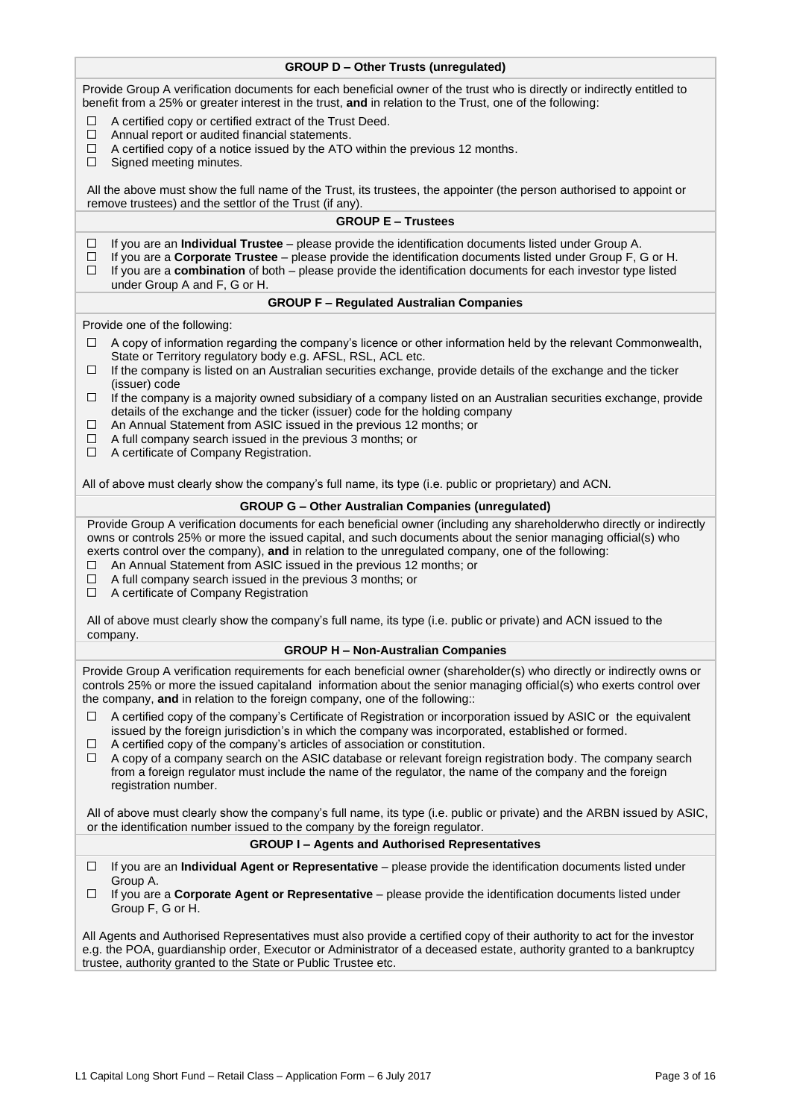| <b>GROUP D - Other Trusts (unregulated)</b>                                                                                                                                                                                                                                                                                                                                                                                                                                                                                                                         |
|---------------------------------------------------------------------------------------------------------------------------------------------------------------------------------------------------------------------------------------------------------------------------------------------------------------------------------------------------------------------------------------------------------------------------------------------------------------------------------------------------------------------------------------------------------------------|
| Provide Group A verification documents for each beneficial owner of the trust who is directly or indirectly entitled to<br>benefit from a 25% or greater interest in the trust, and in relation to the Trust, one of the following:                                                                                                                                                                                                                                                                                                                                 |
| A certified copy or certified extract of the Trust Deed.<br>□<br>Annual report or audited financial statements.<br>□<br>□<br>A certified copy of a notice issued by the ATO within the previous 12 months.<br>$\Box$<br>Signed meeting minutes.                                                                                                                                                                                                                                                                                                                     |
| All the above must show the full name of the Trust, its trustees, the appointer (the person authorised to appoint or<br>remove trustees) and the settlor of the Trust (if any).                                                                                                                                                                                                                                                                                                                                                                                     |
| <b>GROUP E - Trustees</b>                                                                                                                                                                                                                                                                                                                                                                                                                                                                                                                                           |
| □<br>If you are an Individual Trustee - please provide the identification documents listed under Group A.<br>$\Box$<br>If you are a Corporate Trustee - please provide the identification documents listed under Group F, G or H.<br>If you are a combination of both – please provide the identification documents for each investor type listed<br>□<br>under Group A and F, G or H.                                                                                                                                                                              |
| <b>GROUP F - Regulated Australian Companies</b>                                                                                                                                                                                                                                                                                                                                                                                                                                                                                                                     |
| Provide one of the following:                                                                                                                                                                                                                                                                                                                                                                                                                                                                                                                                       |
| A copy of information regarding the company's licence or other information held by the relevant Commonwealth,<br>⊔<br>State or Territory regulatory body e.g. AFSL, RSL, ACL etc.<br>If the company is listed on an Australian securities exchange, provide details of the exchange and the ticker<br>□<br>(issuer) code<br>If the company is a majority owned subsidiary of a company listed on an Australian securities exchange, provide<br>⊔                                                                                                                    |
| details of the exchange and the ticker (issuer) code for the holding company<br>An Annual Statement from ASIC issued in the previous 12 months; or<br>□<br>A full company search issued in the previous 3 months; or<br>□<br>□<br>A certificate of Company Registration.                                                                                                                                                                                                                                                                                            |
| All of above must clearly show the company's full name, its type (i.e. public or proprietary) and ACN.                                                                                                                                                                                                                                                                                                                                                                                                                                                              |
| <b>GROUP G - Other Australian Companies (unregulated)</b>                                                                                                                                                                                                                                                                                                                                                                                                                                                                                                           |
| Provide Group A verification documents for each beneficial owner (including any shareholderwho directly or indirectly<br>owns or controls 25% or more the issued capital, and such documents about the senior managing official(s) who<br>exerts control over the company), and in relation to the unregulated company, one of the following:<br>An Annual Statement from ASIC issued in the previous 12 months; or<br>□<br>A full company search issued in the previous 3 months; or<br>$\Box$<br>A certificate of Company Registration<br>□                       |
| All of above must clearly show the company's full name, its type (i.e. public or private) and ACN issued to the<br>company.                                                                                                                                                                                                                                                                                                                                                                                                                                         |
| <b>GROUP H - Non-Australian Companies</b>                                                                                                                                                                                                                                                                                                                                                                                                                                                                                                                           |
| Provide Group A verification requirements for each beneficial owner (shareholder(s) who directly or indirectly owns or<br>controls 25% or more the issued capitaland information about the senior managing official(s) who exerts control over<br>the company, and in relation to the foreign company, one of the following::                                                                                                                                                                                                                                       |
| A certified copy of the company's Certificate of Registration or incorporation issued by ASIC or the equivalent<br>□<br>issued by the foreign jurisdiction's in which the company was incorporated, established or formed.<br>A certified copy of the company's articles of association or constitution.<br>□<br>A copy of a company search on the ASIC database or relevant foreign registration body. The company search<br>□<br>from a foreign regulator must include the name of the regulator, the name of the company and the foreign<br>registration number. |
| All of above must clearly show the company's full name, its type (i.e. public or private) and the ARBN issued by ASIC,<br>or the identification number issued to the company by the foreign regulator.                                                                                                                                                                                                                                                                                                                                                              |
| <b>GROUP I-Agents and Authorised Representatives</b>                                                                                                                                                                                                                                                                                                                                                                                                                                                                                                                |
| □<br>If you are an Individual Agent or Representative - please provide the identification documents listed under                                                                                                                                                                                                                                                                                                                                                                                                                                                    |
| Group A.<br>If you are a Corporate Agent or Representative - please provide the identification documents listed under<br>□<br>Group F, G or H.                                                                                                                                                                                                                                                                                                                                                                                                                      |
| All Agents and Authorised Representatives must also provide a certified copy of their authority to act for the investor<br>e.g. the POA, guardianship order, Executor or Administrator of a deceased estate, authority granted to a bankruptcy<br>trustee, authority granted to the State or Public Trustee etc.                                                                                                                                                                                                                                                    |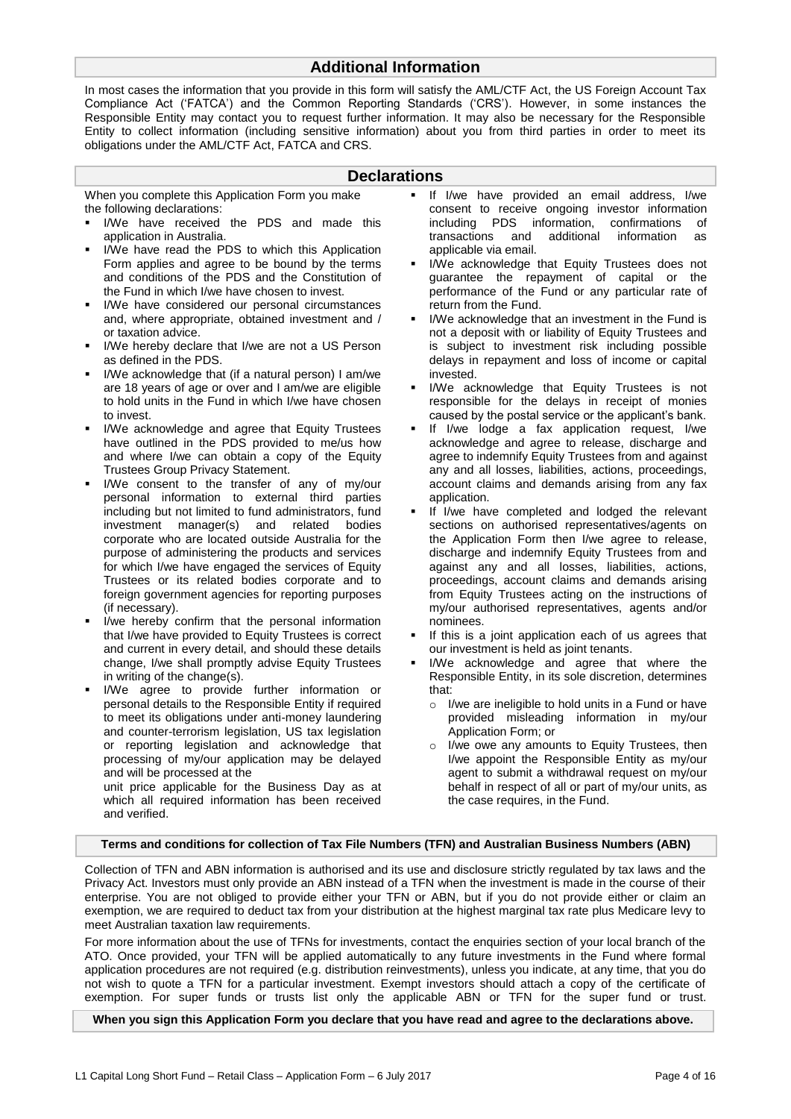# **Additional Information**

In most cases the information that you provide in this form will satisfy the AML/CTF Act, the US Foreign Account Tax Compliance Act ('FATCA') and the Common Reporting Standards ('CRS'). However, in some instances the Responsible Entity may contact you to request further information. It may also be necessary for the Responsible Entity to collect information (including sensitive information) about you from third parties in order to meet its obligations under the AML/CTF Act, FATCA and CRS.

### **Declarations**

When you complete this Application Form you make the following declarations:

- I/We have received the PDS and made this application in Australia.
- I/We have read the PDS to which this Application Form applies and agree to be bound by the terms and conditions of the PDS and the Constitution of the Fund in which I/we have chosen to invest.
- I/We have considered our personal circumstances and, where appropriate, obtained investment and / or taxation advice.
- I/We hereby declare that I/we are not a US Person as defined in the PDS.
- I/We acknowledge that (if a natural person) I am/we are 18 years of age or over and I am/we are eligible to hold units in the Fund in which I/we have chosen to invest.
- I/We acknowledge and agree that Equity Trustees have outlined in the PDS provided to me/us how and where I/we can obtain a copy of the Equity Trustees Group Privacy Statement.
- I/We consent to the transfer of any of my/our personal information to external third parties including but not limited to fund administrators, fund investment manager(s) and related bodies corporate who are located outside Australia for the purpose of administering the products and services for which I/we have engaged the services of Equity Trustees or its related bodies corporate and to foreign government agencies for reporting purposes (if necessary).
- I/we hereby confirm that the personal information that I/we have provided to Equity Trustees is correct and current in every detail, and should these details change, I/we shall promptly advise Equity Trustees in writing of the change(s).
- I/We agree to provide further information or personal details to the Responsible Entity if required to meet its obligations under anti-money laundering and counter-terrorism legislation, US tax legislation or reporting legislation and acknowledge that processing of my/our application may be delayed and will be processed at the unit price applicable for the Business Day as at

which all required information has been received and verified.

- If I/we have provided an email address, I/we consent to receive ongoing investor information including PDS information, confirmations of transactions and additional information as applicable via email.
- I/We acknowledge that Equity Trustees does not guarantee the repayment of capital or the performance of the Fund or any particular rate of return from the Fund.
- I/We acknowledge that an investment in the Fund is not a deposit with or liability of Equity Trustees and is subject to investment risk including possible delays in repayment and loss of income or capital invested.
- I/We acknowledge that Equity Trustees is not responsible for the delays in receipt of monies caused by the postal service or the applicant's bank.
- If I/we lodge a fax application request, I/we acknowledge and agree to release, discharge and agree to indemnify Equity Trustees from and against any and all losses, liabilities, actions, proceedings, account claims and demands arising from any fax application.
- If I/we have completed and lodged the relevant sections on authorised representatives/agents on the Application Form then I/we agree to release, discharge and indemnify Equity Trustees from and against any and all losses, liabilities, actions, proceedings, account claims and demands arising from Equity Trustees acting on the instructions of my/our authorised representatives, agents and/or nominees.
- If this is a joint application each of us agrees that our investment is held as joint tenants.
- I/We acknowledge and agree that where the Responsible Entity, in its sole discretion, determines that:
	- o I/we are ineligible to hold units in a Fund or have provided misleading information in my/our Application Form; or
	- o I/we owe any amounts to Equity Trustees, then I/we appoint the Responsible Entity as my/our agent to submit a withdrawal request on my/our behalf in respect of all or part of my/our units, as the case requires, in the Fund.

#### **Terms and conditions for collection of Tax File Numbers (TFN) and Australian Business Numbers (ABN)**

Collection of TFN and ABN information is authorised and its use and disclosure strictly regulated by tax laws and the Privacy Act. Investors must only provide an ABN instead of a TFN when the investment is made in the course of their enterprise. You are not obliged to provide either your TFN or ABN, but if you do not provide either or claim an exemption, we are required to deduct tax from your distribution at the highest marginal tax rate plus Medicare levy to meet Australian taxation law requirements.

For more information about the use of TFNs for investments, contact the enquiries section of your local branch of the ATO. Once provided, your TFN will be applied automatically to any future investments in the Fund where formal application procedures are not required (e.g. distribution reinvestments), unless you indicate, at any time, that you do not wish to quote a TFN for a particular investment. Exempt investors should attach a copy of the certificate of exemption. For super funds or trusts list only the applicable ABN or TFN for the super fund or trust.

**When you sign this Application Form you declare that you have read and agree to the declarations above.**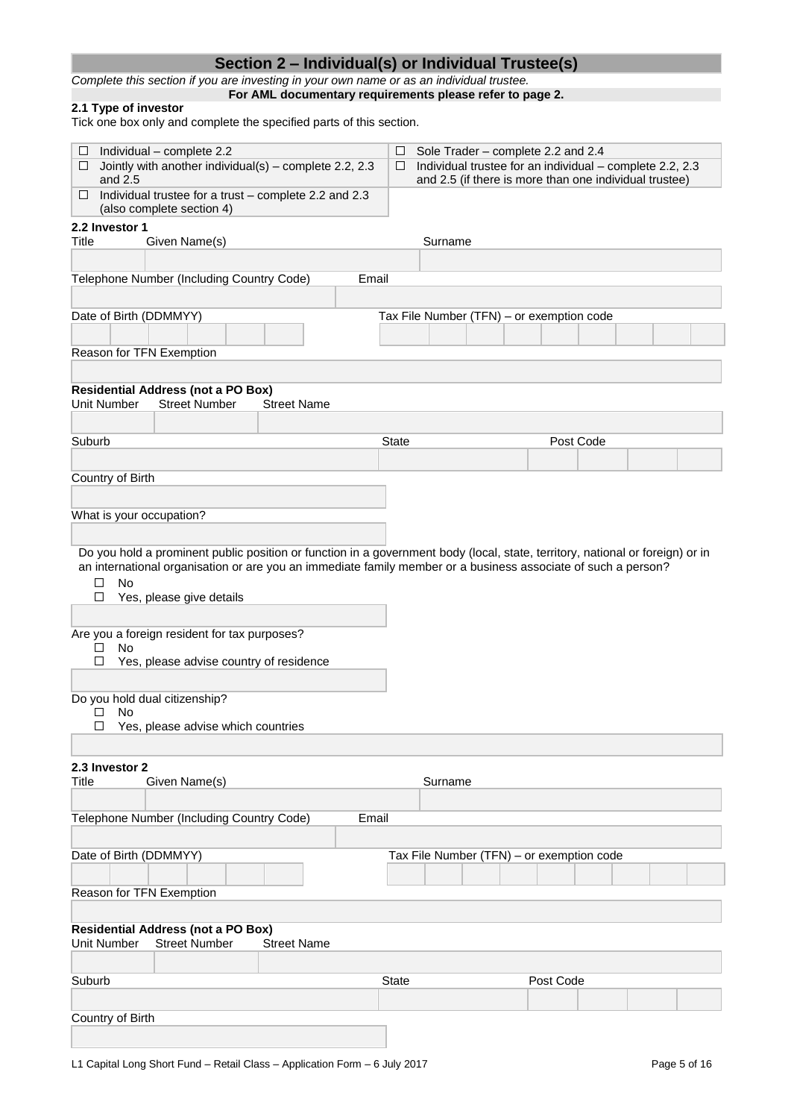|                                                                                                                                                                                                                                                                  | Section 2 – Individual(s) or Individual Trustee(s)       |              |                                                                                                                                                          |           |  |
|------------------------------------------------------------------------------------------------------------------------------------------------------------------------------------------------------------------------------------------------------------------|----------------------------------------------------------|--------------|----------------------------------------------------------------------------------------------------------------------------------------------------------|-----------|--|
| Complete this section if you are investing in your own name or as an individual trustee.                                                                                                                                                                         |                                                          |              |                                                                                                                                                          |           |  |
| 2.1 Type of investor<br>Tick one box only and complete the specified parts of this section.                                                                                                                                                                      | For AML documentary requirements please refer to page 2. |              |                                                                                                                                                          |           |  |
|                                                                                                                                                                                                                                                                  |                                                          |              |                                                                                                                                                          |           |  |
| Individual - complete 2.2<br>⊔<br>0<br>Jointly with another individual(s) - complete 2.2, 2.3<br>and $2.5$                                                                                                                                                       |                                                          | □<br>$\Box$  | Sole Trader - complete 2.2 and 2.4<br>Individual trustee for an individual - complete 2.2, 2.3<br>and 2.5 (if there is more than one individual trustee) |           |  |
| Individual trustee for a trust - complete 2.2 and 2.3<br>⊔<br>(also complete section 4)                                                                                                                                                                          |                                                          |              |                                                                                                                                                          |           |  |
| 2.2 Investor 1<br>Title<br>Given Name(s)                                                                                                                                                                                                                         |                                                          | Surname      |                                                                                                                                                          |           |  |
|                                                                                                                                                                                                                                                                  |                                                          |              |                                                                                                                                                          |           |  |
| Telephone Number (Including Country Code)                                                                                                                                                                                                                        |                                                          | Email        |                                                                                                                                                          |           |  |
|                                                                                                                                                                                                                                                                  |                                                          |              |                                                                                                                                                          |           |  |
| Date of Birth (DDMMYY)                                                                                                                                                                                                                                           |                                                          |              | Tax File Number (TFN) - or exemption code                                                                                                                |           |  |
| Reason for TFN Exemption                                                                                                                                                                                                                                         |                                                          |              |                                                                                                                                                          |           |  |
|                                                                                                                                                                                                                                                                  |                                                          |              |                                                                                                                                                          |           |  |
| <b>Residential Address (not a PO Box)</b><br>Unit Number<br><b>Street Number</b>                                                                                                                                                                                 | <b>Street Name</b>                                       |              |                                                                                                                                                          |           |  |
|                                                                                                                                                                                                                                                                  |                                                          |              |                                                                                                                                                          |           |  |
| Suburb                                                                                                                                                                                                                                                           |                                                          | <b>State</b> |                                                                                                                                                          | Post Code |  |
|                                                                                                                                                                                                                                                                  |                                                          |              |                                                                                                                                                          |           |  |
| Country of Birth                                                                                                                                                                                                                                                 |                                                          |              |                                                                                                                                                          |           |  |
|                                                                                                                                                                                                                                                                  |                                                          |              |                                                                                                                                                          |           |  |
| What is your occupation?                                                                                                                                                                                                                                         |                                                          |              |                                                                                                                                                          |           |  |
| Do you hold a prominent public position or function in a government body (local, state, territory, national or foreign) or in<br>an international organisation or are you an immediate family member or a business associate of such a person?<br>□<br><b>No</b> |                                                          |              |                                                                                                                                                          |           |  |
| □<br>Yes, please give details                                                                                                                                                                                                                                    |                                                          |              |                                                                                                                                                          |           |  |
| Are you a foreign resident for tax purposes?<br>□<br>No                                                                                                                                                                                                          |                                                          |              |                                                                                                                                                          |           |  |
| □<br>Yes, please advise country of residence                                                                                                                                                                                                                     |                                                          |              |                                                                                                                                                          |           |  |
| Do you hold dual citizenship?                                                                                                                                                                                                                                    |                                                          |              |                                                                                                                                                          |           |  |
| <b>No</b><br>□<br>□<br>Yes, please advise which countries                                                                                                                                                                                                        |                                                          |              |                                                                                                                                                          |           |  |
|                                                                                                                                                                                                                                                                  |                                                          |              |                                                                                                                                                          |           |  |
| 2.3 Investor 2                                                                                                                                                                                                                                                   |                                                          |              |                                                                                                                                                          |           |  |
| Given Name(s)<br>Title                                                                                                                                                                                                                                           |                                                          | Surname      |                                                                                                                                                          |           |  |
|                                                                                                                                                                                                                                                                  |                                                          |              |                                                                                                                                                          |           |  |
| Telephone Number (Including Country Code)                                                                                                                                                                                                                        |                                                          | Email        |                                                                                                                                                          |           |  |
| Date of Birth (DDMMYY)                                                                                                                                                                                                                                           |                                                          |              | Tax File Number (TFN) - or exemption code                                                                                                                |           |  |
| Reason for TFN Exemption                                                                                                                                                                                                                                         |                                                          |              |                                                                                                                                                          |           |  |
|                                                                                                                                                                                                                                                                  |                                                          |              |                                                                                                                                                          |           |  |
| <b>Residential Address (not a PO Box)</b><br>Unit Number<br><b>Street Number</b>                                                                                                                                                                                 | <b>Street Name</b>                                       |              |                                                                                                                                                          |           |  |
|                                                                                                                                                                                                                                                                  |                                                          |              |                                                                                                                                                          |           |  |
| Suburb                                                                                                                                                                                                                                                           |                                                          | <b>State</b> | Post Code                                                                                                                                                |           |  |
|                                                                                                                                                                                                                                                                  |                                                          |              |                                                                                                                                                          |           |  |
| Country of Birth                                                                                                                                                                                                                                                 |                                                          |              |                                                                                                                                                          |           |  |
|                                                                                                                                                                                                                                                                  |                                                          |              |                                                                                                                                                          |           |  |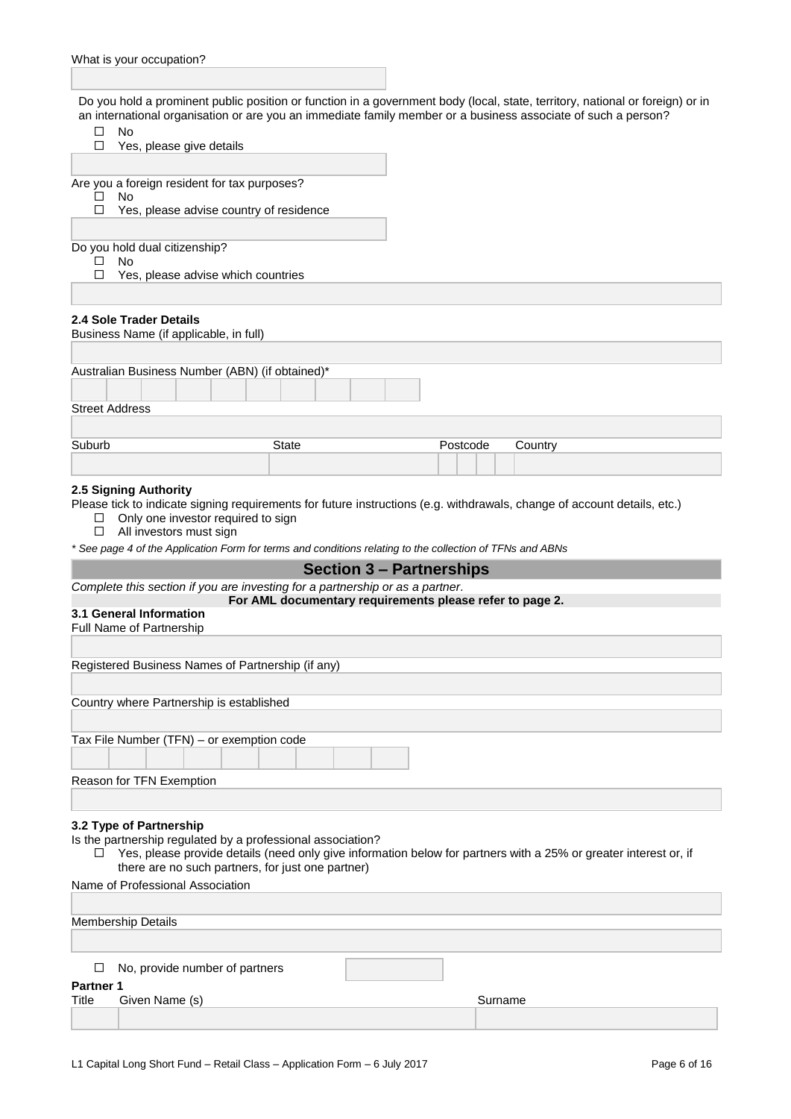Do you hold a prominent public position or function in a government body (local, state, territory, national or foreign) or in an international organisation or are you an immediate family member or a business associate of such a person?

|                           |                                                     |                                                             |              |                                                                                                           |          |         | an international organisation or are you an immediate family member or a business associate of such a person?            |
|---------------------------|-----------------------------------------------------|-------------------------------------------------------------|--------------|-----------------------------------------------------------------------------------------------------------|----------|---------|--------------------------------------------------------------------------------------------------------------------------|
| □                         | No                                                  | Yes, please give details                                    |              |                                                                                                           |          |         |                                                                                                                          |
|                           |                                                     |                                                             |              |                                                                                                           |          |         |                                                                                                                          |
|                           |                                                     | Are you a foreign resident for tax purposes?                |              |                                                                                                           |          |         |                                                                                                                          |
| П                         | No                                                  |                                                             |              |                                                                                                           |          |         |                                                                                                                          |
| □                         |                                                     | Yes, please advise country of residence                     |              |                                                                                                           |          |         |                                                                                                                          |
|                           |                                                     |                                                             |              |                                                                                                           |          |         |                                                                                                                          |
|                           | Do you hold dual citizenship?                       |                                                             |              |                                                                                                           |          |         |                                                                                                                          |
| □                         | No                                                  | Yes, please advise which countries                          |              |                                                                                                           |          |         |                                                                                                                          |
|                           |                                                     |                                                             |              |                                                                                                           |          |         |                                                                                                                          |
|                           |                                                     |                                                             |              |                                                                                                           |          |         |                                                                                                                          |
|                           | 2.4 Sole Trader Details                             | Business Name (if applicable, in full)                      |              |                                                                                                           |          |         |                                                                                                                          |
|                           |                                                     |                                                             |              |                                                                                                           |          |         |                                                                                                                          |
|                           |                                                     | Australian Business Number (ABN) (if obtained)*             |              |                                                                                                           |          |         |                                                                                                                          |
|                           |                                                     |                                                             |              |                                                                                                           |          |         |                                                                                                                          |
| <b>Street Address</b>     |                                                     |                                                             |              |                                                                                                           |          |         |                                                                                                                          |
|                           |                                                     |                                                             |              |                                                                                                           |          |         |                                                                                                                          |
| Suburb                    |                                                     |                                                             | <b>State</b> |                                                                                                           | Postcode | Country |                                                                                                                          |
|                           |                                                     |                                                             |              |                                                                                                           |          |         |                                                                                                                          |
|                           | 2.5 Signing Authority                               |                                                             |              |                                                                                                           |          |         |                                                                                                                          |
| □                         | All investors must sign                             | Only one investor required to sign                          |              | * See page 4 of the Application Form for terms and conditions relating to the collection of TFNs and ABNs |          |         | Please tick to indicate signing requirements for future instructions (e.g. withdrawals, change of account details, etc.) |
|                           |                                                     |                                                             |              | <b>Section 3 - Partnerships</b>                                                                           |          |         |                                                                                                                          |
|                           |                                                     |                                                             |              | Complete this section if you are investing for a partnership or as a partner.                             |          |         |                                                                                                                          |
|                           |                                                     |                                                             |              | For AML documentary requirements please refer to page 2.                                                  |          |         |                                                                                                                          |
|                           | 3.1 General Information<br>Full Name of Partnership |                                                             |              |                                                                                                           |          |         |                                                                                                                          |
|                           |                                                     |                                                             |              |                                                                                                           |          |         |                                                                                                                          |
|                           |                                                     | Registered Business Names of Partnership (if any)           |              |                                                                                                           |          |         |                                                                                                                          |
|                           |                                                     |                                                             |              |                                                                                                           |          |         |                                                                                                                          |
|                           |                                                     | Country where Partnership is established                    |              |                                                                                                           |          |         |                                                                                                                          |
|                           |                                                     |                                                             |              |                                                                                                           |          |         |                                                                                                                          |
|                           |                                                     | Tax File Number (TFN) - or exemption code                   |              |                                                                                                           |          |         |                                                                                                                          |
|                           |                                                     |                                                             |              |                                                                                                           |          |         |                                                                                                                          |
|                           |                                                     |                                                             |              |                                                                                                           |          |         |                                                                                                                          |
|                           | Reason for TFN Exemption                            |                                                             |              |                                                                                                           |          |         |                                                                                                                          |
|                           |                                                     |                                                             |              |                                                                                                           |          |         |                                                                                                                          |
|                           | 3.2 Type of Partnership                             |                                                             |              |                                                                                                           |          |         |                                                                                                                          |
| $\Box$                    |                                                     | Is the partnership regulated by a professional association? |              |                                                                                                           |          |         | Yes, please provide details (need only give information below for partners with a 25% or greater interest or, if         |
|                           |                                                     | there are no such partners, for just one partner)           |              |                                                                                                           |          |         |                                                                                                                          |
|                           |                                                     | Name of Professional Association                            |              |                                                                                                           |          |         |                                                                                                                          |
|                           |                                                     |                                                             |              |                                                                                                           |          |         |                                                                                                                          |
|                           | <b>Membership Details</b>                           |                                                             |              |                                                                                                           |          |         |                                                                                                                          |
|                           |                                                     |                                                             |              |                                                                                                           |          |         |                                                                                                                          |
|                           |                                                     |                                                             |              |                                                                                                           |          |         |                                                                                                                          |
| Ш                         |                                                     | No, provide number of partners                              |              |                                                                                                           |          |         |                                                                                                                          |
| <b>Partner 1</b><br>Title | Given Name (s)                                      |                                                             |              |                                                                                                           |          | Surname |                                                                                                                          |
|                           |                                                     |                                                             |              |                                                                                                           |          |         |                                                                                                                          |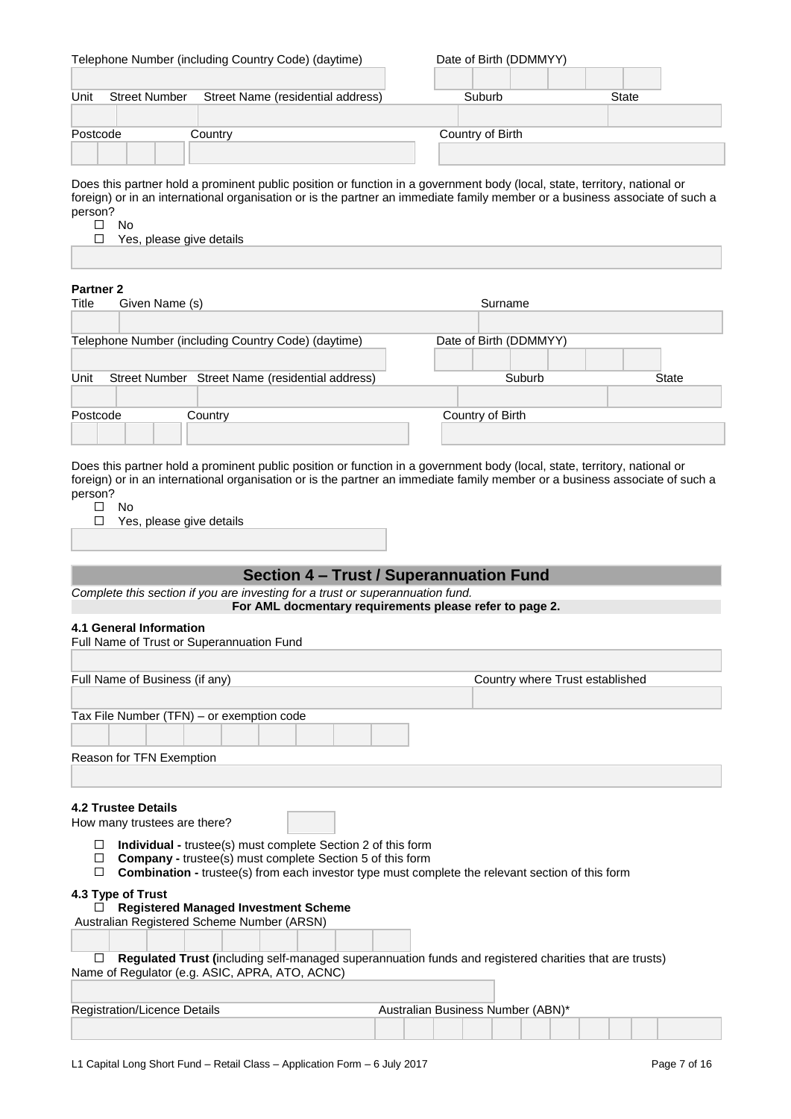|                              | Telephone Number (including Country Code) (daytime)                                                                       | Date of Birth (DDMMYY) |       |
|------------------------------|---------------------------------------------------------------------------------------------------------------------------|------------------------|-------|
|                              |                                                                                                                           |                        |       |
| Unit<br><b>Street Number</b> | Street Name (residential address)                                                                                         | Suburb                 | State |
|                              |                                                                                                                           |                        |       |
| Postcode                     | Country                                                                                                                   | Country of Birth       |       |
|                              |                                                                                                                           |                        |       |
|                              |                                                                                                                           |                        |       |
|                              | Does this partner hold a prominent public position or function in a government body (local, state, territory, national or |                        |       |

Does this partner hold a prominent public position or function in a government body (local, state, territory, national or foreign) or in an international organisation or is the partner an immediate family member or a business associate of such a person?  $\square$  No

 $\Box$ Yes, please give details

# **Partner 2**

| ганн <del>ы</del> д |                |                                                     |                        |              |
|---------------------|----------------|-----------------------------------------------------|------------------------|--------------|
| Title               | Given Name (s) |                                                     | Surname                |              |
|                     |                |                                                     |                        |              |
|                     |                | Telephone Number (including Country Code) (daytime) | Date of Birth (DDMMYY) |              |
|                     |                |                                                     |                        |              |
| Unit                |                | Street Number Street Name (residential address)     | Suburb                 | <b>State</b> |
|                     |                |                                                     |                        |              |
| Postcode            |                | Country                                             | Country of Birth       |              |
|                     |                |                                                     |                        |              |

Does this partner hold a prominent public position or function in a government body (local, state, territory, national or foreign) or in an international organisation or is the partner an immediate family member or a business associate of such a person?

- $\square$  No
- □ Yes, please give details

# **Section 4 – Trust / Superannuation Fund**

*Complete this section if you are investing for a trust or superannuation fund.*

**For AML docmentary requirements please refer to page 2.**

#### **4.1 General Information**

| Full Name of Trust or Superannuation Fund                                                                                                                                                                                                                                                                                                                 |                                                                                                        |
|-----------------------------------------------------------------------------------------------------------------------------------------------------------------------------------------------------------------------------------------------------------------------------------------------------------------------------------------------------------|--------------------------------------------------------------------------------------------------------|
|                                                                                                                                                                                                                                                                                                                                                           |                                                                                                        |
| Full Name of Business (if any)                                                                                                                                                                                                                                                                                                                            | Country where Trust established                                                                        |
|                                                                                                                                                                                                                                                                                                                                                           |                                                                                                        |
| Tax File Number (TFN) - or exemption code                                                                                                                                                                                                                                                                                                                 |                                                                                                        |
|                                                                                                                                                                                                                                                                                                                                                           |                                                                                                        |
| Reason for TFN Exemption                                                                                                                                                                                                                                                                                                                                  |                                                                                                        |
|                                                                                                                                                                                                                                                                                                                                                           |                                                                                                        |
| <b>4.2 Trustee Details</b><br>How many trustees are there?<br><b>Individual - trustee(s) must complete Section 2 of this form</b><br>□<br><b>Company</b> - trustee(s) must complete Section 5 of this form<br>$\Box$<br><b>Combination -</b> trustee(s) from each investor type must complete the relevant section of this form<br>□<br>4.3 Type of Trust |                                                                                                        |
| <b>Registered Managed Investment Scheme</b>                                                                                                                                                                                                                                                                                                               |                                                                                                        |
| Australian Registered Scheme Number (ARSN)                                                                                                                                                                                                                                                                                                                |                                                                                                        |
| □                                                                                                                                                                                                                                                                                                                                                         | Regulated Trust (including self-managed superannuation funds and registered charities that are trusts) |
| Name of Regulator (e.g. ASIC, APRA, ATO, ACNC)                                                                                                                                                                                                                                                                                                            |                                                                                                        |
| Registration/Licence Details                                                                                                                                                                                                                                                                                                                              | Australian Business Number (ABN)*                                                                      |
|                                                                                                                                                                                                                                                                                                                                                           |                                                                                                        |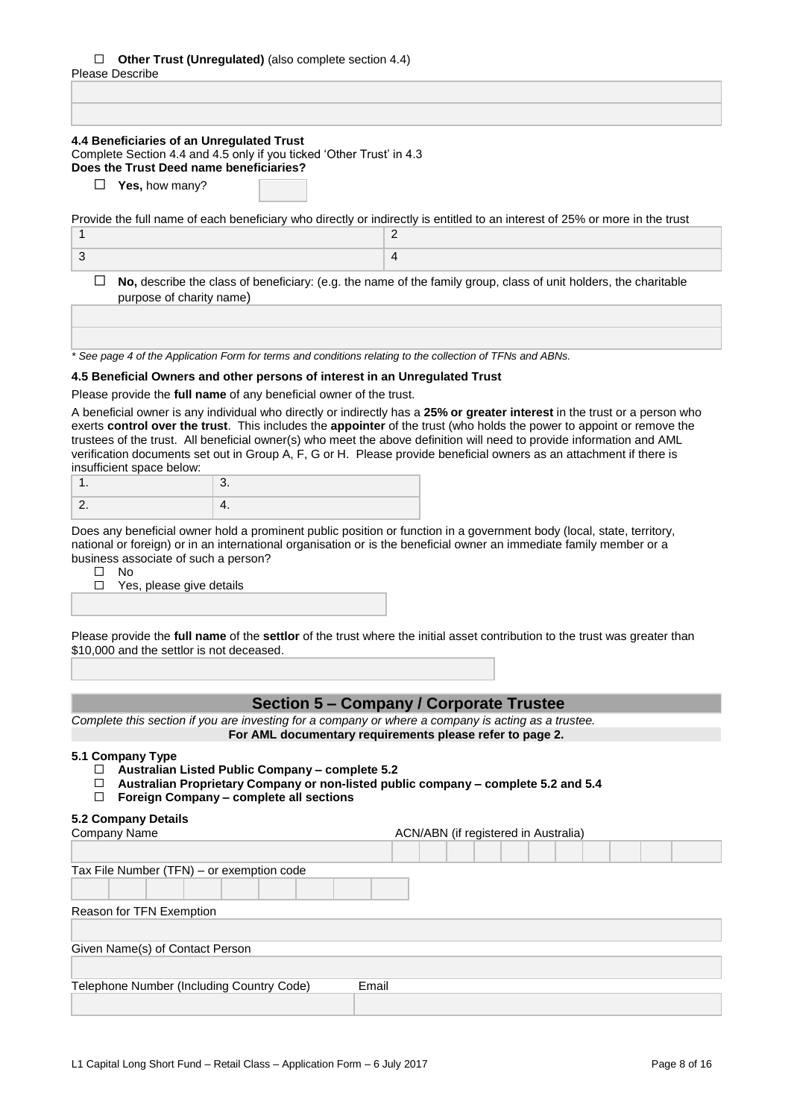# **Other Trust (Unregulated)** (also complete section 4.4)

| Please Describe |  |
|-----------------|--|
|-----------------|--|

| 4.4 Beneficiaries of an Unregulated Trust<br>Complete Section 4.4 and 4.5 only if you ticked 'Other Trust' in 4.3<br>Does the Trust Deed name beneficiaries?                                                                                                                                                                                                                                       |                                                                                                                            |
|----------------------------------------------------------------------------------------------------------------------------------------------------------------------------------------------------------------------------------------------------------------------------------------------------------------------------------------------------------------------------------------------------|----------------------------------------------------------------------------------------------------------------------------|
| <b>Yes, how many?</b><br>⊔                                                                                                                                                                                                                                                                                                                                                                         |                                                                                                                            |
| Provide the full name of each beneficiary who directly or indirectly is entitled to an interest of 25% or more in the trust                                                                                                                                                                                                                                                                        |                                                                                                                            |
| 1                                                                                                                                                                                                                                                                                                                                                                                                  | 2                                                                                                                          |
| 3                                                                                                                                                                                                                                                                                                                                                                                                  | 4                                                                                                                          |
| ⊔<br>purpose of charity name)                                                                                                                                                                                                                                                                                                                                                                      | No, describe the class of beneficiary: (e.g. the name of the family group, class of unit holders, the charitable           |
| * See page 4 of the Application Form for terms and conditions relating to the collection of TFNs and ABNs.                                                                                                                                                                                                                                                                                         |                                                                                                                            |
| 4.5 Beneficial Owners and other persons of interest in an Unregulated Trust                                                                                                                                                                                                                                                                                                                        |                                                                                                                            |
| Please provide the full name of any beneficial owner of the trust.                                                                                                                                                                                                                                                                                                                                 |                                                                                                                            |
| exerts control over the trust. This includes the appointer of the trust (who holds the power to appoint or remove the<br>trustees of the trust. All beneficial owner(s) who meet the above definition will need to provide information and AML<br>verification documents set out in Group A, F, G or H. Please provide beneficial owners as an attachment if there is<br>insufficient space below: | A beneficial owner is any individual who directly or indirectly has a 25% or greater interest in the trust or a person who |
| 3.<br>1.                                                                                                                                                                                                                                                                                                                                                                                           |                                                                                                                            |

Does any beneficial owner hold a prominent public position or function in a government body (local, state, territory, national or foreign) or in an international organisation or is the beneficial owner an immediate family member or a business associate of such a person?

 $\square$  No

□ Yes, please give details

Please provide the **full name** of the **settlor** of the trust where the initial asset contribution to the trust was greater than \$10,000 and the settlor is not deceased.

# **Section 5 – Company / Corporate Trustee**

*Complete this section if you are investing for a company or where a company is acting as a trustee.* **For AML documentary requirements please refer to page 2.**

#### **5.1 Company Type**

- **Australian Listed Public Company – complete 5.2**
- $\Box$ **Australian Proprietary Company or non-listed public company – complete 5.2 and 5.4**
- **Foreign Company – complete all sections**

#### **5.2 Company Details**

| Company Name                              | ACN/ABN (if registered in Australia) |
|-------------------------------------------|--------------------------------------|
|                                           |                                      |
| Tax File Number (TFN) - or exemption code |                                      |
|                                           |                                      |
| Reason for TFN Exemption                  |                                      |
|                                           |                                      |
| Given Name(s) of Contact Person           |                                      |
|                                           |                                      |
| Telephone Number (Including Country Code) | Email                                |
|                                           |                                      |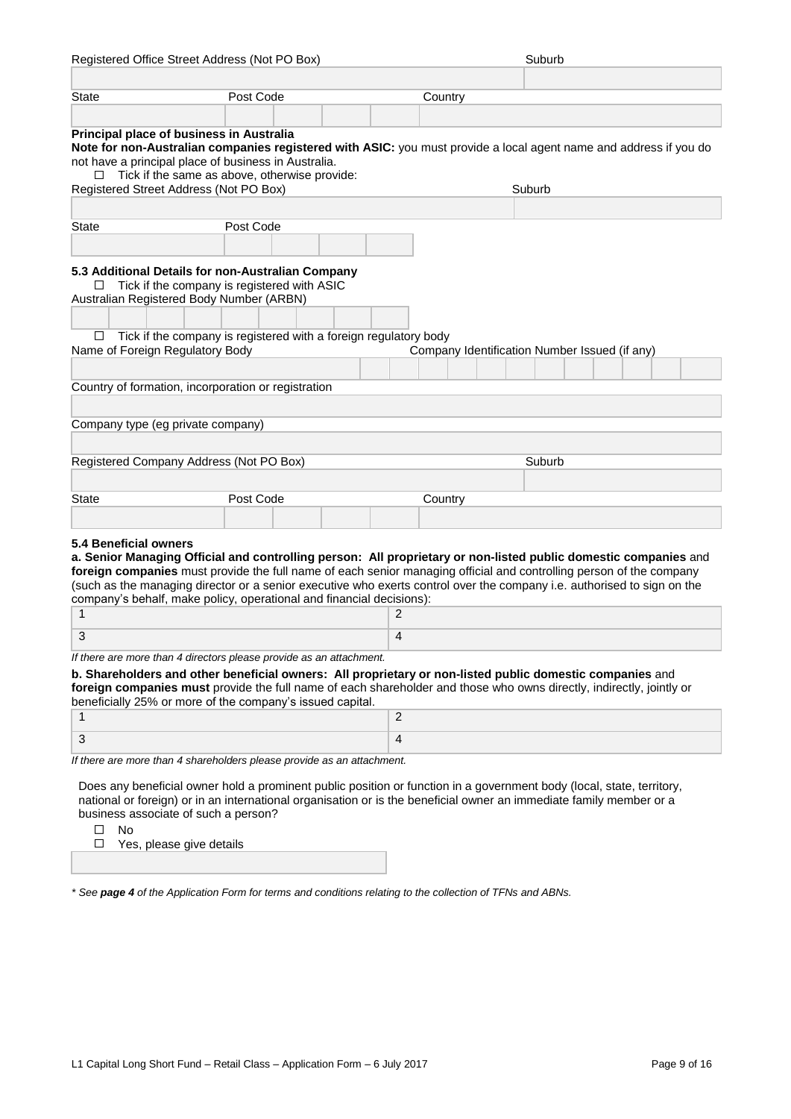|                                   | Registered Office Street Address (Not PO Box)                                           | Suburb                                                                                                                  |
|-----------------------------------|-----------------------------------------------------------------------------------------|-------------------------------------------------------------------------------------------------------------------------|
|                                   |                                                                                         |                                                                                                                         |
| <b>State</b>                      | Post Code                                                                               | Country                                                                                                                 |
|                                   |                                                                                         |                                                                                                                         |
|                                   | Principal place of business in Australia                                                |                                                                                                                         |
|                                   |                                                                                         | Note for non-Australian companies registered with ASIC: you must provide a local agent name and address if you do       |
|                                   | not have a principal place of business in Australia.                                    |                                                                                                                         |
| ⊔                                 | Tick if the same as above, otherwise provide:<br>Registered Street Address (Not PO Box) | Suburb                                                                                                                  |
|                                   |                                                                                         |                                                                                                                         |
| State                             | Post Code                                                                               |                                                                                                                         |
|                                   |                                                                                         |                                                                                                                         |
|                                   |                                                                                         |                                                                                                                         |
|                                   | 5.3 Additional Details for non-Australian Company                                       |                                                                                                                         |
| ⊔                                 | Tick if the company is registered with ASIC                                             |                                                                                                                         |
|                                   | Australian Registered Body Number (ARBN)                                                |                                                                                                                         |
|                                   |                                                                                         |                                                                                                                         |
| □                                 | Tick if the company is registered with a foreign regulatory body                        |                                                                                                                         |
| Name of Foreign Regulatory Body   |                                                                                         | Company Identification Number Issued (if any)                                                                           |
|                                   |                                                                                         |                                                                                                                         |
|                                   | Country of formation, incorporation or registration                                     |                                                                                                                         |
|                                   |                                                                                         |                                                                                                                         |
| Company type (eg private company) |                                                                                         |                                                                                                                         |
|                                   |                                                                                         |                                                                                                                         |
|                                   | Registered Company Address (Not PO Box)                                                 | Suburb                                                                                                                  |
|                                   |                                                                                         |                                                                                                                         |
| State                             | Post Code                                                                               |                                                                                                                         |
|                                   |                                                                                         | Country                                                                                                                 |
|                                   |                                                                                         |                                                                                                                         |
| 5.4 Beneficial owners             |                                                                                         |                                                                                                                         |
|                                   |                                                                                         | a. Senior Managing Official and controlling person: All proprietary or non-listed public domestic companies and         |
|                                   |                                                                                         | foreign companies must provide the full name of each senior managing official and controlling person of the company     |
|                                   | company's behalf, make policy, operational and financial decisions):                    | (such as the managing director or a senior executive who exerts control over the company i.e. authorised to sign on the |
| 1                                 |                                                                                         | 2                                                                                                                       |
|                                   |                                                                                         |                                                                                                                         |
| 3                                 |                                                                                         | 4                                                                                                                       |
|                                   | If there are more than 4 directors please provide as an attachment.                     |                                                                                                                         |
|                                   |                                                                                         | b. Shareholders and other beneficial owners: All proprietary or non-listed public domestic companies and                |
|                                   |                                                                                         | foreign companies must provide the full name of each shareholder and those who owns directly, indirectly, jointly or    |
|                                   | beneficially 25% or more of the company's issued capital.                               | $\overline{c}$                                                                                                          |
| $\mathbf{1}$                      |                                                                                         |                                                                                                                         |
| 3                                 |                                                                                         | 4                                                                                                                       |
|                                   |                                                                                         |                                                                                                                         |
|                                   | If there are more than 4 shareholders please provide as an attachment.                  |                                                                                                                         |
|                                   |                                                                                         | Does any beneficial owner hold a prominent public position or function in a government body (local, state, territory,   |

business associate of such a person?

No

Yes, please give details

*\* See page 4 of the Application Form for terms and conditions relating to the collection of TFNs and ABNs.*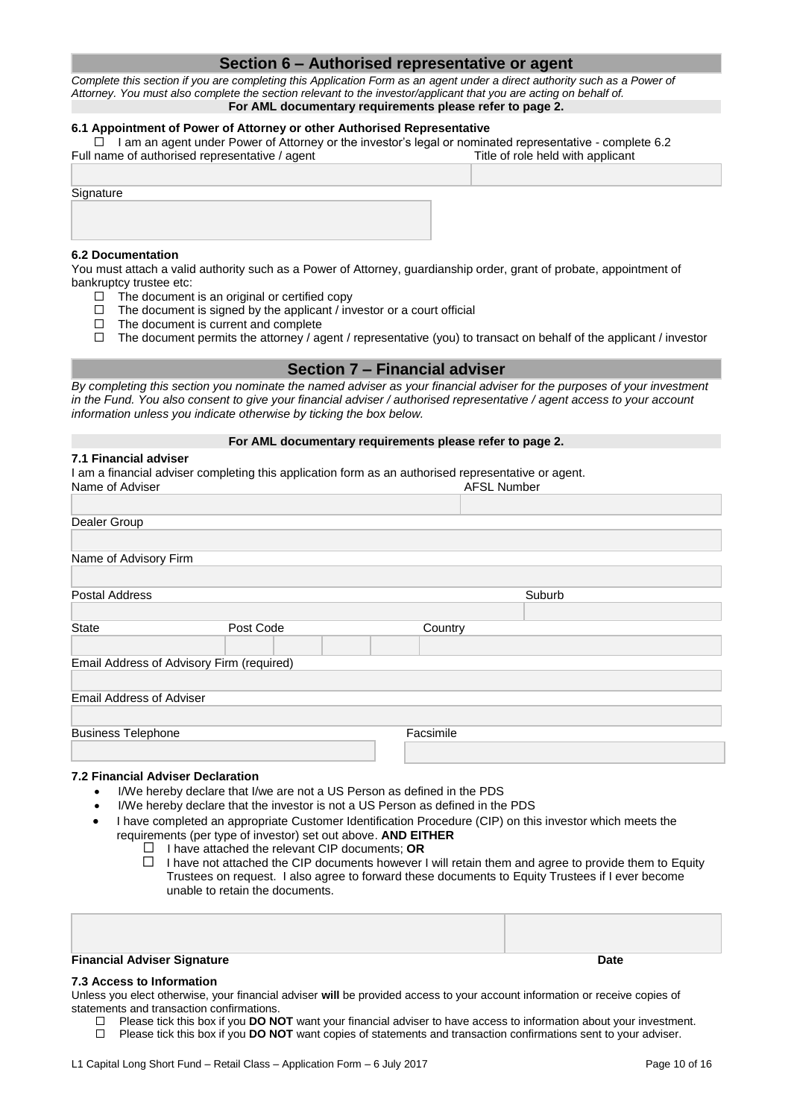## **Section 6 – Authorised representative or agent**

*Complete this section if you are completing this Application Form as an agent under a direct authority such as a Power of Attorney. You must also complete the section relevant to the investor/applicant that you are acting on behalf of.* **For AML documentary requirements please refer to page 2.**

#### **6.1 Appointment of Power of Attorney or other Authorised Representative**

 $\Box$  I am an agent under Power of Attorney or the investor's legal or nominated representative - complete 6.2 Full name of authorised representative / agent Title of role held with applicant

**Signature** 

#### **6.2 Documentation**

You must attach a valid authority such as a Power of Attorney, guardianship order, grant of probate, appointment of bankruptcy trustee etc:

- $\Box$  The document is an original or certified copy
- $\Box$  The document is signed by the applicant / investor or a court official
- $\Box$  The document is current and complete
- $\Box$  The document permits the attorney / agent / representative (you) to transact on behalf of the applicant / investor

#### **Section 7 – Financial adviser**

*By completing this section you nominate the named adviser as your financial adviser for the purposes of your investment in the Fund. You also consent to give your financial adviser / authorised representative / agent access to your account information unless you indicate otherwise by ticking the box below.*

#### **For AML documentary requirements please refer to page 2.**

#### **7.1 Financial adviser**

I am a financial adviser completing this application form as an authorised representative or agent.<br>Name of Adviser AFSL Number

| Dealer Group                              |           |           |        |  |
|-------------------------------------------|-----------|-----------|--------|--|
|                                           |           |           |        |  |
| Name of Advisory Firm                     |           |           |        |  |
|                                           |           |           |        |  |
| Postal Address                            |           |           | Suburb |  |
|                                           |           |           |        |  |
| <b>State</b>                              | Post Code | Country   |        |  |
|                                           |           |           |        |  |
| Email Address of Advisory Firm (required) |           |           |        |  |
|                                           |           |           |        |  |
| <b>Email Address of Adviser</b>           |           |           |        |  |
|                                           |           |           |        |  |
| <b>Business Telephone</b>                 |           | Facsimile |        |  |
|                                           |           |           |        |  |

#### **7.2 Financial Adviser Declaration**

- I/We hereby declare that I/we are not a US Person as defined in the PDS
- I/We hereby declare that the investor is not a US Person as defined in the PDS
- I have completed an appropriate Customer Identification Procedure (CIP) on this investor which meets the requirements (per type of investor) set out above. **AND EITHER**
	- I have attached the relevant CIP documents; **OR**
	- $\Box$  I have not attached the CIP documents however I will retain them and agree to provide them to Equity Trustees on request. I also agree to forward these documents to Equity Trustees if I ever become unable to retain the documents.

#### **7.3 Access to Information**

Unless you elect otherwise, your financial adviser **will** be provided access to your account information or receive copies of statements and transaction confirmations.

- Please tick this box if you **DO NOT** want your financial adviser to have access to information about your investment.
- Please tick this box if you **DO NOT** want copies of statements and transaction confirmations sent to your adviser.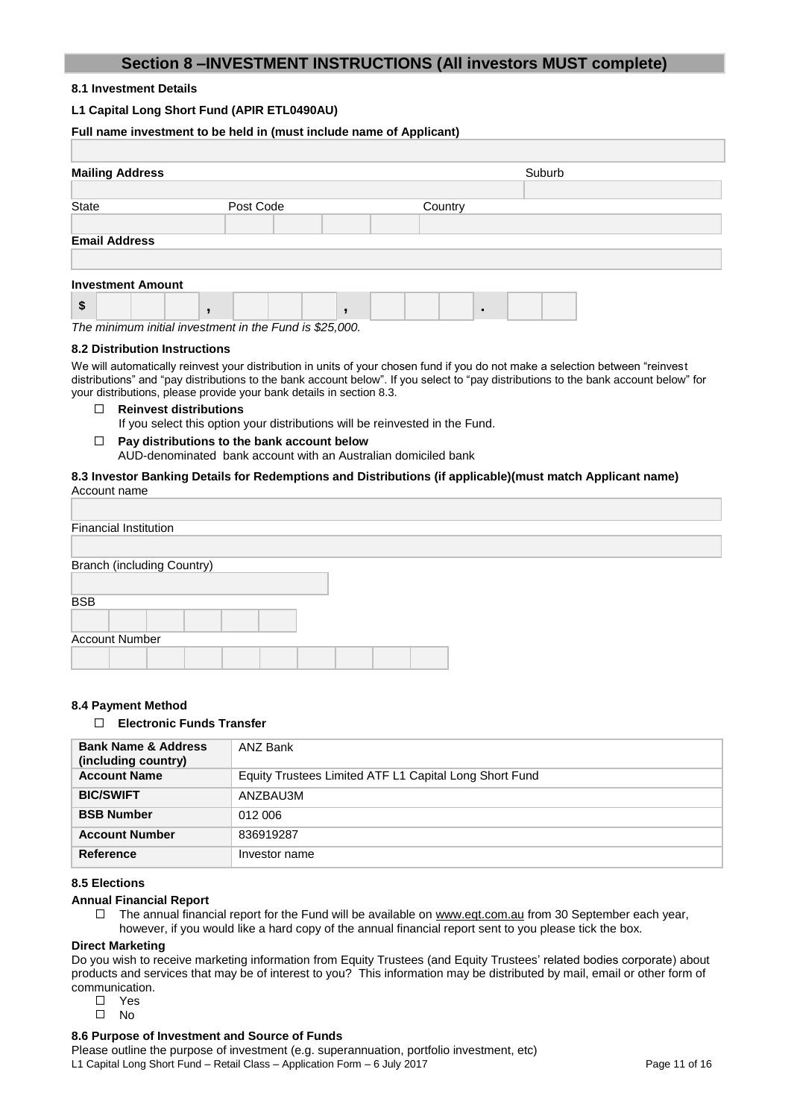# **Section 8 –INVESTMENT INSTRUCTIONS (All investors MUST complete)**

#### **8.1 Investment Details**

#### **L1 Capital Long Short Fund (APIR ETL0490AU)**

|       | Full name investment to be held in (must include name of Applicant) |  |  |  |           |  |  |  |  |  |         |   |        |  |  |
|-------|---------------------------------------------------------------------|--|--|--|-----------|--|--|--|--|--|---------|---|--------|--|--|
|       |                                                                     |  |  |  |           |  |  |  |  |  |         |   |        |  |  |
|       | <b>Mailing Address</b>                                              |  |  |  |           |  |  |  |  |  |         |   | Suburb |  |  |
|       |                                                                     |  |  |  |           |  |  |  |  |  |         |   |        |  |  |
| State |                                                                     |  |  |  | Post Code |  |  |  |  |  | Country |   |        |  |  |
|       |                                                                     |  |  |  |           |  |  |  |  |  |         |   |        |  |  |
|       | <b>Email Address</b>                                                |  |  |  |           |  |  |  |  |  |         |   |        |  |  |
|       |                                                                     |  |  |  |           |  |  |  |  |  |         |   |        |  |  |
|       | <b>Investment Amount</b>                                            |  |  |  |           |  |  |  |  |  |         |   |        |  |  |
| \$    |                                                                     |  |  |  |           |  |  |  |  |  |         | ٠ |        |  |  |

*The minimum initial investment in the Fund is \$25,000.*

#### **8.2 Distribution Instructions**

We will automatically reinvest your distribution in units of your chosen fund if you do not make a selection between "reinvest distributions" and "pay distributions to the bank account below". If you select to "pay distributions to the bank account below" for your distributions, please provide your bank details in section 8.3.

- **Reinvest distributions**  $\Box$ 
	- If you select this option your distributions will be reinvested in the Fund.
- $\Box$ **Pay distributions to the bank account below**
	- AUD-denominated bank account with an Australian domiciled bank

#### **8.3 Investor Banking Details for Redemptions and Distributions (if applicable)(must match Applicant name)** Account name

| <b>Financial Institution</b>      |  |  |
|-----------------------------------|--|--|
|                                   |  |  |
| <b>Branch (including Country)</b> |  |  |
|                                   |  |  |
| <b>BSB</b>                        |  |  |
|                                   |  |  |
| <b>Account Number</b>             |  |  |
|                                   |  |  |

#### **8.4 Payment Method**

#### **Electronic Funds Transfer**

| <b>Bank Name &amp; Address</b><br>(including country) | ANZ Bank                                               |
|-------------------------------------------------------|--------------------------------------------------------|
| <b>Account Name</b>                                   | Equity Trustees Limited ATF L1 Capital Long Short Fund |
| <b>BIC/SWIFT</b>                                      | ANZBAU3M                                               |
| <b>BSB Number</b>                                     | 012 006                                                |
| <b>Account Number</b>                                 | 836919287                                              |
| <b>Reference</b>                                      | Investor name                                          |

# **8.5 Elections**

#### **Annual Financial Report**

□ The annual financial report for the Fund will be available on [www.eqt.com.au](http://www.eqt.com.au/) from 30 September each year, however, if you would like a hard copy of the annual financial report sent to you please tick the box.

#### **Direct Marketing**

Do you wish to receive marketing information from Equity Trustees (and Equity Trustees' related bodies corporate) about products and services that may be of interest to you? This information may be distributed by mail, email or other form of communication.

- Yes
- $\square$  No

#### **8.6 Purpose of Investment and Source of Funds**

L1 Capital Long Short Fund – Retail Class – Application Form – 6 July 2017 **Page 11 Capital Class – Application Form – 6 July 2017** Page 11 of 16 Please outline the purpose of investment (e.g. superannuation, portfolio investment, etc)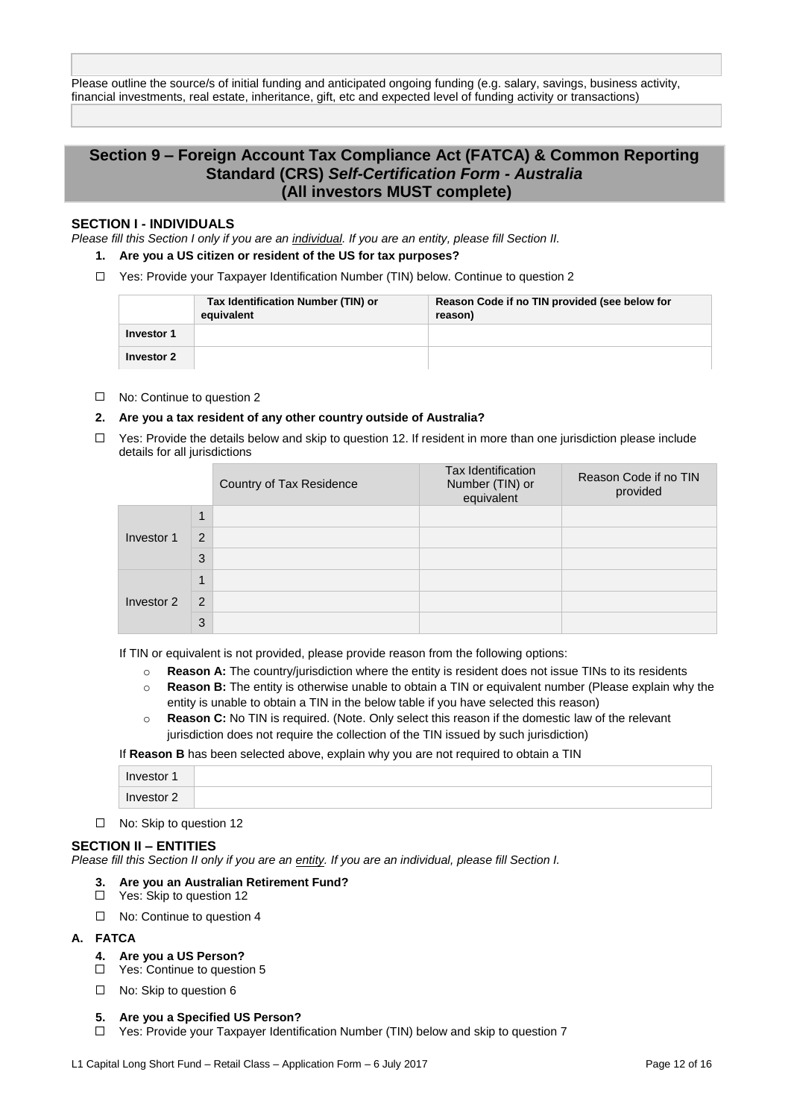Please outline the source/s of initial funding and anticipated ongoing funding (e.g. salary, savings, business activity, financial investments, real estate, inheritance, gift, etc and expected level of funding activity or transactions)

# **Section 9 – Foreign Account Tax Compliance Act (FATCA) & Common Reporting Standard (CRS)** *Self-Certification Form - Australia* **(All investors MUST complete)**

#### **SECTION I - INDIVIDUALS**

*Please fill this Section I only if you are an individual. If you are an entity, please fill Section II.*

- **1. Are you a US citizen or resident of the US for tax purposes?**
- $\Box$  Yes: Provide your Taxpayer Identification Number (TIN) below. Continue to question 2

|            | Tax Identification Number (TIN) or<br>equivalent | Reason Code if no TIN provided (see below for<br>reason) |
|------------|--------------------------------------------------|----------------------------------------------------------|
| Investor 1 |                                                  |                                                          |
| Investor 2 |                                                  |                                                          |

#### □ No: Continue to question 2

#### **2. Are you a tax resident of any other country outside of Australia?**

 $\Box$  Yes: Provide the details below and skip to question 12. If resident in more than one jurisdiction please include details for all jurisdictions

|            |             | Country of Tax Residence | <b>Tax Identification</b><br>Number (TIN) or<br>equivalent | Reason Code if no TIN<br>provided |
|------------|-------------|--------------------------|------------------------------------------------------------|-----------------------------------|
|            | $\mathbf 1$ |                          |                                                            |                                   |
| Investor 1 | 2           |                          |                                                            |                                   |
|            | 3           |                          |                                                            |                                   |
|            | 1           |                          |                                                            |                                   |
| Investor 2 | 2           |                          |                                                            |                                   |
|            | 3           |                          |                                                            |                                   |

If TIN or equivalent is not provided, please provide reason from the following options:

- o **Reason A:** The country/jurisdiction where the entity is resident does not issue TINs to its residents
- o **Reason B:** The entity is otherwise unable to obtain a TIN or equivalent number (Please explain why the entity is unable to obtain a TIN in the below table if you have selected this reason)
- o **Reason C:** No TIN is required. (Note. Only select this reason if the domestic law of the relevant jurisdiction does not require the collection of the TIN issued by such jurisdiction)

If **Reason B** has been selected above, explain why you are not required to obtain a TIN

| Investor 1 |  |
|------------|--|
| Investor 2 |  |

□ No: Skip to question 12

#### **SECTION II – ENTITIES**

*Please fill this Section II only if you are an entity. If you are an individual, please fill Section I.*

- **3. Are you an Australian Retirement Fund?**
- □ Yes: Skip to question 12
- □ No: Continue to question 4
- **A. FATCA**
	- **4. Are you a US Person?**
	- □ Yes: Continue to question 5
	- □ No: Skip to question 6

#### **5. Are you a Specified US Person?**

Yes: Provide your Taxpayer Identification Number (TIN) below and skip to question 7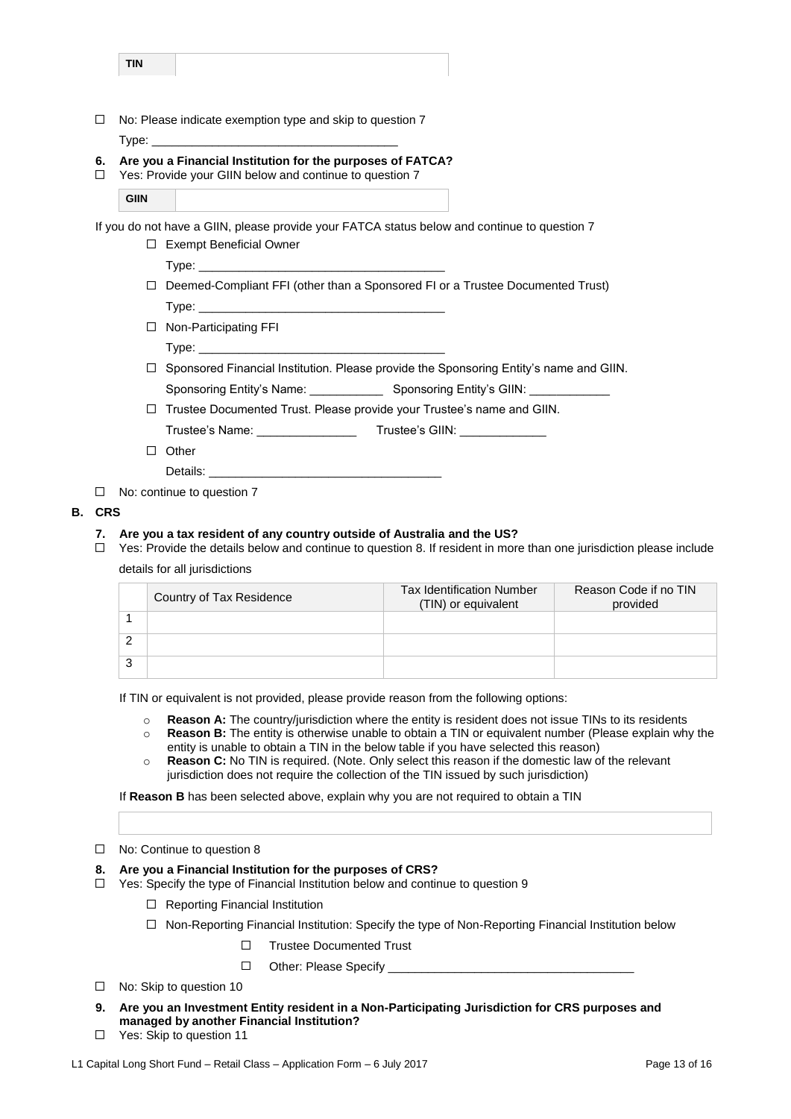| TIN |  |
|-----|--|
|     |  |

 $\Box$  No: Please indicate exemption type and skip to question 7 Type:

#### **6. Are you a Financial Institution for the purposes of FATCA?**

 $\Box$ Yes: Provide your GIIN below and continue to question 7

| <b>GIIN</b> |  |
|-------------|--|

If you do not have a GIIN, please provide your FATCA status below and continue to question 7

| $\Box$ Exempt Beneficial Owner                                                        |
|---------------------------------------------------------------------------------------|
|                                                                                       |
| $\Box$ Deemed-Compliant FFI (other than a Sponsored FI or a Trustee Documented Trust) |
|                                                                                       |
| $\Box$ Non-Participating FFI                                                          |

Type:

 $\Box$  Sponsored Financial Institution. Please provide the Sponsoring Entity's name and GIIN.

Sponsoring Entity's Name: \_\_\_\_\_\_\_\_\_\_\_\_\_\_\_\_ Sponsoring Entity's GIIN:

 $\Box$  Trustee Documented Trust. Please provide your Trustee's name and GIIN.

Trustee's Name: \_\_\_\_\_\_\_\_\_\_\_\_\_\_\_ Trustee's GIIN: \_\_\_\_\_\_\_\_\_\_\_\_\_

 $\Box$  Other

Details: \_

 $\Box$  No: continue to question 7

#### **B. CRS**

#### **7. Are you a tax resident of any country outside of Australia and the US?**

 $\Box$  Yes: Provide the details below and continue to question 8. If resident in more than one jurisdiction please include details for all jurisdictions

|   | Country of Tax Residence | <b>Tax Identification Number</b><br>(TIN) or equivalent | Reason Code if no TIN<br>provided |
|---|--------------------------|---------------------------------------------------------|-----------------------------------|
|   |                          |                                                         |                                   |
|   |                          |                                                         |                                   |
| 3 |                          |                                                         |                                   |

If TIN or equivalent is not provided, please provide reason from the following options:

- o **Reason A:** The country/jurisdiction where the entity is resident does not issue TINs to its residents
- o **Reason B:** The entity is otherwise unable to obtain a TIN or equivalent number (Please explain why the entity is unable to obtain a TIN in the below table if you have selected this reason)
- o **Reason C:** No TIN is required. (Note. Only select this reason if the domestic law of the relevant jurisdiction does not require the collection of the TIN issued by such jurisdiction)

If **Reason B** has been selected above, explain why you are not required to obtain a TIN

#### □ No: Continue to question 8

#### **8. Are you a Financial Institution for the purposes of CRS?**

- $\Box$  Yes: Specify the type of Financial Institution below and continue to question 9
	- $\Box$  Reporting Financial Institution
	- $\Box$  Non-Reporting Financial Institution: Specify the type of Non-Reporting Financial Institution below
		- Trustee Documented Trust  $\Box$
		- $\Box$ Other: Please Specify \_\_
- $\Box$  No: Skip to question 10
- **9. Are you an Investment Entity resident in a Non-Participating Jurisdiction for CRS purposes and managed by another Financial Institution?**
- □ Yes: Skip to question 11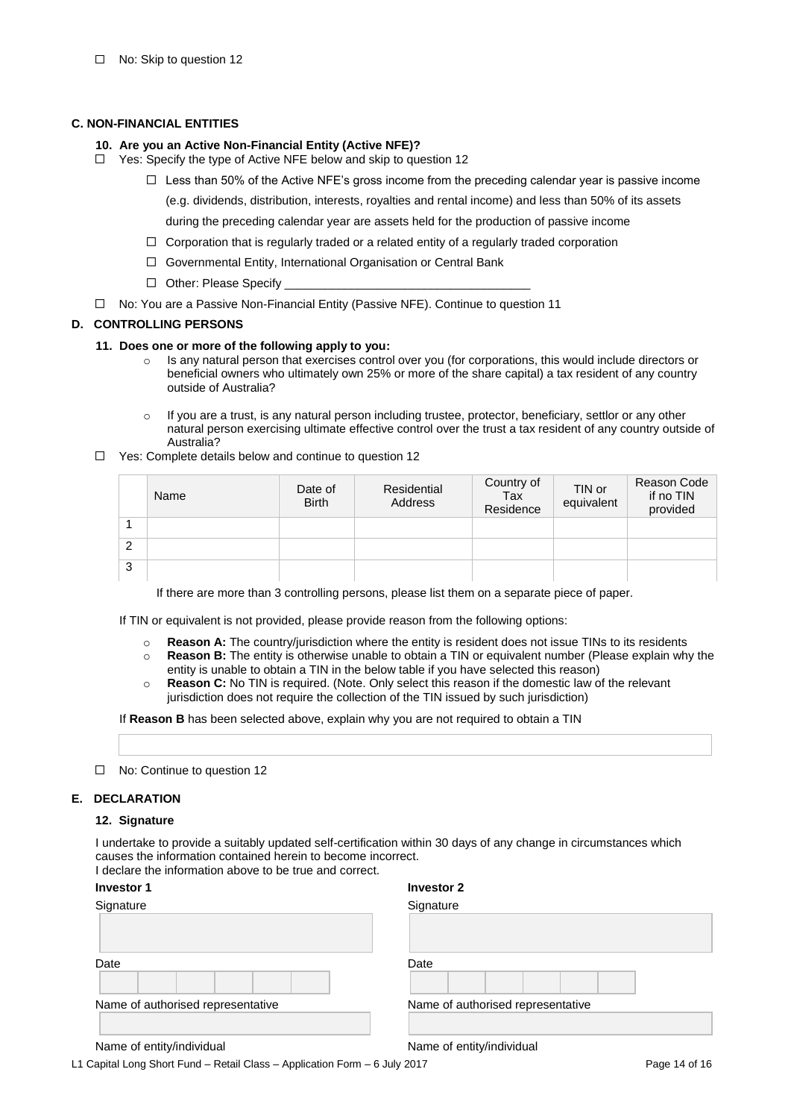#### **C. NON-FINANCIAL ENTITIES**

#### **10. Are you an Active Non-Financial Entity (Active NFE)?**

- $\Box$  Yes: Specify the type of Active NFE below and skip to question 12
	- $\Box$  Less than 50% of the Active NFE's gross income from the preceding calendar year is passive income
		- (e.g. dividends, distribution, interests, royalties and rental income) and less than 50% of its assets

during the preceding calendar year are assets held for the production of passive income

- $\Box$  Corporation that is regularly traded or a related entity of a regularly traded corporation
- □ Governmental Entity, International Organisation or Central Bank
- $\Box$  Other: Please Specify
- No: You are a Passive Non-Financial Entity (Passive NFE). Continue to question 11

#### **D. CONTROLLING PERSONS**

- **11. Does one or more of the following apply to you:**
	- o Is any natural person that exercises control over you (for corporations, this would include directors or beneficial owners who ultimately own 25% or more of the share capital) a tax resident of any country outside of Australia?
	- $\circ$  If you are a trust, is any natural person including trustee, protector, beneficiary, settlor or any other natural person exercising ultimate effective control over the trust a tax resident of any country outside of Australia?
- □ Yes: Complete details below and continue to question 12

|   | Name | Date of<br><b>Birth</b> | Residential<br>Address | Country of<br>Tax<br>Residence | TIN or<br>equivalent | Reason Code<br>if no TIN<br>provided |
|---|------|-------------------------|------------------------|--------------------------------|----------------------|--------------------------------------|
|   |      |                         |                        |                                |                      |                                      |
| 2 |      |                         |                        |                                |                      |                                      |
| 3 |      |                         |                        |                                |                      |                                      |

If there are more than 3 controlling persons, please list them on a separate piece of paper.

If TIN or equivalent is not provided, please provide reason from the following options:

- o **Reason A:** The country/jurisdiction where the entity is resident does not issue TINs to its residents
- o **Reason B:** The entity is otherwise unable to obtain a TIN or equivalent number (Please explain why the entity is unable to obtain a TIN in the below table if you have selected this reason)
- o **Reason C:** No TIN is required. (Note. Only select this reason if the domestic law of the relevant jurisdiction does not require the collection of the TIN issued by such jurisdiction)

If **Reason B** has been selected above, explain why you are not required to obtain a TIN

□ No: Continue to question 12

#### **E. DECLARATION**

#### **12. Signature**

I undertake to provide a suitably updated self-certification within 30 days of any change in circumstances which causes the information contained herein to become incorrect.

I declare the information above to be true and correct.

| Investor 1 |  |
|------------|--|
| Signature  |  |

| <b>Investor 1</b>                 | <b>Investor 2</b>                 |  |  |  |  |
|-----------------------------------|-----------------------------------|--|--|--|--|
| Signature                         | Signature                         |  |  |  |  |
|                                   |                                   |  |  |  |  |
| Date                              | Date                              |  |  |  |  |
| Name of authorised representative | Name of authorised representative |  |  |  |  |
|                                   |                                   |  |  |  |  |

Name of entity/individual Name of entity/individual

L1 Capital Long Short Fund – Retail Class – Application Form – 6 July 2017 **Page 14 of 16** Page 14 of 16